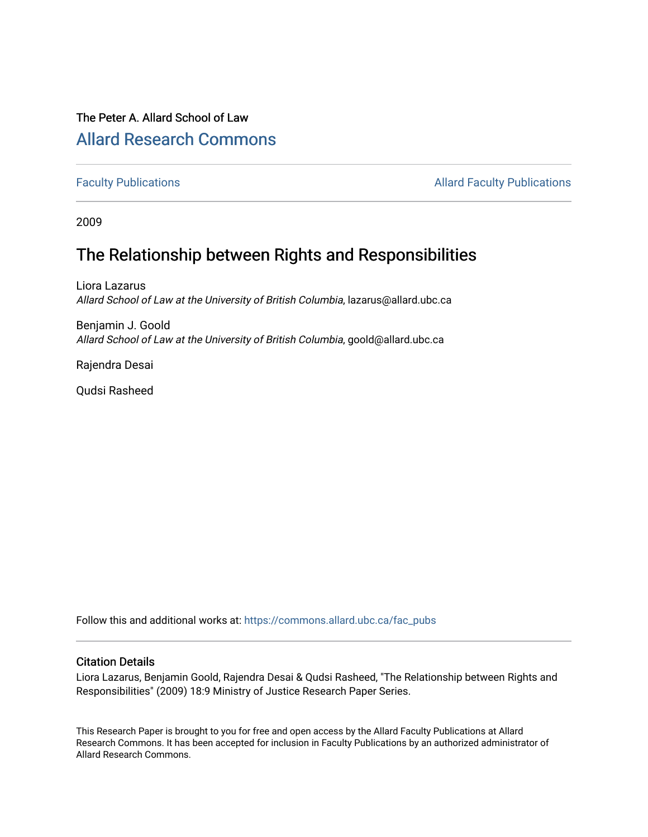### The Peter A. Allard School of Law [Allard Research Commons](https://commons.allard.ubc.ca/)

[Faculty Publications](https://commons.allard.ubc.ca/fac_pubs) **Allard Faculty Publications** 

2009

## The Relationship between Rights and Responsibilities

Liora Lazarus Allard School of Law at the University of British Columbia, lazarus@allard.ubc.ca

Benjamin J. Goold Allard School of Law at the University of British Columbia, goold@allard.ubc.ca

Rajendra Desai

Qudsi Rasheed

Follow this and additional works at: [https://commons.allard.ubc.ca/fac\\_pubs](https://commons.allard.ubc.ca/fac_pubs?utm_source=commons.allard.ubc.ca%2Ffac_pubs%2F153&utm_medium=PDF&utm_campaign=PDFCoverPages)

#### Citation Details

Liora Lazarus, Benjamin Goold, Rajendra Desai & Qudsi Rasheed, "The Relationship between Rights and Responsibilities" (2009) 18:9 Ministry of Justice Research Paper Series.

This Research Paper is brought to you for free and open access by the Allard Faculty Publications at Allard Research Commons. It has been accepted for inclusion in Faculty Publications by an authorized administrator of Allard Research Commons.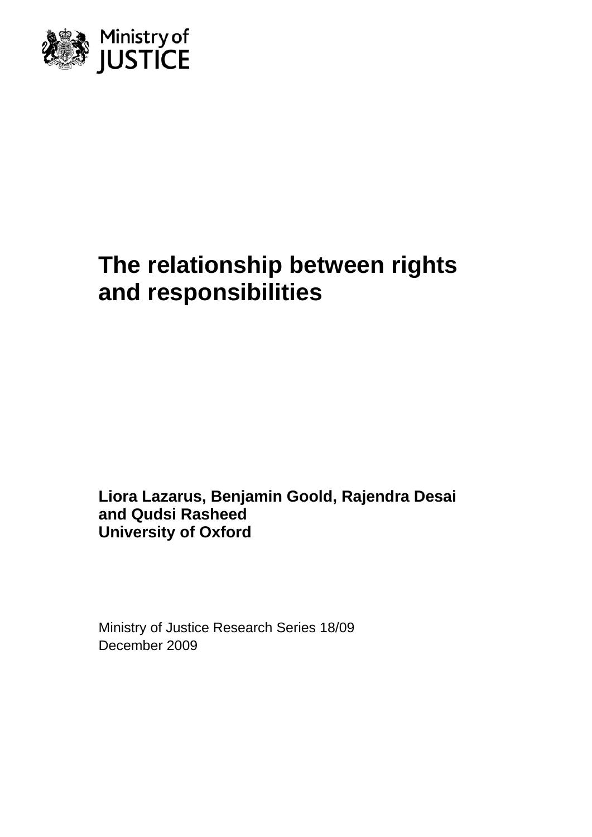

# **The relationship between rights and responsibilities**

**Liora Lazarus, Benjamin Goold, Rajendra Desai and Qudsi Rasheed University of Oxford**

Ministry of Justice Research Series 18/09 December 2009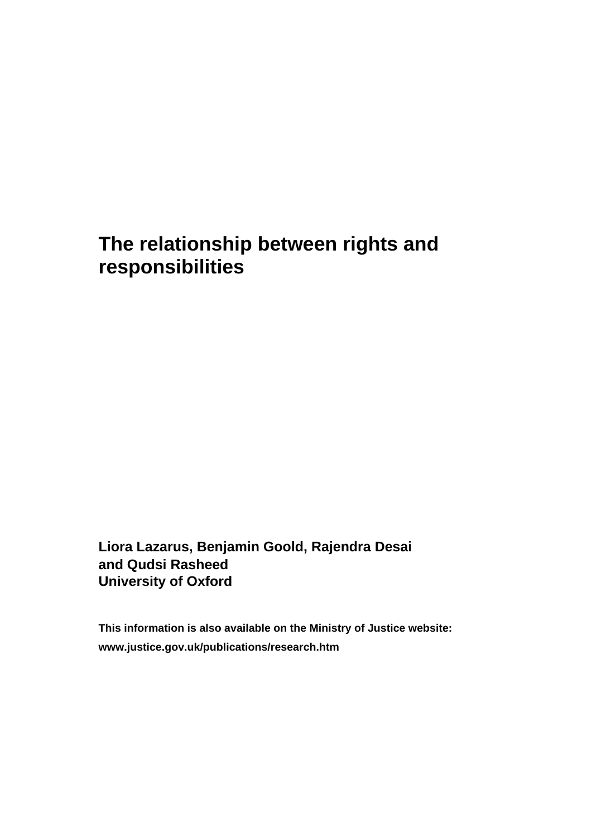## **The relationship between rights and responsibilities**

**Liora Lazarus, Benjamin Goold, Rajendra Desai and Qudsi Rasheed University of Oxford**

**This information is also available on the Ministry of Justice website: [www.justice.gov.uk/publications/research.htm](http://www.justice.gov.uk/publications/research.htm)**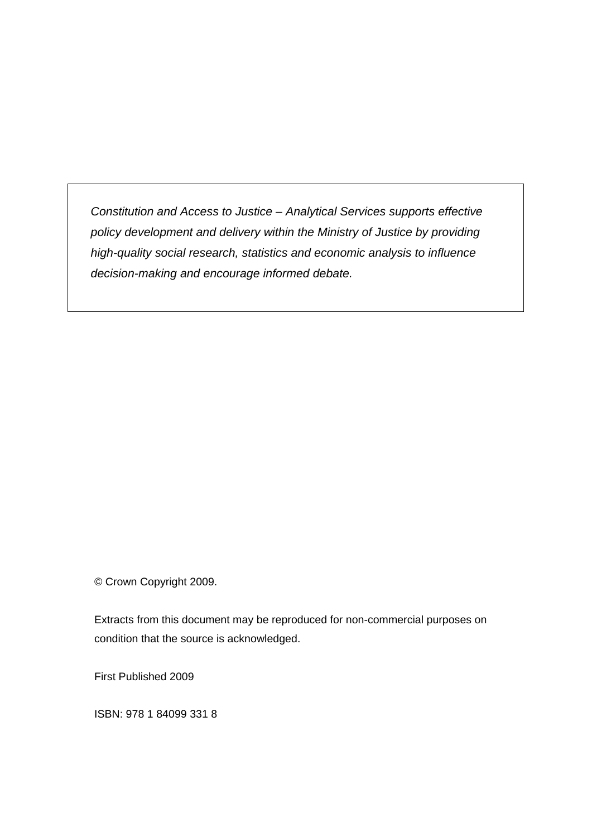*Constitution and Access to Justice – Analytical Services supports effective policy development and delivery within the Ministry of Justice by providing high-quality social research, statistics and economic analysis to influence decision-making and encourage informed debate.* 

© Crown Copyright 2009.

Extracts from this document may be reproduced for non-commercial purposes on condition that the source is acknowledged.

First Published 2009

ISBN: 978 1 84099 331 8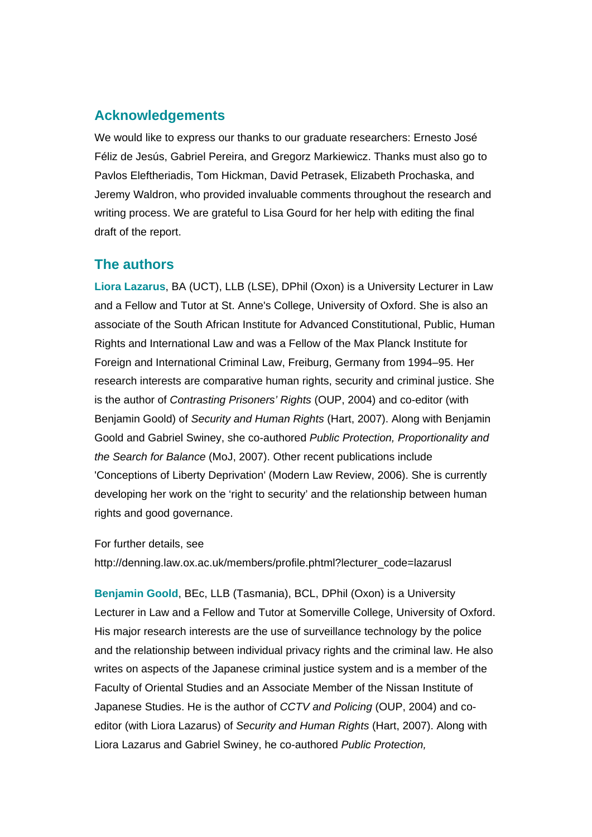### **Acknowledgements**

We would like to express our thanks to our graduate researchers: Ernesto José Féliz de Jesús, Gabriel Pereira, and Gregorz Markiewicz. Thanks must also go to Pavlos Eleftheriadis, Tom Hickman, David Petrasek, Elizabeth Prochaska, and Jeremy Waldron, who provided invaluable comments throughout the research and writing process. We are grateful to Lisa Gourd for her help with editing the final draft of the report.

### **The authors**

**Liora Lazarus**, BA (UCT), LLB (LSE), DPhil (Oxon) is a University Lecturer in Law and a Fellow and Tutor at St. Anne's College, University of Oxford. She is also an associate of the South African Institute for Advanced Constitutional, Public, Human Rights and International Law and was a Fellow of the Max Planck Institute for Foreign and International Criminal Law, Freiburg, Germany from 1994–95. Her research interests are comparative human rights, security and criminal justice. She is the author of *Contrasting Prisoners' Rights* (OUP, 2004) and co-editor (with Benjamin Goold) of *Security and Human Rights* (Hart, 2007). Along with Benjamin Goold and Gabriel Swiney, she co-authored *Public Protection, Proportionality and the Search for Balance* (MoJ, 2007). Other recent publications include 'Conceptions of Liberty Deprivation' (Modern Law Review, 2006). She is currently developing her work on the 'right to security' and the relationship between human rights and good governance.

For further details, see

http://denning.law.ox.ac.uk/members/profile.phtml?lecturer\_code=lazarusl

**Benjamin Goold**, BEc, LLB (Tasmania), BCL, DPhil (Oxon) is a University Lecturer in Law and a Fellow and Tutor at Somerville College, University of Oxford. His major research interests are the use of surveillance technology by the police and the relationship between individual privacy rights and the criminal law. He also writes on aspects of the Japanese criminal justice system and is a member of the Faculty of Oriental Studies and an Associate Member of the Nissan Institute of Japanese Studies. He is the author of *CCTV and Policing* (OUP, 2004) and coeditor (with Liora Lazarus) of *Security and Human Rights* (Hart, 2007). Along with Liora Lazarus and Gabriel Swiney, he co-authored *Public Protection,*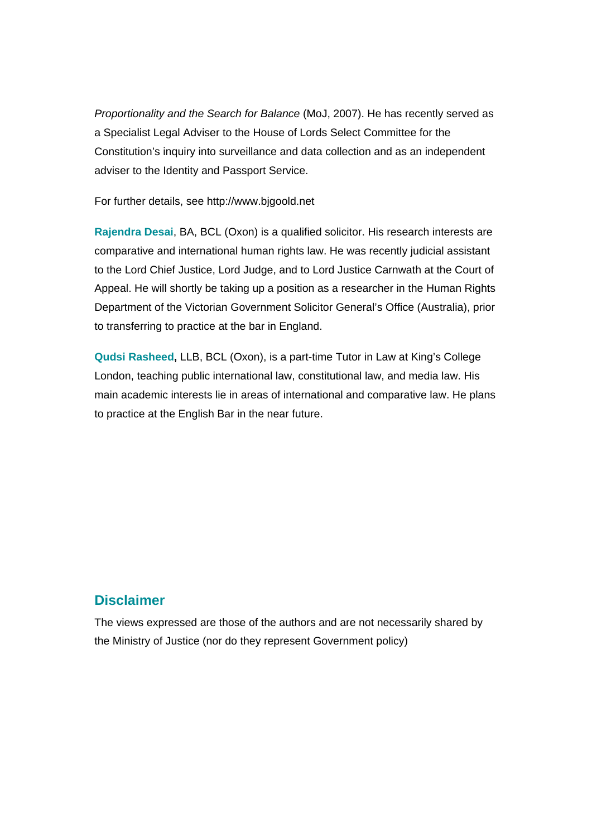*Proportionality and the Search for Balance* (MoJ, 2007). He has recently served as a Specialist Legal Adviser to the House of Lords Select Committee for the Constitution's inquiry into surveillance and data collection and as an independent adviser to the Identity and Passport Service.

For further details, see [http://www.bjgoold.net](http://www.bjgoold.net/) 

**Rajendra Desai**, BA, BCL (Oxon) is a qualified solicitor. His research interests are comparative and international human rights law. He was recently judicial assistant to the Lord Chief Justice, Lord Judge, and to Lord Justice Carnwath at the Court of Appeal. He will shortly be taking up a position as a researcher in the Human Rights Department of the Victorian Government Solicitor General's Office (Australia), prior to transferring to practice at the bar in England.

**Qudsi Rasheed,** LLB, BCL (Oxon), is a part-time Tutor in Law at King's College London, teaching public international law, constitutional law, and media law. His main academic interests lie in areas of international and comparative law. He plans to practice at the English Bar in the near future.

#### **Disclaimer**

The views expressed are those of the authors and are not necessarily shared by the Ministry of Justice (nor do they represent Government policy)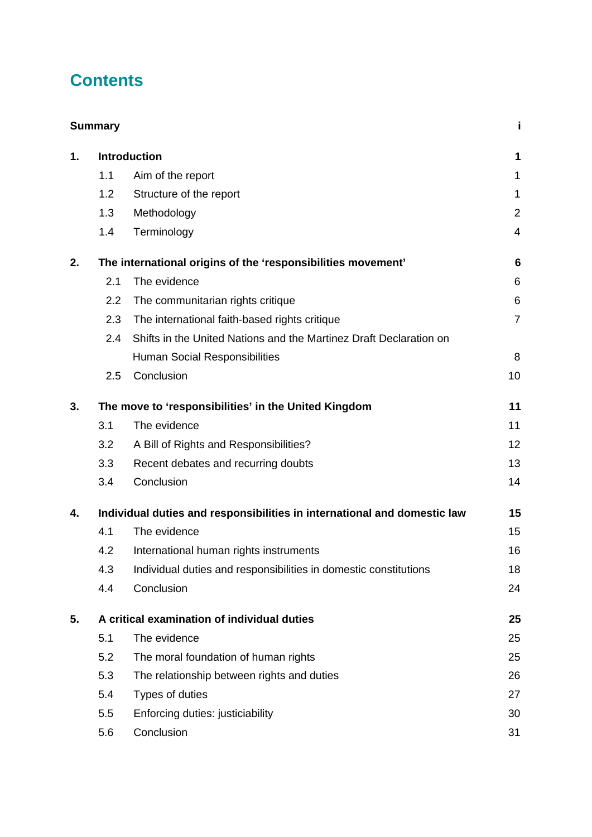## **Contents**

| <b>Summary</b> |                                                              |                                                                          |                |  |
|----------------|--------------------------------------------------------------|--------------------------------------------------------------------------|----------------|--|
| 1.             | Introduction                                                 |                                                                          |                |  |
|                | 1.1                                                          | Aim of the report                                                        | 1              |  |
|                | 1.2                                                          | Structure of the report                                                  | 1              |  |
|                | 1.3                                                          | Methodology                                                              | $\overline{2}$ |  |
|                | 1.4                                                          | Terminology                                                              | 4              |  |
| 2.             | The international origins of the 'responsibilities movement' |                                                                          |                |  |
|                | 2.1                                                          | The evidence                                                             | 6              |  |
|                | 2.2                                                          | The communitarian rights critique                                        | 6              |  |
|                | 2.3                                                          | The international faith-based rights critique                            | $\overline{7}$ |  |
|                | 2.4                                                          | Shifts in the United Nations and the Martinez Draft Declaration on       |                |  |
|                |                                                              | <b>Human Social Responsibilities</b>                                     | 8              |  |
|                | 2.5                                                          | Conclusion                                                               | 10             |  |
| 3.             |                                                              | The move to 'responsibilities' in the United Kingdom                     | 11             |  |
|                | 3.1                                                          | The evidence                                                             | 11             |  |
|                | 3.2                                                          | A Bill of Rights and Responsibilities?                                   | 12             |  |
|                | 3.3                                                          | Recent debates and recurring doubts                                      | 13             |  |
|                | 3.4                                                          | Conclusion                                                               | 14             |  |
| 4.             |                                                              | Individual duties and responsibilities in international and domestic law | 15             |  |
|                | 4.1                                                          | The evidence                                                             | 15             |  |
|                | 4.2                                                          | International human rights instruments                                   | 16             |  |
|                | 4.3                                                          | Individual duties and responsibilities in domestic constitutions         | 18             |  |
|                | 4.4                                                          | Conclusion                                                               | 24             |  |
| 5.             | A critical examination of individual duties                  |                                                                          | 25             |  |
|                | 5.1                                                          | The evidence                                                             | 25             |  |
|                | 5.2                                                          | The moral foundation of human rights                                     | 25             |  |
|                | 5.3                                                          | The relationship between rights and duties                               | 26             |  |
|                | 5.4                                                          | Types of duties                                                          | 27             |  |
|                | 5.5                                                          | Enforcing duties: justiciability                                         | 30             |  |
|                | 5.6                                                          | Conclusion                                                               | 31             |  |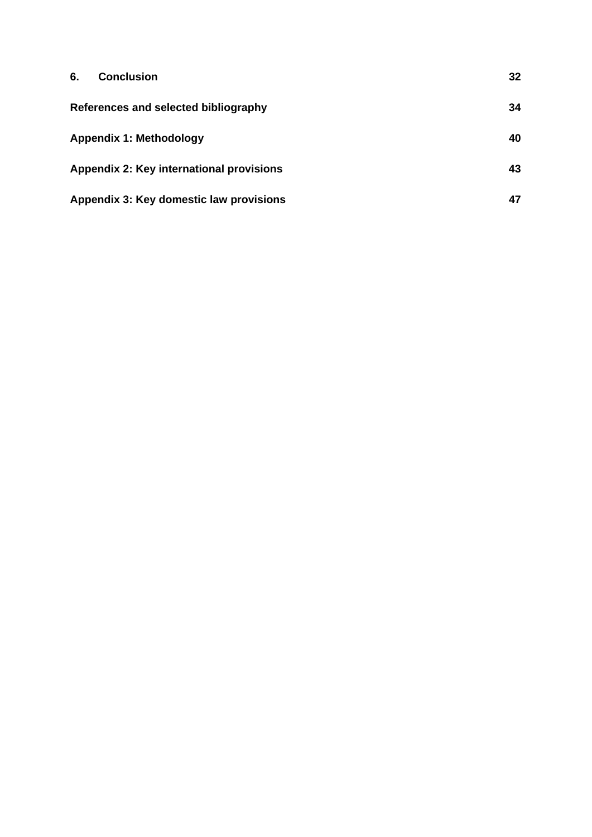| 6. | <b>Conclusion</b>                        | 32 |
|----|------------------------------------------|----|
|    | References and selected bibliography     | 34 |
|    | <b>Appendix 1: Methodology</b>           | 40 |
|    | Appendix 2: Key international provisions | 43 |
|    | Appendix 3: Key domestic law provisions  | 47 |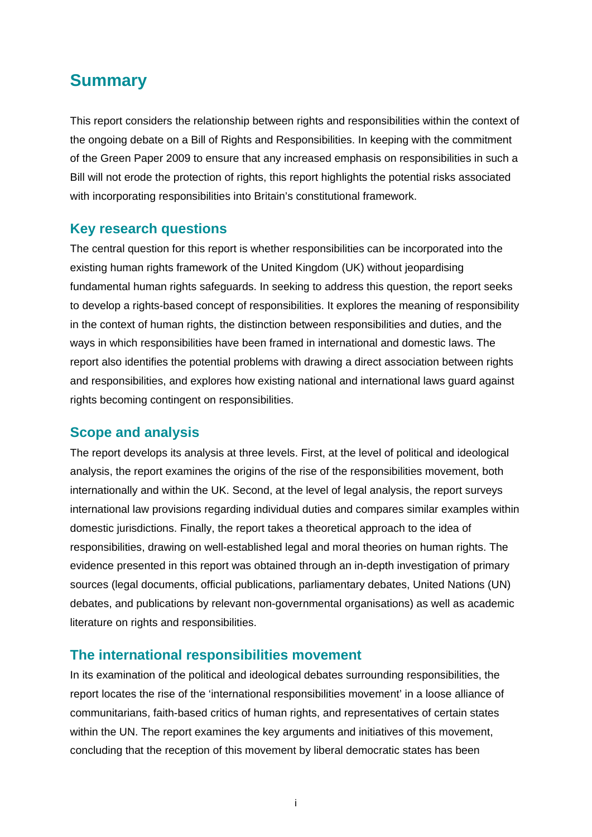## <span id="page-9-0"></span>**Summary**

This report considers the relationship between rights and responsibilities within the context of the ongoing debate on a Bill of Rights and Responsibilities. In keeping with the commitment of the Green Paper 2009 to ensure that any increased emphasis on responsibilities in such a Bill will not erode the protection of rights, this report highlights the potential risks associated with incorporating responsibilities into Britain's constitutional framework.

#### **Key research questions**

The central question for this report is whether responsibilities can be incorporated into the existing human rights framework of the United Kingdom (UK) without jeopardising fundamental human rights safeguards. In seeking to address this question, the report seeks to develop a rights-based concept of responsibilities. It explores the meaning of responsibility in the context of human rights, the distinction between responsibilities and duties, and the ways in which responsibilities have been framed in international and domestic laws. The report also identifies the potential problems with drawing a direct association between rights and responsibilities, and explores how existing national and international laws guard against rights becoming contingent on responsibilities.

#### **Scope and analysis**

The report develops its analysis at three levels. First, at the level of political and ideological analysis, the report examines the origins of the rise of the responsibilities movement, both internationally and within the UK. Second, at the level of legal analysis, the report surveys international law provisions regarding individual duties and compares similar examples within domestic jurisdictions. Finally, the report takes a theoretical approach to the idea of responsibilities, drawing on well-established legal and moral theories on human rights. The evidence presented in this report was obtained through an in-depth investigation of primary sources (legal documents, official publications, parliamentary debates, United Nations (UN) debates, and publications by relevant non-governmental organisations) as well as academic literature on rights and responsibilities.

### **The international responsibilities movement**

In its examination of the political and ideological debates surrounding responsibilities, the report locates the rise of the 'international responsibilities movement' in a loose alliance of communitarians, faith-based critics of human rights, and representatives of certain states within the UN. The report examines the key arguments and initiatives of this movement, concluding that the reception of this movement by liberal democratic states has been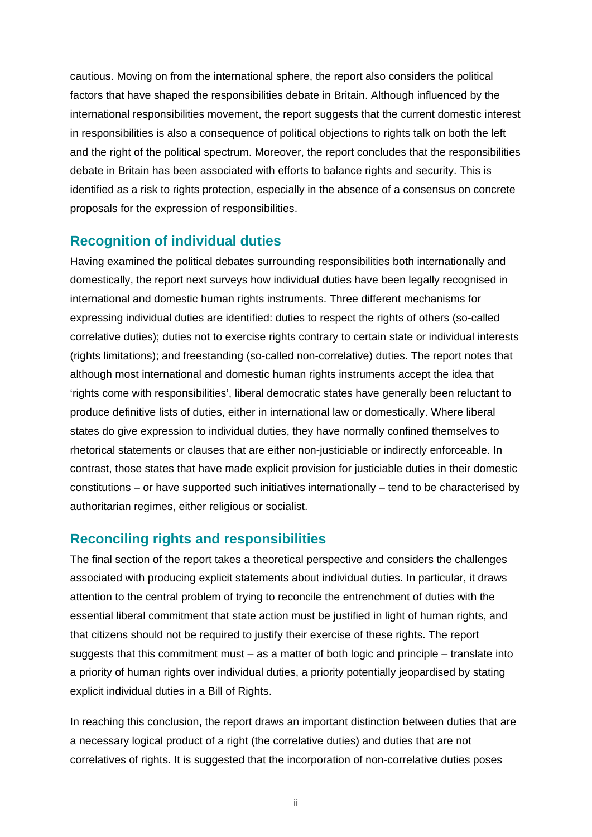cautious. Moving on from the international sphere, the report also considers the political factors that have shaped the responsibilities debate in Britain. Although influenced by the international responsibilities movement, the report suggests that the current domestic interest in responsibilities is also a consequence of political objections to rights talk on both the left and the right of the political spectrum. Moreover, the report concludes that the responsibilities debate in Britain has been associated with efforts to balance rights and security. This is identified as a risk to rights protection, especially in the absence of a consensus on concrete proposals for the expression of responsibilities.

### **Recognition of individual duties**

Having examined the political debates surrounding responsibilities both internationally and domestically, the report next surveys how individual duties have been legally recognised in international and domestic human rights instruments. Three different mechanisms for expressing individual duties are identified: duties to respect the rights of others (so-called correlative duties); duties not to exercise rights contrary to certain state or individual interests (rights limitations); and freestanding (so-called non-correlative) duties. The report notes that although most international and domestic human rights instruments accept the idea that 'rights come with responsibilities', liberal democratic states have generally been reluctant to produce definitive lists of duties, either in international law or domestically. Where liberal states do give expression to individual duties, they have normally confined themselves to rhetorical statements or clauses that are either non-justiciable or indirectly enforceable. In contrast, those states that have made explicit provision for justiciable duties in their domestic constitutions – or have supported such initiatives internationally – tend to be characterised by authoritarian regimes, either religious or socialist.

### **Reconciling rights and responsibilities**

The final section of the report takes a theoretical perspective and considers the challenges associated with producing explicit statements about individual duties. In particular, it draws attention to the central problem of trying to reconcile the entrenchment of duties with the essential liberal commitment that state action must be justified in light of human rights, and that citizens should not be required to justify their exercise of these rights. The report suggests that this commitment must  $-$  as a matter of both logic and principle  $-$  translate into a priority of human rights over individual duties, a priority potentially jeopardised by stating explicit individual duties in a Bill of Rights.

In reaching this conclusion, the report draws an important distinction between duties that are a necessary logical product of a right (the correlative duties) and duties that are not correlatives of rights. It is suggested that the incorporation of non-correlative duties poses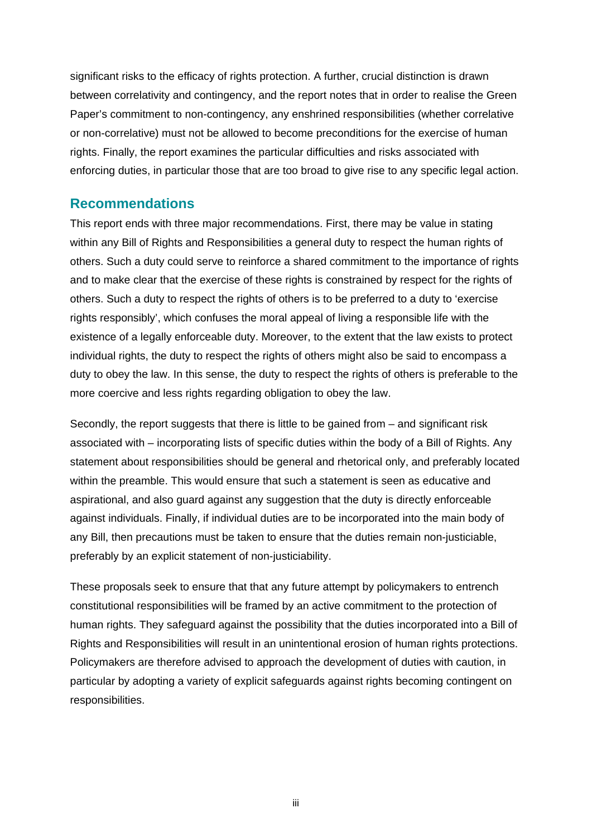significant risks to the efficacy of rights protection. A further, crucial distinction is drawn between correlativity and contingency, and the report notes that in order to realise the Green Paper's commitment to non-contingency, any enshrined responsibilities (whether correlative or non-correlative) must not be allowed to become preconditions for the exercise of human rights. Finally, the report examines the particular difficulties and risks associated with enforcing duties, in particular those that are too broad to give rise to any specific legal action.

#### **Recommendations**

This report ends with three major recommendations. First, there may be value in stating within any Bill of Rights and Responsibilities a general duty to respect the human rights of others. Such a duty could serve to reinforce a shared commitment to the importance of rights and to make clear that the exercise of these rights is constrained by respect for the rights of others. Such a duty to respect the rights of others is to be preferred to a duty to 'exercise rights responsibly', which confuses the moral appeal of living a responsible life with the existence of a legally enforceable duty. Moreover, to the extent that the law exists to protect individual rights, the duty to respect the rights of others might also be said to encompass a duty to obey the law. In this sense, the duty to respect the rights of others is preferable to the more coercive and less rights regarding obligation to obey the law.

Secondly, the report suggests that there is little to be gained from – and significant risk associated with – incorporating lists of specific duties within the body of a Bill of Rights. Any statement about responsibilities should be general and rhetorical only, and preferably located within the preamble. This would ensure that such a statement is seen as educative and aspirational, and also guard against any suggestion that the duty is directly enforceable against individuals. Finally, if individual duties are to be incorporated into the main body of any Bill, then precautions must be taken to ensure that the duties remain non-justiciable, preferably by an explicit statement of non-justiciability.

These proposals seek to ensure that that any future attempt by policymakers to entrench constitutional responsibilities will be framed by an active commitment to the protection of human rights. They safeguard against the possibility that the duties incorporated into a Bill of Rights and Responsibilities will result in an unintentional erosion of human rights protections. Policymakers are therefore advised to approach the development of duties with caution, in particular by adopting a variety of explicit safeguards against rights becoming contingent on responsibilities.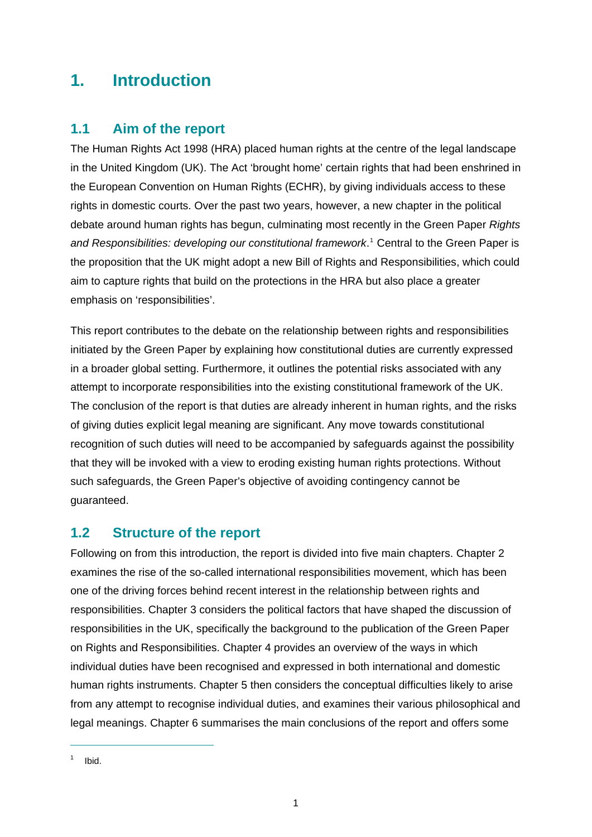## <span id="page-12-0"></span>**1. Introduction**

### <span id="page-12-1"></span>**1.1 Aim of the report**

The Human Rights Act 1998 (HRA) placed human rights at the centre of the legal landscape in the United Kingdom (UK). The Act 'brought home' certain rights that had been enshrined in the European Convention on Human Rights (ECHR), by giving individuals access to these rights in domestic courts. Over the past two years, however, a new chapter in the political debate around human rights has begun, culminating most recently in the Green Paper *Rights*  and Responsibilities: developing our constitutional framework.<sup>[1](#page-12-3)</sup> Central to the Green Paper is the proposition that the UK might adopt a new Bill of Rights and Responsibilities, which could aim to capture rights that build on the protections in the HRA but also place a greater emphasis on 'responsibilities'.

This report contributes to the debate on the relationship between rights and responsibilities initiated by the Green Paper by explaining how constitutional duties are currently expressed in a broader global setting. Furthermore, it outlines the potential risks associated with any attempt to incorporate responsibilities into the existing constitutional framework of the UK. The conclusion of the report is that duties are already inherent in human rights, and the risks of giving duties explicit legal meaning are significant. Any move towards constitutional recognition of such duties will need to be accompanied by safeguards against the possibility that they will be invoked with a view to eroding existing human rights protections. Without such safeguards, the Green Paper's objective of avoiding contingency cannot be guaranteed.

### <span id="page-12-2"></span>**1.2 Structure of the report**

Following on from this introduction, the report is divided into five main chapters. Chapter 2 examines the rise of the so-called international responsibilities movement, which has been one of the driving forces behind recent interest in the relationship between rights and responsibilities. Chapter 3 considers the political factors that have shaped the discussion of responsibilities in the UK, specifically the background to the publication of the Green Paper on Rights and Responsibilities. Chapter 4 provides an overview of the ways in which individual duties have been recognised and expressed in both international and domestic human rights instruments. Chapter 5 then considers the conceptual difficulties likely to arise from any attempt to recognise individual duties, and examines their various philosophical and legal meanings. Chapter 6 summarises the main conclusions of the report and offers some

 $\overline{a}$ 

<span id="page-12-3"></span><sup>1</sup> Ibid.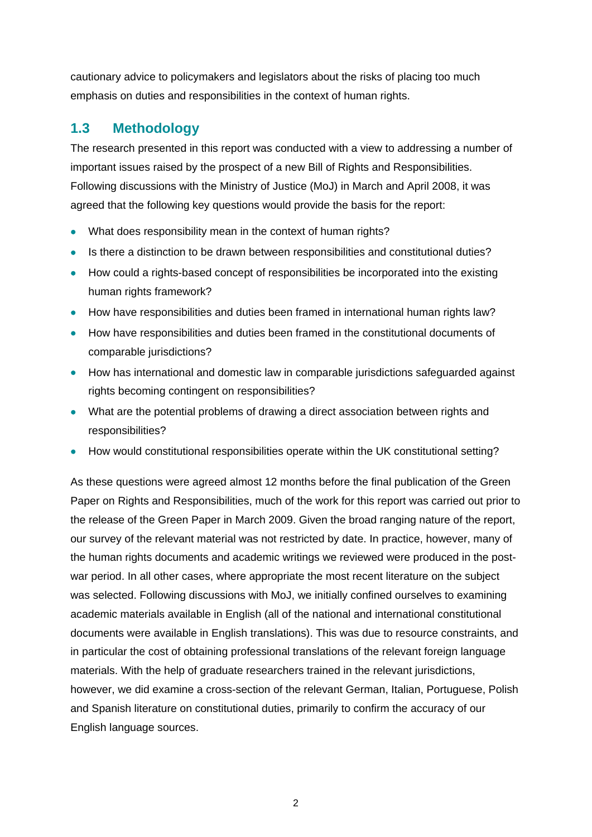cautionary advice to policymakers and legislators about the risks of placing too much emphasis on duties and responsibilities in the context of human rights.

### <span id="page-13-0"></span>**1.3 Methodology**

The research presented in this report was conducted with a view to addressing a number of important issues raised by the prospect of a new Bill of Rights and Responsibilities. Following discussions with the Ministry of Justice (MoJ) in March and April 2008, it was agreed that the following key questions would provide the basis for the report:

- What does responsibility mean in the context of human rights?
- Is there a distinction to be drawn between responsibilities and constitutional duties?
- How could a rights-based concept of responsibilities be incorporated into the existing human rights framework?
- How have responsibilities and duties been framed in international human rights law?
- How have responsibilities and duties been framed in the constitutional documents of comparable jurisdictions?
- How has international and domestic law in comparable jurisdictions safeguarded against rights becoming contingent on responsibilities?
- What are the potential problems of drawing a direct association between rights and responsibilities?
- How would constitutional responsibilities operate within the UK constitutional setting?

As these questions were agreed almost 12 months before the final publication of the Green Paper on Rights and Responsibilities, much of the work for this report was carried out prior to the release of the Green Paper in March 2009. Given the broad ranging nature of the report, our survey of the relevant material was not restricted by date. In practice, however, many of the human rights documents and academic writings we reviewed were produced in the postwar period. In all other cases, where appropriate the most recent literature on the subject was selected. Following discussions with MoJ, we initially confined ourselves to examining academic materials available in English (all of the national and international constitutional documents were available in English translations). This was due to resource constraints, and in particular the cost of obtaining professional translations of the relevant foreign language materials. With the help of graduate researchers trained in the relevant jurisdictions, however, we did examine a cross-section of the relevant German, Italian, Portuguese, Polish and Spanish literature on constitutional duties, primarily to confirm the accuracy of our English language sources.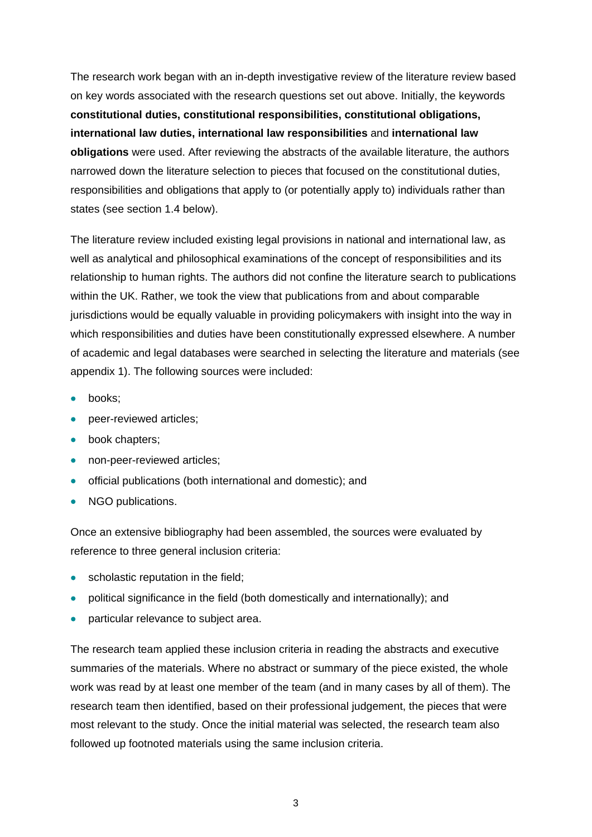The research work began with an in-depth investigative review of the literature review based on key words associated with the research questions set out above. Initially, the keywords **constitutional duties, constitutional responsibilities, constitutional obligations, international law duties, international law responsibilities** and **international law obligations** were used. After reviewing the abstracts of the available literature, the authors narrowed down the literature selection to pieces that focused on the constitutional duties, responsibilities and obligations that apply to (or potentially apply to) individuals rather than states (see section 1.4 below).

The literature review included existing legal provisions in national and international law, as well as analytical and philosophical examinations of the concept of responsibilities and its relationship to human rights. The authors did not confine the literature search to publications within the UK. Rather, we took the view that publications from and about comparable jurisdictions would be equally valuable in providing policymakers with insight into the way in which responsibilities and duties have been constitutionally expressed elsewhere. A number of academic and legal databases were searched in selecting the literature and materials (see appendix 1). The following sources were included:

- books;
- **•** peer-reviewed articles;
- book chapters;
- non-peer-reviewed articles:
- **•** official publications (both international and domestic); and
- NGO publications.

Once an extensive bibliography had been assembled, the sources were evaluated by reference to three general inclusion criteria:

- scholastic reputation in the field;
- political significance in the field (both domestically and internationally); and
- particular relevance to subject area.

The research team applied these inclusion criteria in reading the abstracts and executive summaries of the materials. Where no abstract or summary of the piece existed, the whole work was read by at least one member of the team (and in many cases by all of them). The research team then identified, based on their professional judgement, the pieces that were most relevant to the study. Once the initial material was selected, the research team also followed up footnoted materials using the same inclusion criteria.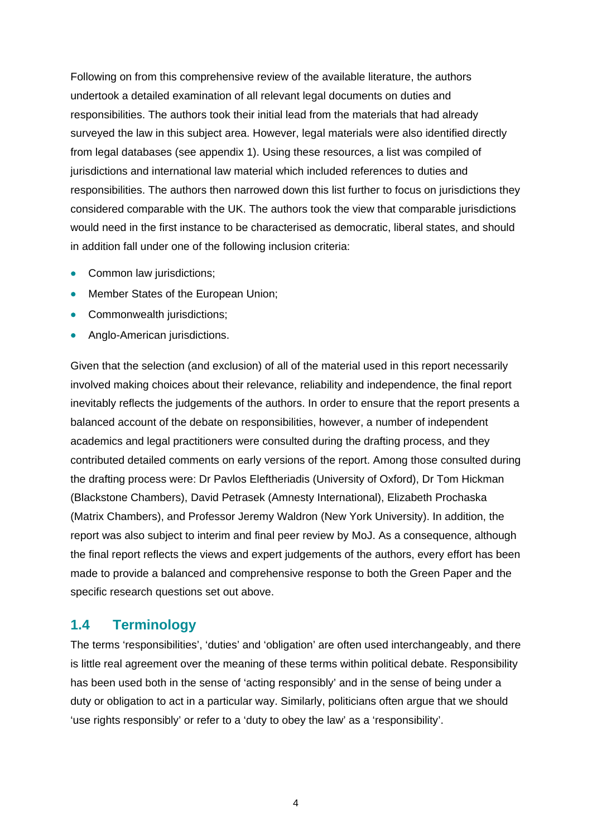Following on from this comprehensive review of the available literature, the authors undertook a detailed examination of all relevant legal documents on duties and responsibilities. The authors took their initial lead from the materials that had already surveyed the law in this subject area. However, legal materials were also identified directly from legal databases (see appendix 1). Using these resources, a list was compiled of jurisdictions and international law material which included references to duties and responsibilities. The authors then narrowed down this list further to focus on jurisdictions they considered comparable with the UK. The authors took the view that comparable jurisdictions would need in the first instance to be characterised as democratic, liberal states, and should in addition fall under one of the following inclusion criteria:

- Common law jurisdictions;
- Member States of the European Union;
- Commonwealth jurisdictions;
- Anglo-American jurisdictions.

Given that the selection (and exclusion) of all of the material used in this report necessarily involved making choices about their relevance, reliability and independence, the final report inevitably reflects the judgements of the authors. In order to ensure that the report presents a balanced account of the debate on responsibilities, however, a number of independent academics and legal practitioners were consulted during the drafting process, and they contributed detailed comments on early versions of the report. Among those consulted during the drafting process were: Dr Pavlos Eleftheriadis (University of Oxford), Dr Tom Hickman (Blackstone Chambers), David Petrasek (Amnesty International), Elizabeth Prochaska (Matrix Chambers), and Professor Jeremy Waldron (New York University). In addition, the report was also subject to interim and final peer review by MoJ. As a consequence, although the final report reflects the views and expert judgements of the authors, every effort has been made to provide a balanced and comprehensive response to both the Green Paper and the specific research questions set out above.

### <span id="page-15-0"></span>**1.4 Terminology**

The terms 'responsibilities', 'duties' and 'obligation' are often used interchangeably, and there is little real agreement over the meaning of these terms within political debate. Responsibility has been used both in the sense of 'acting responsibly' and in the sense of being under a duty or obligation to act in a particular way. Similarly, politicians often argue that we should 'use rights responsibly' or refer to a 'duty to obey the law' as a 'responsibility'.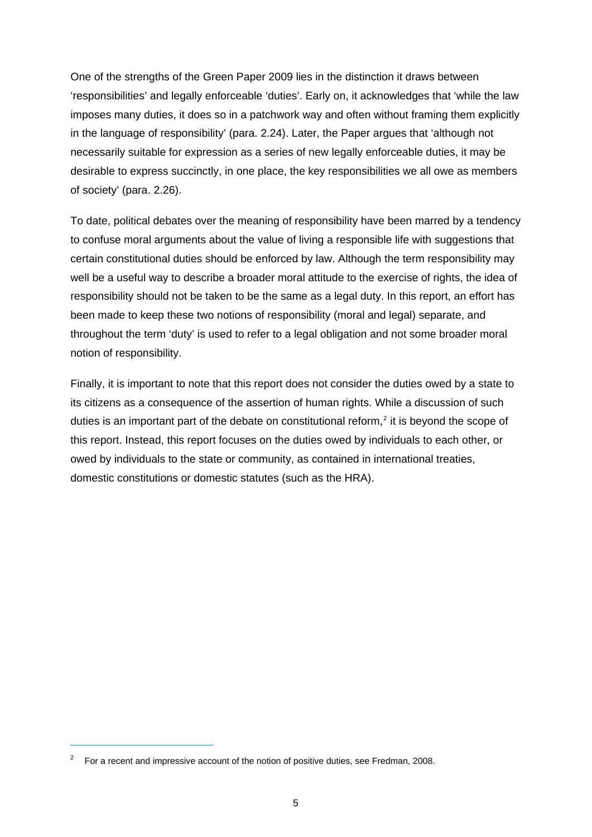One of the strengths of the Green Paper 2009 lies in the distinction it draws between 'responsibilities' and legally enforceable 'duties'. Early on, it acknowledges that 'while the law imposes many duties, it does so in a patchwork way and often without framing them explicitly in the language of responsibility' (para. 2.24). Later, the Paper argues that 'although not necessarily suitable for expression as a series of new legally enforceable duties, it may be desirable to express succinctly, in one place, the key responsibilities we all owe as members of society' (para. 2.26).

To date, political debates over the meaning of responsibility have been marred by a tendency to confuse moral arguments about the value of living a responsible life with suggestions that certain constitutional duties should be enforced by law. Although the term responsibility may well be a useful way to describe a broader moral attitude to the exercise of rights, the idea of responsibility should not be taken to be the same as a legal duty. In this report, an effort has been made to keep these two notions of responsibility (moral and legal) separate, and throughout the term 'duty' is used to refer to a legal obligation and not some broader moral notion of responsibility.

Finally, it is important to note that this report does not consider the duties owed by a state to its citizens as a consequence of the assertion of human rights. While a discussion of such duties is an important part of the debate on constitutional reform, $<sup>2</sup>$  $<sup>2</sup>$  $<sup>2</sup>$  it is beyond the scope of</sup> this report. Instead, this report focuses on the duties owed by individuals to each other, or owed by individuals to the state or community, as contained in international treaties, domestic constitutions or domestic statutes (such as the HRA).

 $\overline{a}$ 

<span id="page-16-0"></span><sup>2</sup> For a recent and impressive account of the notion of positive duties, see Fredman, 2008.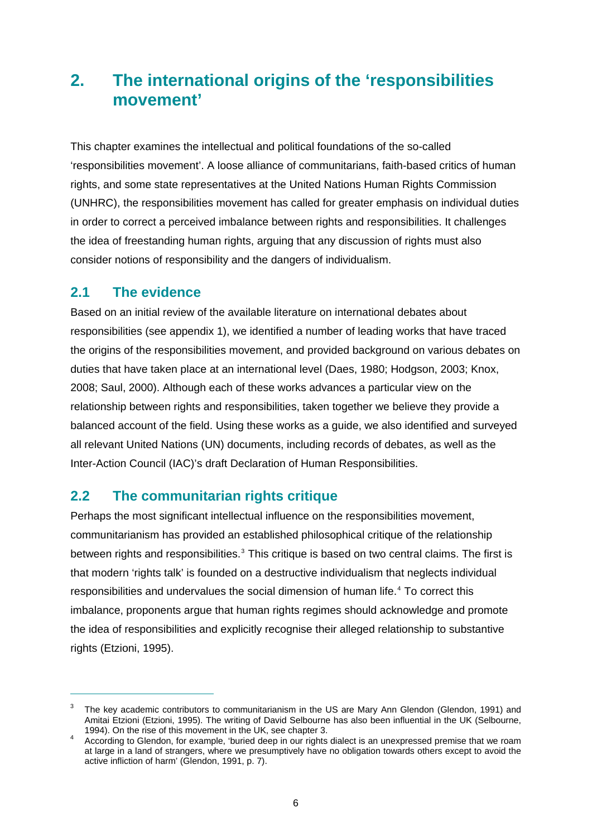## <span id="page-17-0"></span>**2. The international origins of the 'responsibilities movement'**

This chapter examines the intellectual and political foundations of the so-called 'responsibilities movement'. A loose alliance of communitarians, faith-based critics of human rights, and some state representatives at the United Nations Human Rights Commission (UNHRC), the responsibilities movement has called for greater emphasis on individual duties in order to correct a perceived imbalance between rights and responsibilities. It challenges the idea of freestanding human rights, arguing that any discussion of rights must also consider notions of responsibility and the dangers of individualism.

### <span id="page-17-1"></span>**2.1 The evidence**

 $\overline{a}$ 

Based on an initial review of the available literature on international debates about responsibilities (see appendix 1), we identified a number of leading works that have traced the origins of the responsibilities movement, and provided background on various debates on duties that have taken place at an international level (Daes, 1980; Hodgson, 2003; Knox, 2008; Saul, 2000). Although each of these works advances a particular view on the relationship between rights and responsibilities, taken together we believe they provide a balanced account of the field. Using these works as a guide, we also identified and surveyed all relevant United Nations (UN) documents, including records of debates, as well as the Inter-Action Council (IAC)'s draft Declaration of Human Responsibilities.

### <span id="page-17-2"></span>**2.2 The communitarian rights critique**

Perhaps the most significant intellectual influence on the responsibilities movement, communitarianism has provided an established philosophical critique of the relationship between rights and responsibilities.<sup>[3](#page-17-3)</sup> This critique is based on two central claims. The first is that modern 'rights talk' is founded on a destructive individualism that neglects individual responsibilities and undervalues the social dimension of human life.<sup>[4](#page-17-4)</sup> To correct this imbalance, proponents argue that human rights regimes should acknowledge and promote the idea of responsibilities and explicitly recognise their alleged relationship to substantive rights (Etzioni, 1995).

<span id="page-17-3"></span><sup>3</sup> The key academic contributors to communitarianism in the US are Mary Ann Glendon (Glendon, 1991) and Amitai Etzioni (Etzioni, 1995). The writing of David Selbourne has also been influential in the UK (Selbourne, 1994). On the rise of this movement in the UK, see chapter 3. 4

<span id="page-17-4"></span>According to Glendon, for example, 'buried deep in our rights dialect is an unexpressed premise that we roam at large in a land of strangers, where we presumptively have no obligation towards others except to avoid the active infliction of harm' (Glendon, 1991, p. 7).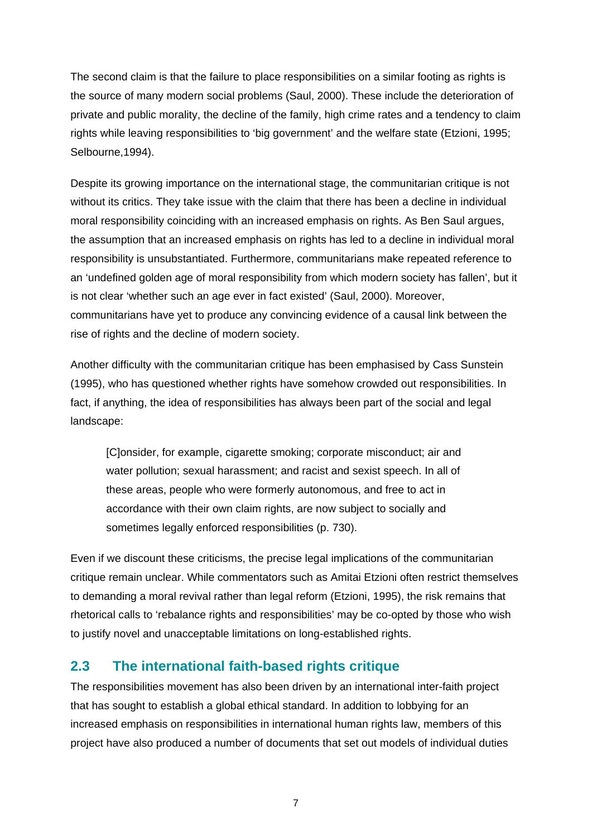The second claim is that the failure to place responsibilities on a similar footing as rights is the source of many modern social problems (Saul, 2000). These include the deterioration of private and public morality, the decline of the family, high crime rates and a tendency to claim rights while leaving responsibilities to 'big government' and the welfare state (Etzioni, 1995; Selbourne,1994).

Despite its growing importance on the international stage, the communitarian critique is not without its critics. They take issue with the claim that there has been a decline in individual moral responsibility coinciding with an increased emphasis on rights. As Ben Saul argues, the assumption that an increased emphasis on rights has led to a decline in individual moral responsibility is unsubstantiated. Furthermore, communitarians make repeated reference to an 'undefined golden age of moral responsibility from which modern society has fallen', but it is not clear 'whether such an age ever in fact existed' (Saul, 2000). Moreover, communitarians have yet to produce any convincing evidence of a causal link between the rise of rights and the decline of modern society.

Another difficulty with the communitarian critique has been emphasised by Cass Sunstein (1995), who has questioned whether rights have somehow crowded out responsibilities. In fact, if anything, the idea of responsibilities has always been part of the social and legal landscape:

[C]onsider, for example, cigarette smoking; corporate misconduct; air and water pollution; sexual harassment; and racist and sexist speech. In all of these areas, people who were formerly autonomous, and free to act in accordance with their own claim rights, are now subject to socially and sometimes legally enforced responsibilities (p. 730).

Even if we discount these criticisms, the precise legal implications of the communitarian critique remain unclear. While commentators such as Amitai Etzioni often restrict themselves to demanding a moral revival rather than legal reform (Etzioni, 1995), the risk remains that rhetorical calls to 'rebalance rights and responsibilities' may be co-opted by those who wish to justify novel and unacceptable limitations on long-established rights.

### <span id="page-18-0"></span>**2.3 The international faith-based rights critique**

The responsibilities movement has also been driven by an international inter-faith project that has sought to establish a global ethical standard. In addition to lobbying for an increased emphasis on responsibilities in international human rights law, members of this project have also produced a number of documents that set out models of individual duties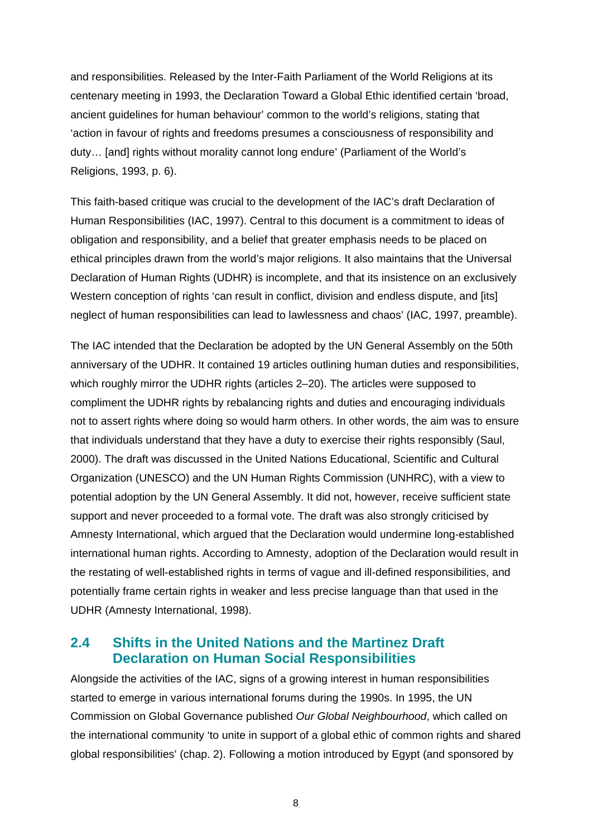and responsibilities. Released by the Inter-Faith Parliament of the World Religions at its centenary meeting in 1993, the Declaration Toward a Global Ethic identified certain 'broad, ancient guidelines for human behaviour' common to the world's religions, stating that 'action in favour of rights and freedoms presumes a consciousness of responsibility and duty… [and] rights without morality cannot long endure' (Parliament of the World's Religions, 1993, p. 6).

This faith-based critique was crucial to the development of the IAC's draft Declaration of Human Responsibilities (IAC, 1997). Central to this document is a commitment to ideas of obligation and responsibility, and a belief that greater emphasis needs to be placed on ethical principles drawn from the world's major religions. It also maintains that the Universal Declaration of Human Rights (UDHR) is incomplete, and that its insistence on an exclusively Western conception of rights 'can result in conflict, division and endless dispute, and [its] neglect of human responsibilities can lead to lawlessness and chaos' (IAC, 1997, preamble).

The IAC intended that the Declaration be adopted by the UN General Assembly on the 50th anniversary of the UDHR. It contained 19 articles outlining human duties and responsibilities, which roughly mirror the UDHR rights (articles 2–20). The articles were supposed to compliment the UDHR rights by rebalancing rights and duties and encouraging individuals not to assert rights where doing so would harm others. In other words, the aim was to ensure that individuals understand that they have a duty to exercise their rights responsibly (Saul, 2000). The draft was discussed in the United Nations Educational, Scientific and Cultural Organization (UNESCO) and the UN Human Rights Commission (UNHRC), with a view to potential adoption by the UN General Assembly. It did not, however, receive sufficient state support and never proceeded to a formal vote. The draft was also strongly criticised by Amnesty International, which argued that the Declaration would undermine long-established international human rights. According to Amnesty, adoption of the Declaration would result in the restating of well-established rights in terms of vague and ill-defined responsibilities, and potentially frame certain rights in weaker and less precise language than that used in the UDHR (Amnesty International, 1998).

### <span id="page-19-0"></span>**2.4 Shifts in the United Nations and the Martinez Draft Declaration on Human Social Responsibilities**

Alongside the activities of the IAC, signs of a growing interest in human responsibilities started to emerge in various international forums during the 1990s. In 1995, the UN Commission on Global Governance published *Our Global Neighbourhood*, which called on the international community 'to unite in support of a global ethic of common rights and shared global responsibilities' (chap. 2). Following a motion introduced by Egypt (and sponsored by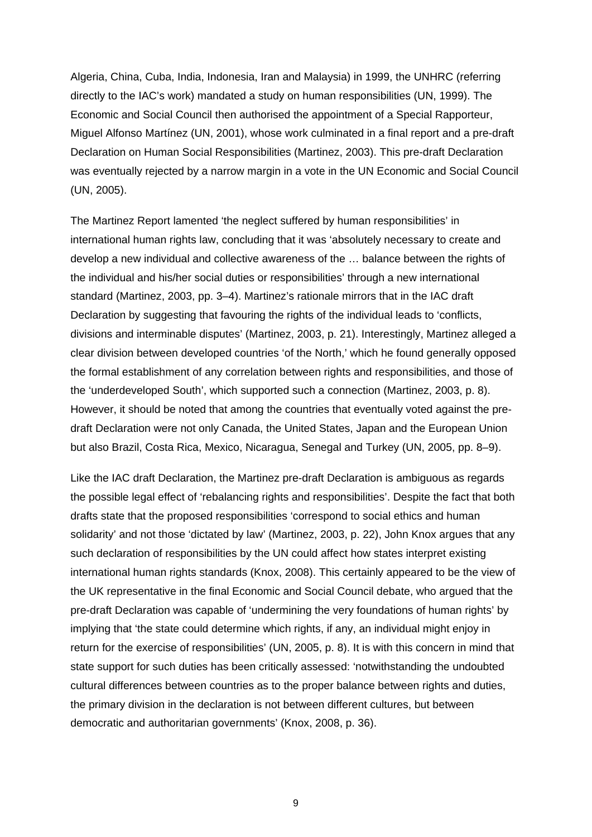Algeria, China, Cuba, India, Indonesia, Iran and Malaysia) in 1999, the UNHRC (referring directly to the IAC's work) mandated a study on human responsibilities (UN, 1999). The Economic and Social Council then authorised the appointment of a Special Rapporteur, Miguel Alfonso Martínez (UN, 2001), whose work culminated in a final report and a pre-draft Declaration on Human Social Responsibilities (Martinez, 2003). This pre-draft Declaration was eventually rejected by a narrow margin in a vote in the UN Economic and Social Council (UN, 2005).

The Martinez Report lamented 'the neglect suffered by human responsibilities' in international human rights law, concluding that it was 'absolutely necessary to create and develop a new individual and collective awareness of the … balance between the rights of the individual and his/her social duties or responsibilities' through a new international standard (Martinez, 2003, pp. 3–4). Martinez's rationale mirrors that in the IAC draft Declaration by suggesting that favouring the rights of the individual leads to 'conflicts, divisions and interminable disputes' (Martinez, 2003, p. 21). Interestingly, Martinez alleged a clear division between developed countries 'of the North,' which he found generally opposed the formal establishment of any correlation between rights and responsibilities, and those of the 'underdeveloped South', which supported such a connection (Martinez, 2003, p. 8). However, it should be noted that among the countries that eventually voted against the predraft Declaration were not only Canada, the United States, Japan and the European Union but also Brazil, Costa Rica, Mexico, Nicaragua, Senegal and Turkey (UN, 2005, pp. 8–9).

Like the IAC draft Declaration, the Martinez pre-draft Declaration is ambiguous as regards the possible legal effect of 'rebalancing rights and responsibilities'. Despite the fact that both drafts state that the proposed responsibilities 'correspond to social ethics and human solidarity' and not those 'dictated by law' (Martinez, 2003, p. 22), John Knox argues that any such declaration of responsibilities by the UN could affect how states interpret existing international human rights standards (Knox, 2008). This certainly appeared to be the view of the UK representative in the final Economic and Social Council debate, who argued that the pre-draft Declaration was capable of 'undermining the very foundations of human rights' by implying that 'the state could determine which rights, if any, an individual might enjoy in return for the exercise of responsibilities' (UN, 2005, p. 8). It is with this concern in mind that state support for such duties has been critically assessed: 'notwithstanding the undoubted cultural differences between countries as to the proper balance between rights and duties, the primary division in the declaration is not between different cultures, but between democratic and authoritarian governments' (Knox, 2008, p. 36).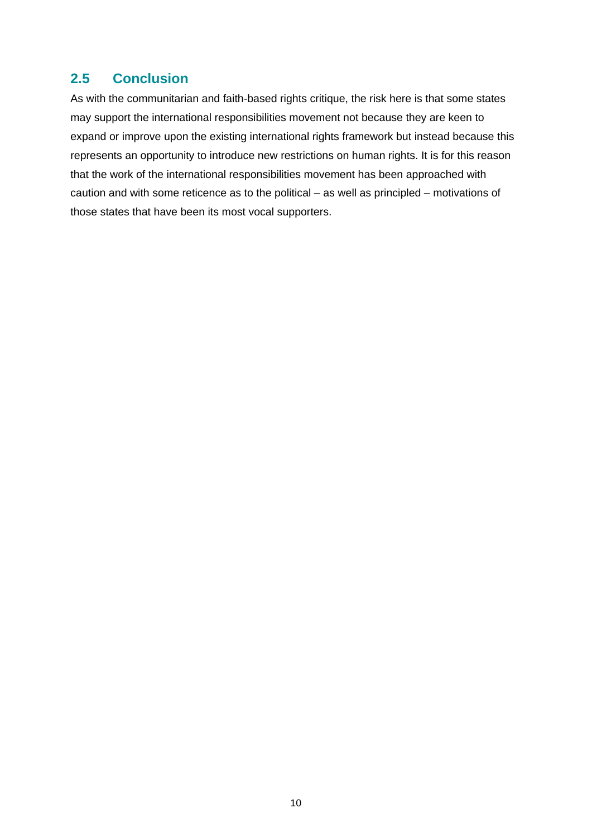### <span id="page-21-0"></span>**2.5 Conclusion**

As with the communitarian and faith-based rights critique, the risk here is that some states may support the international responsibilities movement not because they are keen to expand or improve upon the existing international rights framework but instead because this represents an opportunity to introduce new restrictions on human rights. It is for this reason that the work of the international responsibilities movement has been approached with caution and with some reticence as to the political – as well as principled – motivations of those states that have been its most vocal supporters.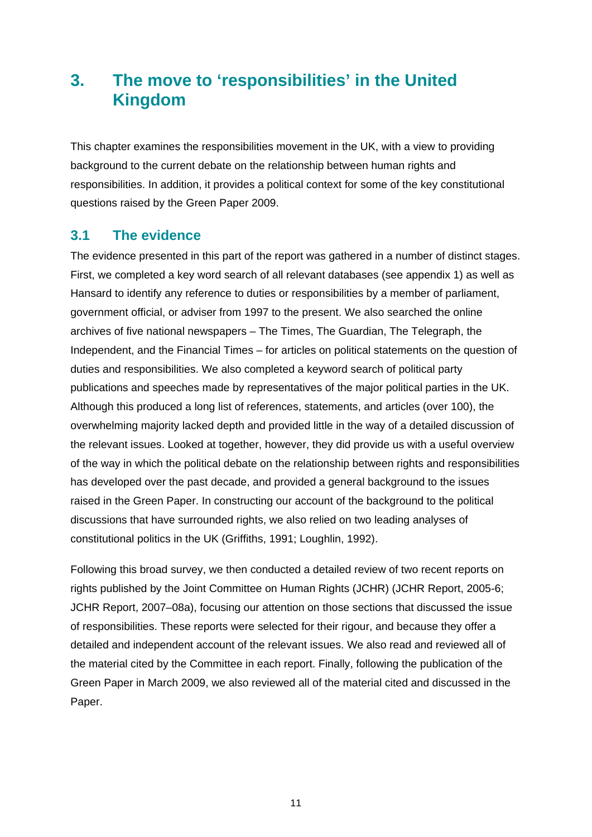## <span id="page-22-0"></span>**3. The move to 'responsibilities' in the United Kingdom**

This chapter examines the responsibilities movement in the UK, with a view to providing background to the current debate on the relationship between human rights and responsibilities. In addition, it provides a political context for some of the key constitutional questions raised by the Green Paper 2009.

### <span id="page-22-1"></span>**3.1 The evidence**

The evidence presented in this part of the report was gathered in a number of distinct stages. First, we completed a key word search of all relevant databases (see appendix 1) as well as Hansard to identify any reference to duties or responsibilities by a member of parliament, government official, or adviser from 1997 to the present. We also searched the online archives of five national newspapers – The Times, The Guardian, The Telegraph, the Independent, and the Financial Times – for articles on political statements on the question of duties and responsibilities. We also completed a keyword search of political party publications and speeches made by representatives of the major political parties in the UK. Although this produced a long list of references, statements, and articles (over 100), the overwhelming majority lacked depth and provided little in the way of a detailed discussion of the relevant issues. Looked at together, however, they did provide us with a useful overview of the way in which the political debate on the relationship between rights and responsibilities has developed over the past decade, and provided a general background to the issues raised in the Green Paper. In constructing our account of the background to the political discussions that have surrounded rights, we also relied on two leading analyses of constitutional politics in the UK (Griffiths, 1991; Loughlin, 1992).

Following this broad survey, we then conducted a detailed review of two recent reports on rights published by the Joint Committee on Human Rights (JCHR) (JCHR Report, 2005-6; JCHR Report, 2007–08a), focusing our attention on those sections that discussed the issue of responsibilities. These reports were selected for their rigour, and because they offer a detailed and independent account of the relevant issues. We also read and reviewed all of the material cited by the Committee in each report. Finally, following the publication of the Green Paper in March 2009, we also reviewed all of the material cited and discussed in the Paper.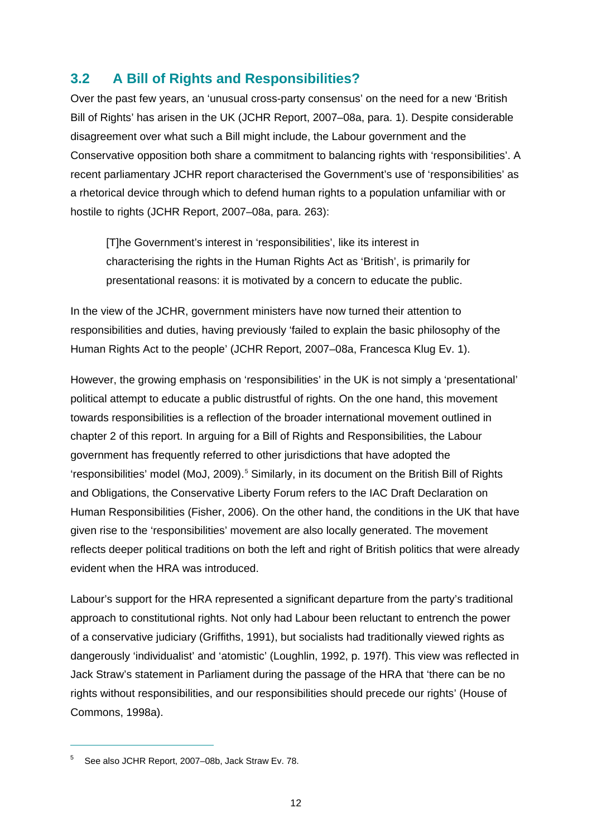### <span id="page-23-0"></span>**3.2 A Bill of Rights and Responsibilities?**

Over the past few years, an 'unusual cross-party consensus' on the need for a new 'British Bill of Rights' has arisen in the UK (JCHR Report, 2007–08a, para. 1). Despite considerable disagreement over what such a Bill might include, the Labour government and the Conservative opposition both share a commitment to balancing rights with 'responsibilities'. A recent parliamentary JCHR report characterised the Government's use of 'responsibilities' as a rhetorical device through which to defend human rights to a population unfamiliar with or hostile to rights (JCHR Report, 2007–08a, para. 263):

[T]he Government's interest in 'responsibilities', like its interest in characterising the rights in the Human Rights Act as 'British', is primarily for presentational reasons: it is motivated by a concern to educate the public.

In the view of the JCHR, government ministers have now turned their attention to responsibilities and duties, having previously 'failed to explain the basic philosophy of the Human Rights Act to the people' (JCHR Report, 2007–08a, Francesca Klug Ev. 1).

However, the growing emphasis on 'responsibilities' in the UK is not simply a 'presentational' political attempt to educate a public distrustful of rights. On the one hand, this movement towards responsibilities is a reflection of the broader international movement outlined in chapter 2 of this report. In arguing for a Bill of Rights and Responsibilities, the Labour government has frequently referred to other jurisdictions that have adopted the 'responsibilities' model (MoJ, 2009).<sup>[5](#page-23-1)</sup> Similarly, in its document on the British Bill of Rights and Obligations, the Conservative Liberty Forum refers to the IAC Draft Declaration on Human Responsibilities (Fisher, 2006). On the other hand, the conditions in the UK that have given rise to the 'responsibilities' movement are also locally generated. The movement reflects deeper political traditions on both the left and right of British politics that were already evident when the HRA was introduced.

Labour's support for the HRA represented a significant departure from the party's traditional approach to constitutional rights. Not only had Labour been reluctant to entrench the power of a conservative judiciary (Griffiths, 1991), but socialists had traditionally viewed rights as dangerously 'individualist' and 'atomistic' (Loughlin, 1992, p. 197f). This view was reflected in Jack Straw's statement in Parliament during the passage of the HRA that 'there can be no rights without responsibilities, and our responsibilities should precede our rights' (House of Commons, 1998a).

 $\overline{a}$ 

<span id="page-23-1"></span><sup>&</sup>lt;sup>5</sup> See also JCHR Report, 2007–08b, Jack Straw Ev. 78.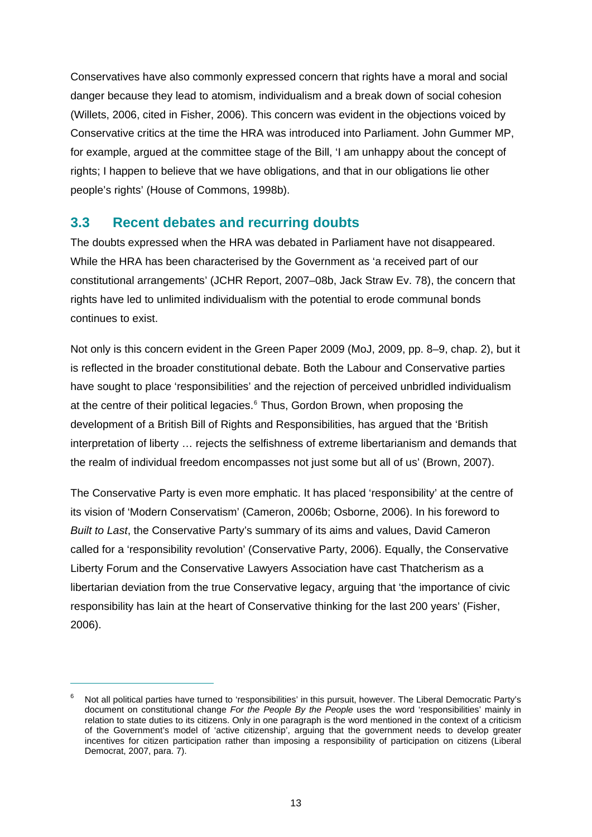Conservatives have also commonly expressed concern that rights have a moral and social danger because they lead to atomism, individualism and a break down of social cohesion (Willets, 2006, cited in Fisher, 2006). This concern was evident in the objections voiced by Conservative critics at the time the HRA was introduced into Parliament. John Gummer MP, for example, argued at the committee stage of the Bill, 'I am unhappy about the concept of rights; I happen to believe that we have obligations, and that in our obligations lie other people's rights' (House of Commons, 1998b).

### <span id="page-24-0"></span>**3.3 Recent debates and recurring doubts**

The doubts expressed when the HRA was debated in Parliament have not disappeared. While the HRA has been characterised by the Government as 'a received part of our constitutional arrangements' (JCHR Report, 2007–08b, Jack Straw Ev. 78), the concern that rights have led to unlimited individualism with the potential to erode communal bonds continues to exist.

Not only is this concern evident in the Green Paper 2009 (MoJ, 2009, pp. 8–9, chap. 2), but it is reflected in the broader constitutional debate. Both the Labour and Conservative parties have sought to place 'responsibilities' and the rejection of perceived unbridled individualism at the centre of their political legacies.<sup>[6](#page-24-1)</sup> Thus, Gordon Brown, when proposing the development of a British Bill of Rights and Responsibilities, has argued that the 'British interpretation of liberty … rejects the selfishness of extreme libertarianism and demands that the realm of individual freedom encompasses not just some but all of us' (Brown, 2007).

The Conservative Party is even more emphatic. It has placed 'responsibility' at the centre of its vision of 'Modern Conservatism' (Cameron, 2006b; Osborne, 2006). In his foreword to *Built to Last*, the Conservative Party's summary of its aims and values, David Cameron called for a 'responsibility revolution' (Conservative Party, 2006). Equally, the Conservative Liberty Forum and the Conservative Lawyers Association have cast Thatcherism as a libertarian deviation from the true Conservative legacy, arguing that 'the importance of civic responsibility has lain at the heart of Conservative thinking for the last 200 years' (Fisher, 2006).

 $\overline{a}$ 

<span id="page-24-1"></span>Not all political parties have turned to 'responsibilities' in this pursuit, however. The Liberal Democratic Party's document on constitutional change *For the People By the People* uses the word 'responsibilities' mainly in relation to state duties to its citizens. Only in one paragraph is the word mentioned in the context of a criticism of the Government's model of 'active citizenship', arguing that the government needs to develop greater incentives for citizen participation rather than imposing a responsibility of participation on citizens (Liberal Democrat, 2007, para. 7).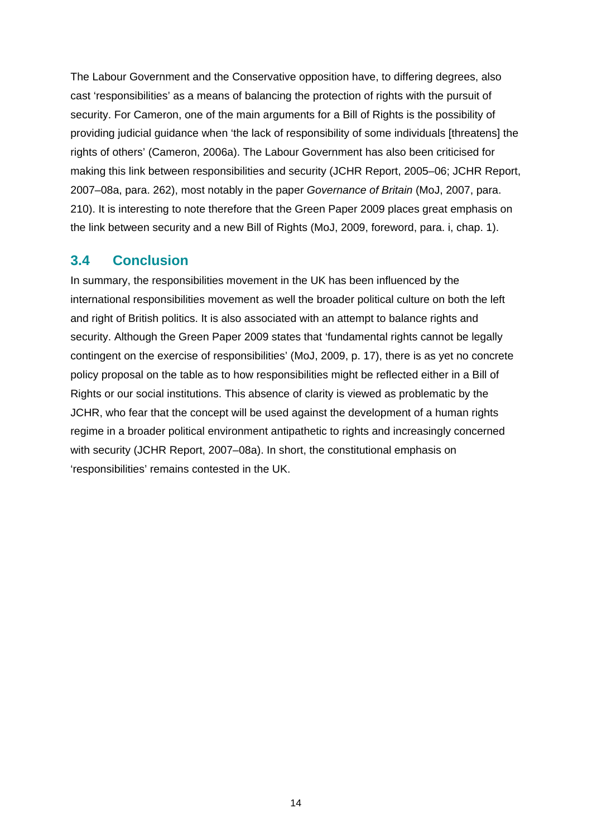The Labour Government and the Conservative opposition have, to differing degrees, also cast 'responsibilities' as a means of balancing the protection of rights with the pursuit of security. For Cameron, one of the main arguments for a Bill of Rights is the possibility of providing judicial guidance when 'the lack of responsibility of some individuals [threatens] the rights of others' (Cameron, 2006a). The Labour Government has also been criticised for making this link between responsibilities and security (JCHR Report, 2005–06; JCHR Report, 2007–08a, para. 262), most notably in the paper *Governance of Britain* (MoJ, 2007, para. 210). It is interesting to note therefore that the Green Paper 2009 places great emphasis on the link between security and a new Bill of Rights (MoJ, 2009, foreword, para. i, chap. 1).

### <span id="page-25-0"></span>**3.4 Conclusion**

In summary, the responsibilities movement in the UK has been influenced by the international responsibilities movement as well the broader political culture on both the left and right of British politics. It is also associated with an attempt to balance rights and security. Although the Green Paper 2009 states that 'fundamental rights cannot be legally contingent on the exercise of responsibilities' (MoJ, 2009, p. 17), there is as yet no concrete policy proposal on the table as to how responsibilities might be reflected either in a Bill of Rights or our social institutions. This absence of clarity is viewed as problematic by the JCHR, who fear that the concept will be used against the development of a human rights regime in a broader political environment antipathetic to rights and increasingly concerned with security (JCHR Report, 2007–08a). In short, the constitutional emphasis on 'responsibilities' remains contested in the UK.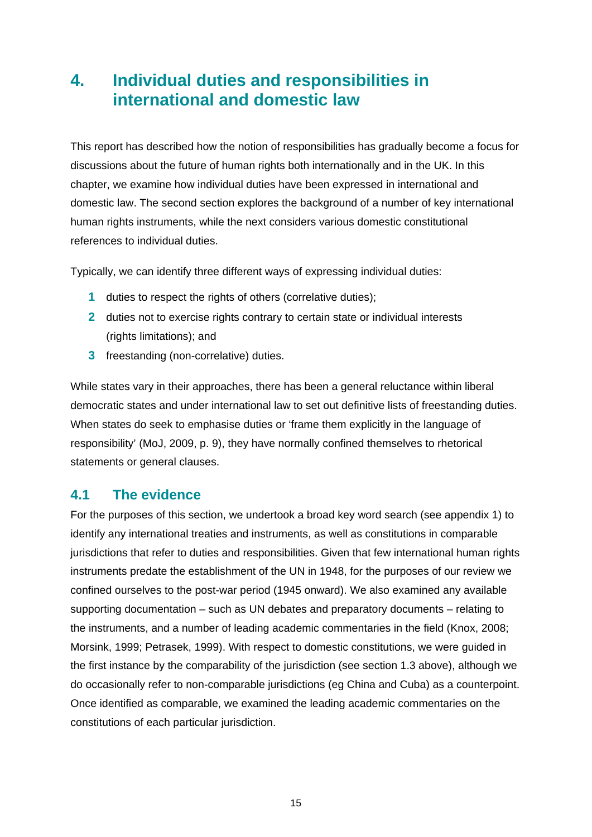## <span id="page-26-0"></span>**4. Individual duties and responsibilities in international and domestic law**

This report has described how the notion of responsibilities has gradually become a focus for discussions about the future of human rights both internationally and in the UK. In this chapter, we examine how individual duties have been expressed in international and domestic law. The second section explores the background of a number of key international human rights instruments, while the next considers various domestic constitutional references to individual duties.

Typically, we can identify three different ways of expressing individual duties:

- **1** duties to respect the rights of others (correlative duties);
- **2** duties not to exercise rights contrary to certain state or individual interests (rights limitations); and
- **3** freestanding (non-correlative) duties.

While states vary in their approaches, there has been a general reluctance within liberal democratic states and under international law to set out definitive lists of freestanding duties. When states do seek to emphasise duties or 'frame them explicitly in the language of responsibility' (MoJ, 2009, p. 9), they have normally confined themselves to rhetorical statements or general clauses.

### <span id="page-26-1"></span>**4.1 The evidence**

For the purposes of this section, we undertook a broad key word search (see appendix 1) to identify any international treaties and instruments, as well as constitutions in comparable jurisdictions that refer to duties and responsibilities. Given that few international human rights instruments predate the establishment of the UN in 1948, for the purposes of our review we confined ourselves to the post-war period (1945 onward). We also examined any available supporting documentation – such as UN debates and preparatory documents – relating to the instruments, and a number of leading academic commentaries in the field (Knox, 2008; Morsink, 1999; Petrasek, 1999). With respect to domestic constitutions, we were guided in the first instance by the comparability of the jurisdiction (see section 1.3 above), although we do occasionally refer to non-comparable jurisdictions (eg China and Cuba) as a counterpoint. Once identified as comparable, we examined the leading academic commentaries on the constitutions of each particular jurisdiction.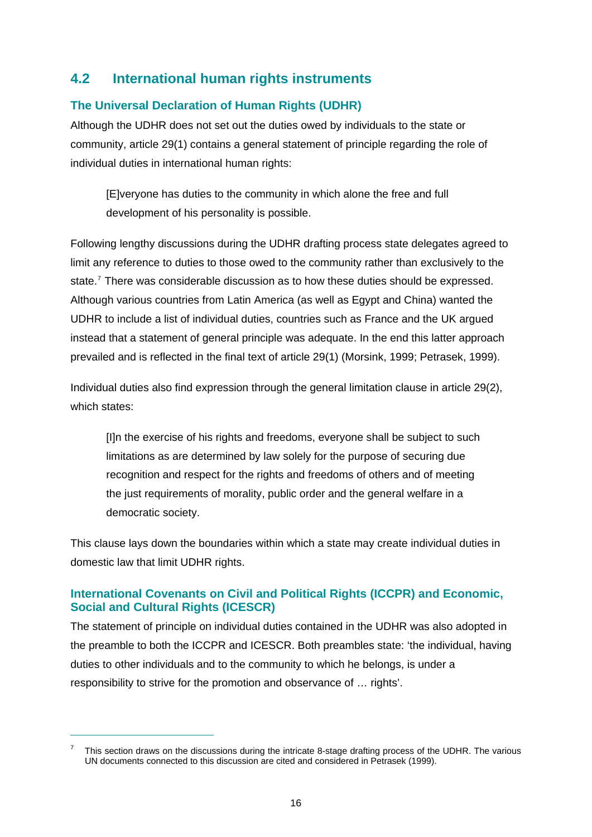### <span id="page-27-0"></span>**4.2 International human rights instruments**

### **The Universal Declaration of Human Rights (UDHR)**

Although the UDHR does not set out the duties owed by individuals to the state or community, article 29(1) contains a general statement of principle regarding the role of individual duties in international human rights:

[E]veryone has duties to the community in which alone the free and full development of his personality is possible.

Following lengthy discussions during the UDHR drafting process state delegates agreed to limit any reference to duties to those owed to the community rather than exclusively to the state.<sup>[7](#page-27-1)</sup> There was considerable discussion as to how these duties should be expressed. Although various countries from Latin America (as well as Egypt and China) wanted the UDHR to include a list of individual duties, countries such as France and the UK argued instead that a statement of general principle was adequate. In the end this latter approach prevailed and is reflected in the final text of article 29(1) (Morsink, 1999; Petrasek, 1999).

Individual duties also find expression through the general limitation clause in article 29(2), which states:

[I]n the exercise of his rights and freedoms, everyone shall be subject to such limitations as are determined by law solely for the purpose of securing due recognition and respect for the rights and freedoms of others and of meeting the just requirements of morality, public order and the general welfare in a democratic society.

This clause lays down the boundaries within which a state may create individual duties in domestic law that limit UDHR rights.

### **International Covenants on Civil and Political Rights (ICCPR) and Economic, Social and Cultural Rights (ICESCR)**

The statement of principle on individual duties contained in the UDHR was also adopted in the preamble to both the ICCPR and ICESCR. Both preambles state: 'the individual, having duties to other individuals and to the community to which he belongs, is under a responsibility to strive for the promotion and observance of … rights'.

 $\overline{a}$ 

<span id="page-27-1"></span><sup>7</sup> This section draws on the discussions during the intricate 8-stage drafting process of the UDHR. The various UN documents connected to this discussion are cited and considered in Petrasek (1999).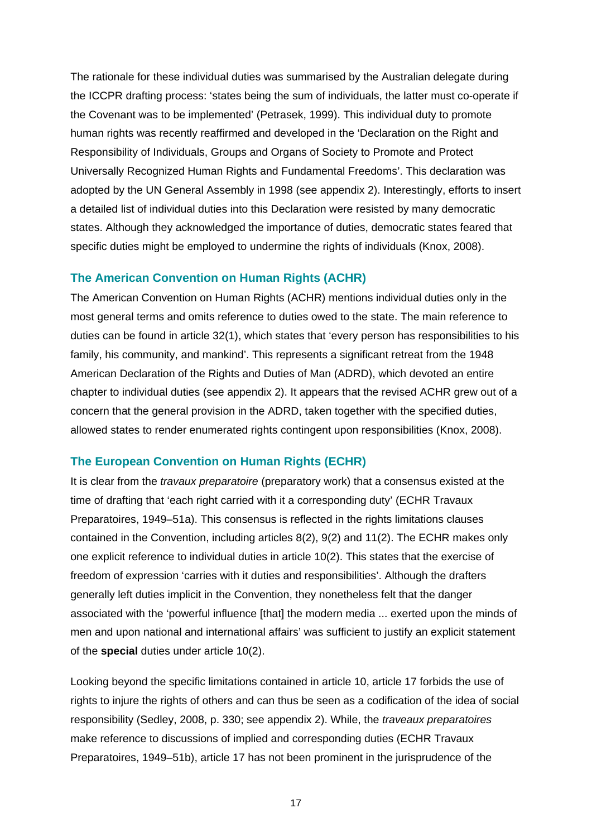The rationale for these individual duties was summarised by the Australian delegate during the ICCPR drafting process: 'states being the sum of individuals, the latter must co-operate if the Covenant was to be implemented' (Petrasek, 1999). This individual duty to promote human rights was recently reaffirmed and developed in the 'Declaration on the Right and Responsibility of Individuals, Groups and Organs of Society to Promote and Protect Universally Recognized Human Rights and Fundamental Freedoms'. This declaration was adopted by the UN General Assembly in 1998 (see appendix 2). Interestingly, efforts to insert a detailed list of individual duties into this Declaration were resisted by many democratic states. Although they acknowledged the importance of duties, democratic states feared that specific duties might be employed to undermine the rights of individuals (Knox, 2008).

#### **The American Convention on Human Rights (ACHR)**

The American Convention on Human Rights (ACHR) mentions individual duties only in the most general terms and omits reference to duties owed to the state. The main reference to duties can be found in article 32(1), which states that 'every person has responsibilities to his family, his community, and mankind'. This represents a significant retreat from the 1948 American Declaration of the Rights and Duties of Man (ADRD), which devoted an entire chapter to individual duties (see appendix 2). It appears that the revised ACHR grew out of a concern that the general provision in the ADRD, taken together with the specified duties, allowed states to render enumerated rights contingent upon responsibilities (Knox, 2008).

#### **The European Convention on Human Rights (ECHR)**

It is clear from the *travaux preparatoire* (preparatory work) that a consensus existed at the time of drafting that 'each right carried with it a corresponding duty' (ECHR Travaux Preparatoires, 1949–51a). This consensus is reflected in the rights limitations clauses contained in the Convention, including articles 8(2), 9(2) and 11(2). The ECHR makes only one explicit reference to individual duties in article 10(2). This states that the exercise of freedom of expression 'carries with it duties and responsibilities'. Although the drafters generally left duties implicit in the Convention, they nonetheless felt that the danger associated with the 'powerful influence [that] the modern media ... exerted upon the minds of men and upon national and international affairs' was sufficient to justify an explicit statement of the **special** duties under article 10(2).

Looking beyond the specific limitations contained in article 10, article 17 forbids the use of rights to injure the rights of others and can thus be seen as a codification of the idea of social responsibility (Sedley, 2008, p. 330; see appendix 2). While, the *traveaux preparatoires* make reference to discussions of implied and corresponding duties (ECHR Travaux Preparatoires, 1949–51b), article 17 has not been prominent in the jurisprudence of the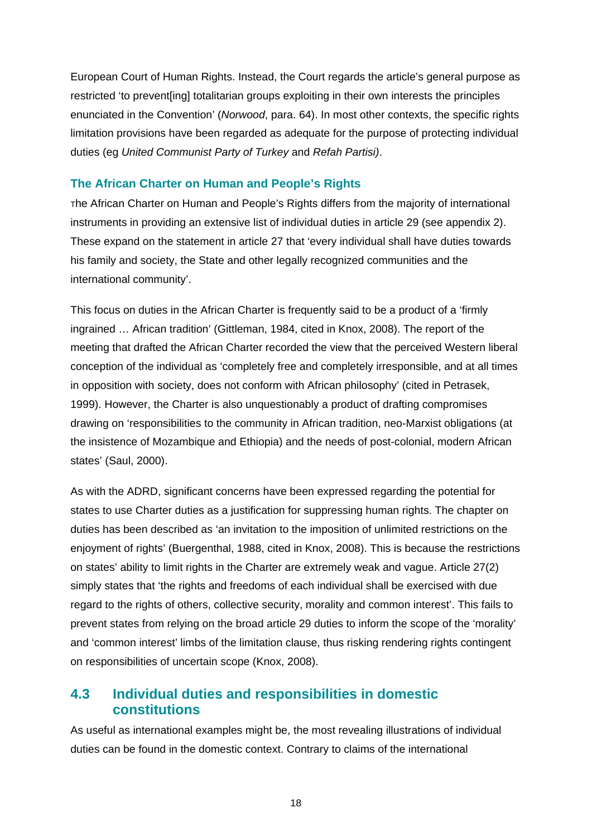European Court of Human Rights. Instead, the Court regards the article's general purpose as restricted 'to prevent[ing] totalitarian groups exploiting in their own interests the principles enunciated in the Convention' (*Norwood*, para. 64). In most other contexts, the specific rights limitation provisions have been regarded as adequate for the purpose of protecting individual duties (eg *United Communist Party of Turkey* and *Refah Partisi)*.

#### **The African Charter on Human and People's Rights**

The African Charter on Human and People's Rights differs from the majority of international instruments in providing an extensive list of individual duties in article 29 (see appendix 2). These expand on the statement in article 27 that 'every individual shall have duties towards his family and society, the State and other legally recognized communities and the international community'.

This focus on duties in the African Charter is frequently said to be a product of a 'firmly ingrained … African tradition' (Gittleman, 1984, cited in Knox, 2008). The report of the meeting that drafted the African Charter recorded the view that the perceived Western liberal conception of the individual as 'completely free and completely irresponsible, and at all times in opposition with society, does not conform with African philosophy' (cited in Petrasek, 1999). However, the Charter is also unquestionably a product of drafting compromises drawing on 'responsibilities to the community in African tradition, neo-Marxist obligations (at the insistence of Mozambique and Ethiopia) and the needs of post-colonial, modern African states' (Saul, 2000).

As with the ADRD, significant concerns have been expressed regarding the potential for states to use Charter duties as a justification for suppressing human rights. The chapter on duties has been described as 'an invitation to the imposition of unlimited restrictions on the enjoyment of rights' (Buergenthal, 1988, cited in Knox, 2008). This is because the restrictions on states' ability to limit rights in the Charter are extremely weak and vague. Article 27(2) simply states that 'the rights and freedoms of each individual shall be exercised with due regard to the rights of others, collective security, morality and common interest'. This fails to prevent states from relying on the broad article 29 duties to inform the scope of the 'morality' and 'common interest' limbs of the limitation clause, thus risking rendering rights contingent on responsibilities of uncertain scope (Knox, 2008).

### <span id="page-29-0"></span>**4.3 Individual duties and responsibilities in domestic constitutions**

As useful as international examples might be, the most revealing illustrations of individual duties can be found in the domestic context. Contrary to claims of the international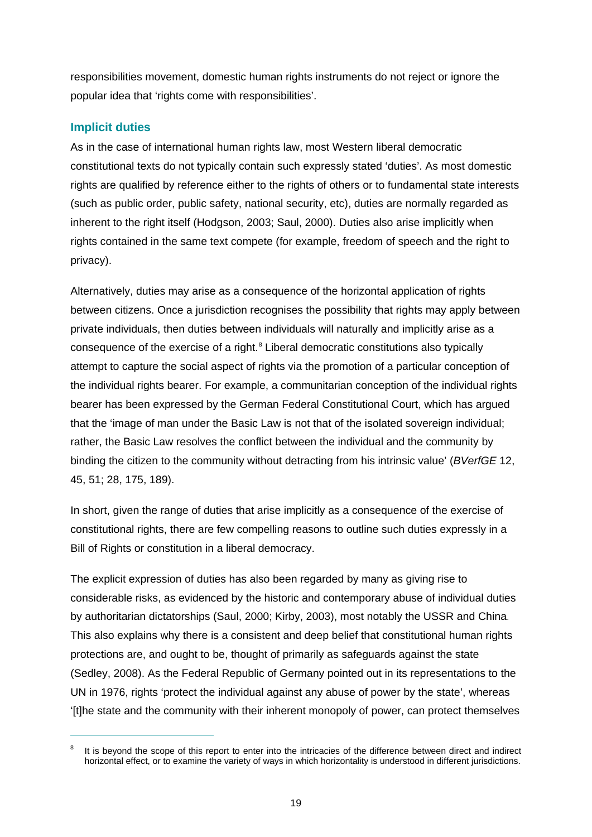responsibilities movement, domestic human rights instruments do not reject or ignore the popular idea that 'rights come with responsibilities'.

#### **Implicit duties**

 $\overline{a}$ 

As in the case of international human rights law, most Western liberal democratic constitutional texts do not typically contain such expressly stated 'duties'. As most domestic rights are qualified by reference either to the rights of others or to fundamental state interests (such as public order, public safety, national security, etc), duties are normally regarded as inherent to the right itself (Hodgson, 2003; Saul, 2000). Duties also arise implicitly when rights contained in the same text compete (for example, freedom of speech and the right to privacy).

Alternatively, duties may arise as a consequence of the horizontal application of rights between citizens. Once a jurisdiction recognises the possibility that rights may apply between private individuals, then duties between individuals will naturally and implicitly arise as a consequence of the exercise of a right.<sup>[8](#page-30-0)</sup> Liberal democratic constitutions also typically attempt to capture the social aspect of rights via the promotion of a particular conception of the individual rights bearer. For example, a communitarian conception of the individual rights bearer has been expressed by the German Federal Constitutional Court, which has argued that the 'image of man under the Basic Law is not that of the isolated sovereign individual; rather, the Basic Law resolves the conflict between the individual and the community by binding the citizen to the community without detracting from his intrinsic value' (*BVerfGE* 12, 45, 51; 28, 175, 189).

In short, given the range of duties that arise implicitly as a consequence of the exercise of constitutional rights, there are few compelling reasons to outline such duties expressly in a Bill of Rights or constitution in a liberal democracy.

The explicit expression of duties has also been regarded by many as giving rise to considerable risks, as evidenced by the historic and contemporary abuse of individual duties by authoritarian dictatorships (Saul, 2000; Kirby, 2003), most notably the USSR and China. This also explains why there is a consistent and deep belief that constitutional human rights protections are, and ought to be, thought of primarily as safeguards against the state (Sedley, 2008). As the Federal Republic of Germany pointed out in its representations to the UN in 1976, rights 'protect the individual against any abuse of power by the state', whereas '[t]he state and the community with their inherent monopoly of power, can protect themselves

<span id="page-30-0"></span><sup>8</sup> It is beyond the scope of this report to enter into the intricacies of the difference between direct and indirect horizontal effect, or to examine the variety of ways in which horizontality is understood in different jurisdictions.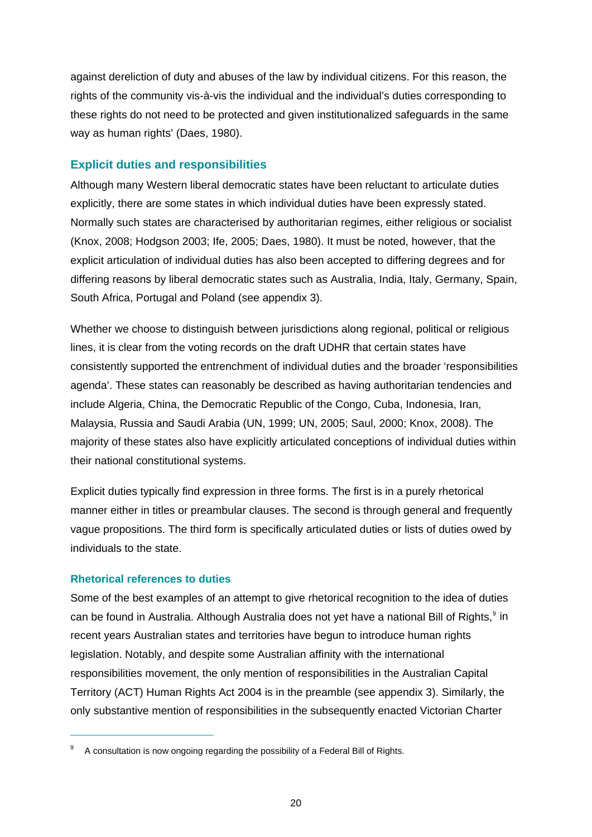against dereliction of duty and abuses of the law by individual citizens. For this reason, the rights of the community vis-à-vis the individual and the individual's duties corresponding to these rights do not need to be protected and given institutionalized safeguards in the same way as human rights' (Daes, 1980).

#### **Explicit duties and responsibilities**

Although many Western liberal democratic states have been reluctant to articulate duties explicitly, there are some states in which individual duties have been expressly stated. Normally such states are characterised by authoritarian regimes, either religious or socialist (Knox, 2008; Hodgson 2003; Ife, 2005; Daes, 1980). It must be noted, however, that the explicit articulation of individual duties has also been accepted to differing degrees and for differing reasons by liberal democratic states such as Australia, India, Italy, Germany, Spain, South Africa, Portugal and Poland (see appendix 3).

Whether we choose to distinguish between jurisdictions along regional, political or religious lines, it is clear from the voting records on the draft UDHR that certain states have consistently supported the entrenchment of individual duties and the broader 'responsibilities agenda'. These states can reasonably be described as having authoritarian tendencies and include Algeria, China, the Democratic Republic of the Congo, Cuba, Indonesia, Iran, Malaysia, Russia and Saudi Arabia (UN, 1999; UN, 2005; Saul, 2000; Knox, 2008). The majority of these states also have explicitly articulated conceptions of individual duties within their national constitutional systems.

Explicit duties typically find expression in three forms. The first is in a purely rhetorical manner either in titles or preambular clauses. The second is through general and frequently vague propositions. The third form is specifically articulated duties or lists of duties owed by individuals to the state.

#### **Rhetorical references to duties**

 $\overline{a}$ 

Some of the best examples of an attempt to give rhetorical recognition to the idea of duties can be found in Australia. Although Australia does not yet have a national Bill of Rights,<sup>[9](#page-31-0)</sup> in recent years Australian states and territories have begun to introduce human rights legislation. Notably, and despite some Australian affinity with the international responsibilities movement, the only mention of responsibilities in the Australian Capital Territory (ACT) Human Rights Act 2004 is in the preamble (see appendix 3). Similarly, the only substantive mention of responsibilities in the subsequently enacted Victorian Charter

<span id="page-31-0"></span><sup>9</sup> A consultation is now ongoing regarding the possibility of a Federal Bill of Rights.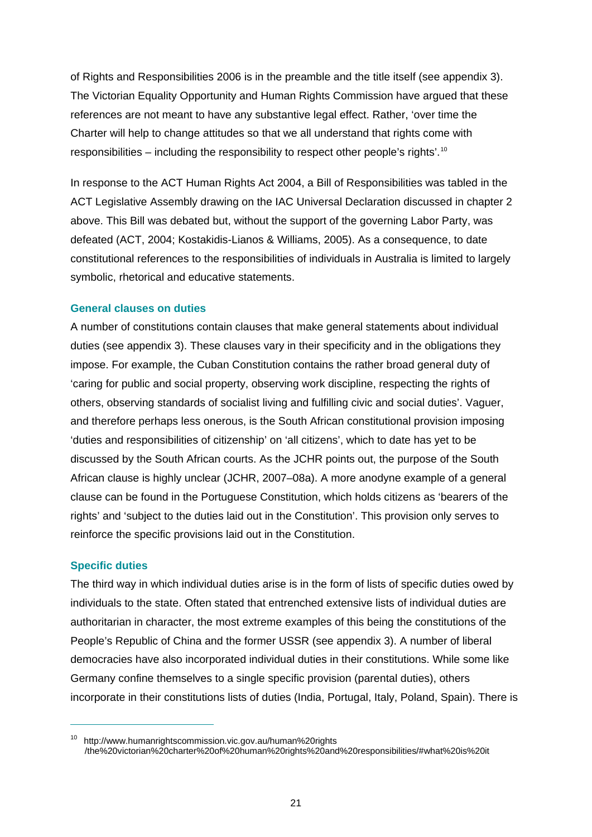of Rights and Responsibilities 2006 is in the preamble and the title itself (see appendix 3). The Victorian Equality Opportunity and Human Rights Commission have argued that these references are not meant to have any substantive legal effect. Rather, 'over time the Charter will help to change attitudes so that we all understand that rights come with responsibilities – including the responsibility to respect other people's rights'.[10](#page-32-0)

In response to the ACT Human Rights Act 2004, a Bill of Responsibilities was tabled in the ACT Legislative Assembly drawing on the IAC Universal Declaration discussed in chapter 2 above. This Bill was debated but, without the support of the governing Labor Party, was defeated (ACT, 2004; Kostakidis-Lianos & Williams, 2005). As a consequence, to date constitutional references to the responsibilities of individuals in Australia is limited to largely symbolic, rhetorical and educative statements.

#### **General clauses on duties**

A number of constitutions contain clauses that make general statements about individual duties (see appendix 3). These clauses vary in their specificity and in the obligations they impose. For example, the Cuban Constitution contains the rather broad general duty of 'caring for public and social property, observing work discipline, respecting the rights of others, observing standards of socialist living and fulfilling civic and social duties'. Vaguer, and therefore perhaps less onerous, is the South African constitutional provision imposing 'duties and responsibilities of citizenship' on 'all citizens', which to date has yet to be discussed by the South African courts. As the JCHR points out, the purpose of the South African clause is highly unclear (JCHR, 2007–08a). A more anodyne example of a general clause can be found in the Portuguese Constitution, which holds citizens as 'bearers of the rights' and 'subject to the duties laid out in the Constitution'. This provision only serves to reinforce the specific provisions laid out in the Constitution.

#### **Specific duties**

 $\overline{a}$ 

The third way in which individual duties arise is in the form of lists of specific duties owed by individuals to the state. Often stated that entrenched extensive lists of individual duties are authoritarian in character, the most extreme examples of this being the constitutions of the People's Republic of China and the former USSR (see appendix 3). A number of liberal democracies have also incorporated individual duties in their constitutions. While some like Germany confine themselves to a single specific provision (parental duties), others incorporate in their constitutions lists of duties (India, Portugal, Italy, Poland, Spain). There is

<span id="page-32-0"></span><sup>10</sup> [http://www.humanrightscommission.vic.gov.au/human%20rights](http://www.humanrightscommission.vic.gov.au/human rights /the victorian charter of human rights and responsibilities/#what%20is%20it)  [/the%20victorian%20charter%20of%20human%20rights%20and%20responsibilities/#what%20is%20it](http://www.humanrightscommission.vic.gov.au/human rights /the victorian charter of human rights and responsibilities/#what%20is%20it)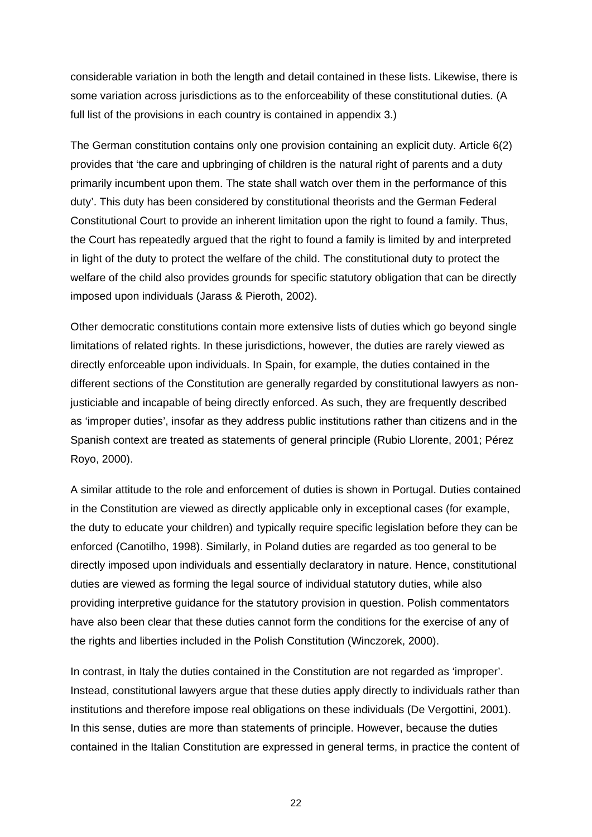considerable variation in both the length and detail contained in these lists. Likewise, there is some variation across jurisdictions as to the enforceability of these constitutional duties. (A full list of the provisions in each country is contained in appendix 3.)

The German constitution contains only one provision containing an explicit duty. Article 6(2) provides that 'the care and upbringing of children is the natural right of parents and a duty primarily incumbent upon them. The state shall watch over them in the performance of this duty'. This duty has been considered by constitutional theorists and the German Federal Constitutional Court to provide an inherent limitation upon the right to found a family. Thus, the Court has repeatedly argued that the right to found a family is limited by and interpreted in light of the duty to protect the welfare of the child. The constitutional duty to protect the welfare of the child also provides grounds for specific statutory obligation that can be directly imposed upon individuals (Jarass & Pieroth, 2002).

Other democratic constitutions contain more extensive lists of duties which go beyond single limitations of related rights. In these jurisdictions, however, the duties are rarely viewed as directly enforceable upon individuals. In Spain, for example, the duties contained in the different sections of the Constitution are generally regarded by constitutional lawyers as nonjusticiable and incapable of being directly enforced. As such, they are frequently described as 'improper duties', insofar as they address public institutions rather than citizens and in the Spanish context are treated as statements of general principle (Rubio Llorente, 2001; Pérez Royo, 2000).

A similar attitude to the role and enforcement of duties is shown in Portugal. Duties contained in the Constitution are viewed as directly applicable only in exceptional cases (for example, the duty to educate your children) and typically require specific legislation before they can be enforced (Canotilho, 1998). Similarly, in Poland duties are regarded as too general to be directly imposed upon individuals and essentially declaratory in nature. Hence, constitutional duties are viewed as forming the legal source of individual statutory duties, while also providing interpretive guidance for the statutory provision in question. Polish commentators have also been clear that these duties cannot form the conditions for the exercise of any of the rights and liberties included in the Polish Constitution (Winczorek, 2000).

In contrast, in Italy the duties contained in the Constitution are not regarded as 'improper'. Instead, constitutional lawyers argue that these duties apply directly to individuals rather than institutions and therefore impose real obligations on these individuals (De Vergottini, 2001). In this sense, duties are more than statements of principle. However, because the duties contained in the Italian Constitution are expressed in general terms, in practice the content of

22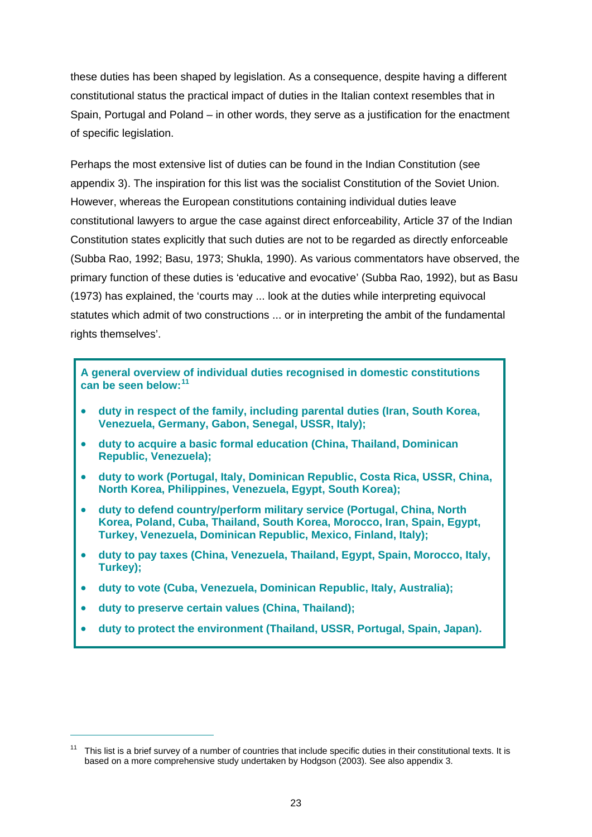these duties has been shaped by legislation. As a consequence, despite having a different constitutional status the practical impact of duties in the Italian context resembles that in Spain, Portugal and Poland – in other words, they serve as a justification for the enactment of specific legislation.

Perhaps the most extensive list of duties can be found in the Indian Constitution (see appendix 3). The inspiration for this list was the socialist Constitution of the Soviet Union. However, whereas the European constitutions containing individual duties leave constitutional lawyers to argue the case against direct enforceability, Article 37 of the Indian Constitution states explicitly that such duties are not to be regarded as directly enforceable (Subba Rao, 1992; Basu, 1973; Shukla, 1990). As various commentators have observed, the primary function of these duties is 'educative and evocative' (Subba Rao, 1992), but as Basu (1973) has explained, the 'courts may ... look at the duties while interpreting equivocal statutes which admit of two constructions ... or in interpreting the ambit of the fundamental rights themselves'.

**A general overview of individual duties recognised in domestic constitutions can be seen below:[11](#page-34-0)**

- **duty in respect of the family, including parental duties (Iran, South Korea, Venezuela, Germany, Gabon, Senegal, USSR, Italy);**
- **duty to acquire a basic formal education (China, Thailand, Dominican Republic, Venezuela);**
- **duty to work (Portugal, Italy, Dominican Republic, Costa Rica, USSR, China, North Korea, Philippines, Venezuela, Egypt, South Korea);**
- **duty to defend country/perform military service (Portugal, China, North Korea, Poland, Cuba, Thailand, South Korea, Morocco, Iran, Spain, Egypt, Turkey, Venezuela, Dominican Republic, Mexico, Finland, Italy);**
- **duty to pay taxes (China, Venezuela, Thailand, Egypt, Spain, Morocco, Italy, Turkey);**
- **duty to vote (Cuba, Venezuela, Dominican Republic, Italy, Australia);**
- **duty to preserve certain values (China, Thailand);**

 $\overline{a}$ 

**duty to protect the environment (Thailand, USSR, Portugal, Spain, Japan).** 

<span id="page-34-0"></span> $11$  This list is a brief survey of a number of countries that include specific duties in their constitutional texts. It is based on a more comprehensive study undertaken by Hodgson (2003). See also appendix 3.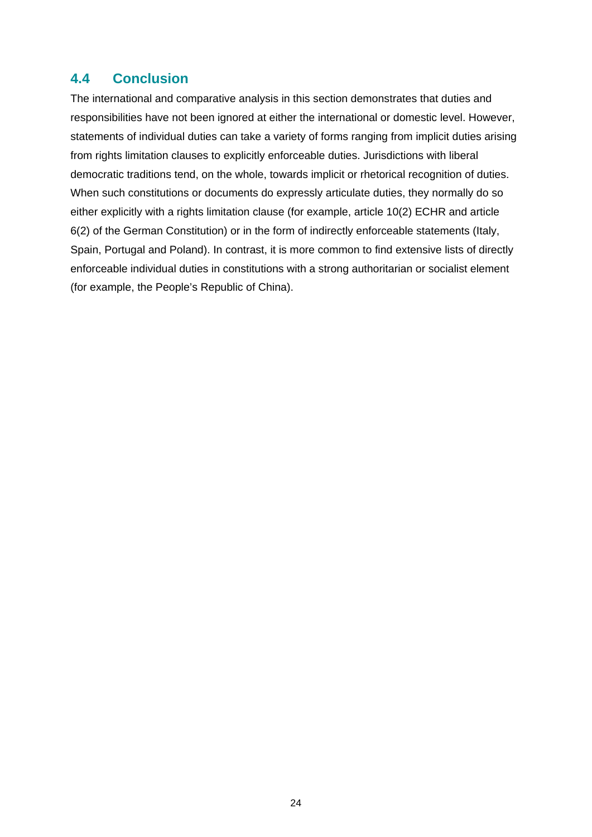### <span id="page-35-0"></span>**4.4 Conclusion**

The international and comparative analysis in this section demonstrates that duties and responsibilities have not been ignored at either the international or domestic level. However, statements of individual duties can take a variety of forms ranging from implicit duties arising from rights limitation clauses to explicitly enforceable duties. Jurisdictions with liberal democratic traditions tend, on the whole, towards implicit or rhetorical recognition of duties. When such constitutions or documents do expressly articulate duties, they normally do so either explicitly with a rights limitation clause (for example, article 10(2) ECHR and article 6(2) of the German Constitution) or in the form of indirectly enforceable statements (Italy, Spain, Portugal and Poland). In contrast, it is more common to find extensive lists of directly enforceable individual duties in constitutions with a strong authoritarian or socialist element (for example, the People's Republic of China).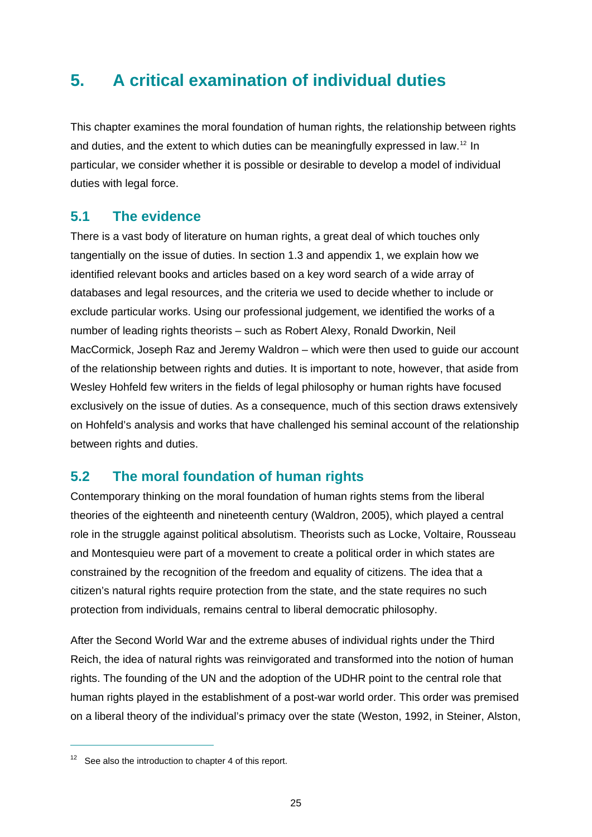## <span id="page-36-0"></span>**5. A critical examination of individual duties**

This chapter examines the moral foundation of human rights, the relationship between rights and duties, and the extent to which duties can be meaningfully expressed in law.<sup>[12](#page-36-3)</sup> In particular, we consider whether it is possible or desirable to develop a model of individual duties with legal force.

### <span id="page-36-1"></span>**5.1 The evidence**

There is a vast body of literature on human rights, a great deal of which touches only tangentially on the issue of duties. In section 1.3 and appendix 1, we explain how we identified relevant books and articles based on a key word search of a wide array of databases and legal resources, and the criteria we used to decide whether to include or exclude particular works. Using our professional judgement, we identified the works of a number of leading rights theorists – such as Robert Alexy, Ronald Dworkin, Neil MacCormick, Joseph Raz and Jeremy Waldron – which were then used to guide our account of the relationship between rights and duties. It is important to note, however, that aside from Wesley Hohfeld few writers in the fields of legal philosophy or human rights have focused exclusively on the issue of duties. As a consequence, much of this section draws extensively on Hohfeld's analysis and works that have challenged his seminal account of the relationship between rights and duties.

### <span id="page-36-2"></span>**5.2 The moral foundation of human rights**

Contemporary thinking on the moral foundation of human rights stems from the liberal theories of the eighteenth and nineteenth century (Waldron, 2005), which played a central role in the struggle against political absolutism. Theorists such as Locke, Voltaire, Rousseau and Montesquieu were part of a movement to create a political order in which states are constrained by the recognition of the freedom and equality of citizens. The idea that a citizen's natural rights require protection from the state, and the state requires no such protection from individuals, remains central to liberal democratic philosophy.

After the Second World War and the extreme abuses of individual rights under the Third Reich, the idea of natural rights was reinvigorated and transformed into the notion of human rights. The founding of the UN and the adoption of the UDHR point to the central role that human rights played in the establishment of a post-war world order. This order was premised on a liberal theory of the individual's primacy over the state (Weston, 1992, in Steiner, Alston,

 $\overline{a}$ 

<span id="page-36-3"></span> $12$  See also the introduction to chapter 4 of this report.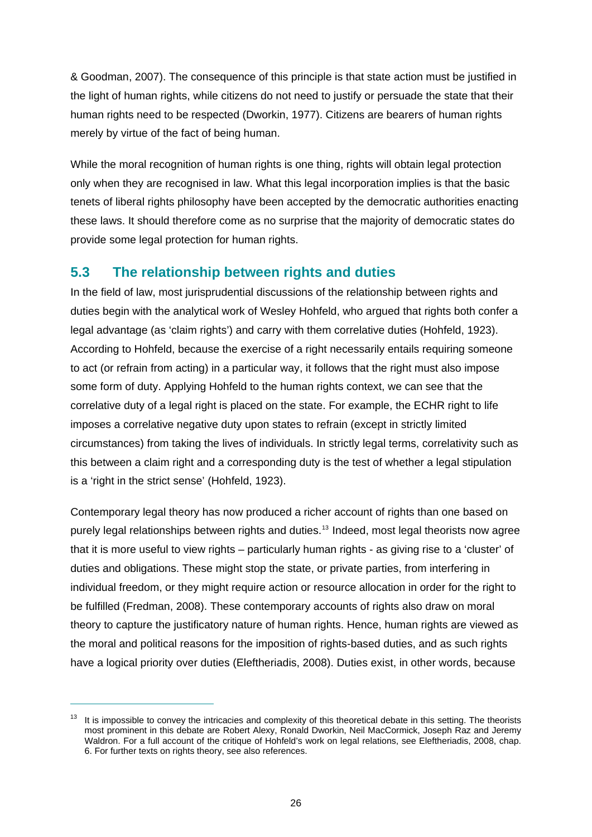& Goodman, 2007). The consequence of this principle is that state action must be justified in the light of human rights, while citizens do not need to justify or persuade the state that their human rights need to be respected (Dworkin, 1977). Citizens are bearers of human rights merely by virtue of the fact of being human.

While the moral recognition of human rights is one thing, rights will obtain legal protection only when they are recognised in law. What this legal incorporation implies is that the basic tenets of liberal rights philosophy have been accepted by the democratic authorities enacting these laws. It should therefore come as no surprise that the majority of democratic states do provide some legal protection for human rights.

### <span id="page-37-0"></span>**5.3 The relationship between rights and duties**

In the field of law, most jurisprudential discussions of the relationship between rights and duties begin with the analytical work of Wesley Hohfeld, who argued that rights both confer a legal advantage (as 'claim rights') and carry with them correlative duties (Hohfeld, 1923). According to Hohfeld, because the exercise of a right necessarily entails requiring someone to act (or refrain from acting) in a particular way, it follows that the right must also impose some form of duty. Applying Hohfeld to the human rights context, we can see that the correlative duty of a legal right is placed on the state. For example, the ECHR right to life imposes a correlative negative duty upon states to refrain (except in strictly limited circumstances) from taking the lives of individuals. In strictly legal terms, correlativity such as this between a claim right and a corresponding duty is the test of whether a legal stipulation is a 'right in the strict sense' (Hohfeld, 1923).

Contemporary legal theory has now produced a richer account of rights than one based on purely legal relationships between rights and duties.<sup>[13](#page-37-1)</sup> Indeed, most legal theorists now agree that it is more useful to view rights – particularly human rights - as giving rise to a 'cluster' of duties and obligations. These might stop the state, or private parties, from interfering in individual freedom, or they might require action or resource allocation in order for the right to be fulfilled (Fredman, 2008). These contemporary accounts of rights also draw on moral theory to capture the justificatory nature of human rights. Hence, human rights are viewed as the moral and political reasons for the imposition of rights-based duties, and as such rights have a logical priority over duties (Eleftheriadis, 2008). Duties exist, in other words, because

 $\overline{a}$ 

<span id="page-37-1"></span> $13$  It is impossible to convey the intricacies and complexity of this theoretical debate in this setting. The theorists most prominent in this debate are Robert Alexy, Ronald Dworkin, Neil MacCormick, Joseph Raz and Jeremy Waldron. For a full account of the critique of Hohfeld's work on legal relations, see Eleftheriadis, 2008, chap. 6. For further texts on rights theory, see also references.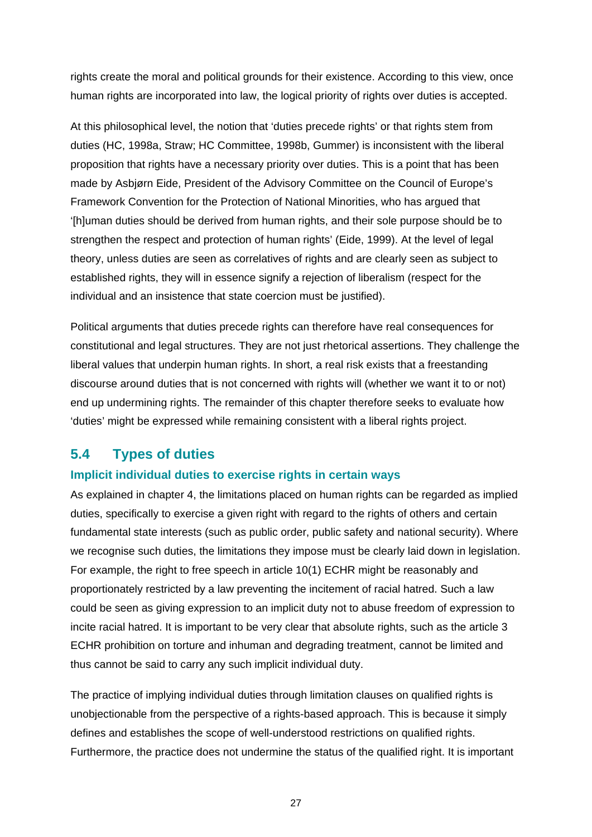rights create the moral and political grounds for their existence. According to this view, once human rights are incorporated into law, the logical priority of rights over duties is accepted.

At this philosophical level, the notion that 'duties precede rights' or that rights stem from duties (HC, 1998a, Straw; HC Committee, 1998b, Gummer) is inconsistent with the liberal proposition that rights have a necessary priority over duties. This is a point that has been made by Asbjørn Eide, President of the Advisory Committee on the Council of Europe's Framework Convention for the Protection of National Minorities, who has argued that '[h]uman duties should be derived from human rights, and their sole purpose should be to strengthen the respect and protection of human rights' (Eide, 1999). At the level of legal theory, unless duties are seen as correlatives of rights and are clearly seen as subject to established rights, they will in essence signify a rejection of liberalism (respect for the individual and an insistence that state coercion must be justified).

Political arguments that duties precede rights can therefore have real consequences for constitutional and legal structures. They are not just rhetorical assertions. They challenge the liberal values that underpin human rights. In short, a real risk exists that a freestanding discourse around duties that is not concerned with rights will (whether we want it to or not) end up undermining rights. The remainder of this chapter therefore seeks to evaluate how 'duties' might be expressed while remaining consistent with a liberal rights project.

### <span id="page-38-0"></span>**5.4 Types of duties**

### **Implicit individual duties to exercise rights in certain ways**

As explained in chapter 4, the limitations placed on human rights can be regarded as implied duties, specifically to exercise a given right with regard to the rights of others and certain fundamental state interests (such as public order, public safety and national security). Where we recognise such duties, the limitations they impose must be clearly laid down in legislation. For example, the right to free speech in article 10(1) ECHR might be reasonably and proportionately restricted by a law preventing the incitement of racial hatred. Such a law could be seen as giving expression to an implicit duty not to abuse freedom of expression to incite racial hatred. It is important to be very clear that absolute rights, such as the article 3 ECHR prohibition on torture and inhuman and degrading treatment, cannot be limited and thus cannot be said to carry any such implicit individual duty.

The practice of implying individual duties through limitation clauses on qualified rights is unobjectionable from the perspective of a rights-based approach. This is because it simply defines and establishes the scope of well-understood restrictions on qualified rights. Furthermore, the practice does not undermine the status of the qualified right. It is important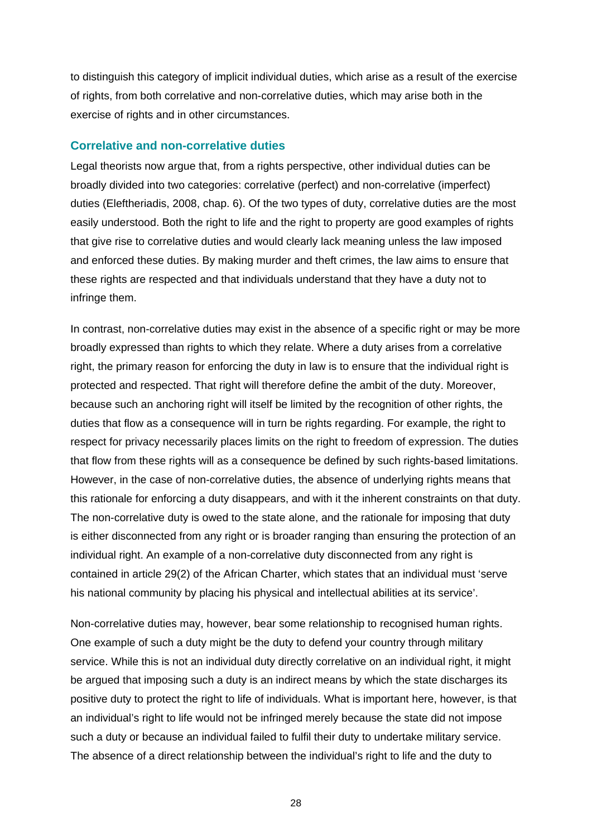to distinguish this category of implicit individual duties, which arise as a result of the exercise of rights, from both correlative and non-correlative duties, which may arise both in the exercise of rights and in other circumstances.

#### **Correlative and non-correlative duties**

Legal theorists now argue that, from a rights perspective, other individual duties can be broadly divided into two categories: correlative (perfect) and non-correlative (imperfect) duties (Eleftheriadis, 2008, chap. 6). Of the two types of duty, correlative duties are the most easily understood. Both the right to life and the right to property are good examples of rights that give rise to correlative duties and would clearly lack meaning unless the law imposed and enforced these duties. By making murder and theft crimes, the law aims to ensure that these rights are respected and that individuals understand that they have a duty not to infringe them.

In contrast, non-correlative duties may exist in the absence of a specific right or may be more broadly expressed than rights to which they relate. Where a duty arises from a correlative right, the primary reason for enforcing the duty in law is to ensure that the individual right is protected and respected. That right will therefore define the ambit of the duty. Moreover, because such an anchoring right will itself be limited by the recognition of other rights, the duties that flow as a consequence will in turn be rights regarding. For example, the right to respect for privacy necessarily places limits on the right to freedom of expression. The duties that flow from these rights will as a consequence be defined by such rights-based limitations. However, in the case of non-correlative duties, the absence of underlying rights means that this rationale for enforcing a duty disappears, and with it the inherent constraints on that duty. The non-correlative duty is owed to the state alone, and the rationale for imposing that duty is either disconnected from any right or is broader ranging than ensuring the protection of an individual right. An example of a non-correlative duty disconnected from any right is contained in article 29(2) of the African Charter, which states that an individual must 'serve his national community by placing his physical and intellectual abilities at its service'.

Non-correlative duties may, however, bear some relationship to recognised human rights. One example of such a duty might be the duty to defend your country through military service. While this is not an individual duty directly correlative on an individual right, it might be argued that imposing such a duty is an indirect means by which the state discharges its positive duty to protect the right to life of individuals. What is important here, however, is that an individual's right to life would not be infringed merely because the state did not impose such a duty or because an individual failed to fulfil their duty to undertake military service. The absence of a direct relationship between the individual's right to life and the duty to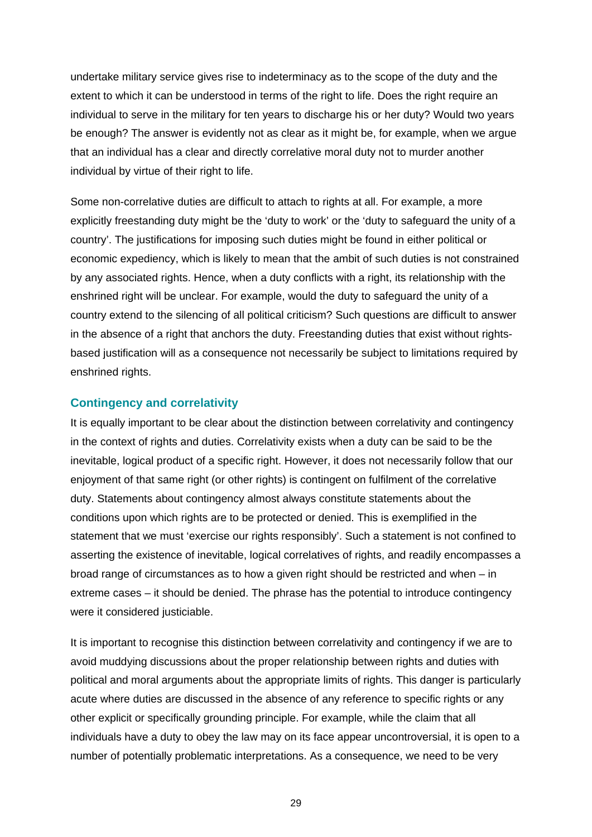undertake military service gives rise to indeterminacy as to the scope of the duty and the extent to which it can be understood in terms of the right to life. Does the right require an individual to serve in the military for ten years to discharge his or her duty? Would two years be enough? The answer is evidently not as clear as it might be, for example, when we argue that an individual has a clear and directly correlative moral duty not to murder another individual by virtue of their right to life.

Some non-correlative duties are difficult to attach to rights at all. For example, a more explicitly freestanding duty might be the 'duty to work' or the 'duty to safeguard the unity of a country'. The justifications for imposing such duties might be found in either political or economic expediency, which is likely to mean that the ambit of such duties is not constrained by any associated rights. Hence, when a duty conflicts with a right, its relationship with the enshrined right will be unclear. For example, would the duty to safeguard the unity of a country extend to the silencing of all political criticism? Such questions are difficult to answer in the absence of a right that anchors the duty. Freestanding duties that exist without rightsbased justification will as a consequence not necessarily be subject to limitations required by enshrined rights.

#### **Contingency and correlativity**

It is equally important to be clear about the distinction between correlativity and contingency in the context of rights and duties. Correlativity exists when a duty can be said to be the inevitable, logical product of a specific right. However, it does not necessarily follow that our enjoyment of that same right (or other rights) is contingent on fulfilment of the correlative duty. Statements about contingency almost always constitute statements about the conditions upon which rights are to be protected or denied. This is exemplified in the statement that we must 'exercise our rights responsibly'. Such a statement is not confined to asserting the existence of inevitable, logical correlatives of rights, and readily encompasses a broad range of circumstances as to how a given right should be restricted and when – in extreme cases – it should be denied. The phrase has the potential to introduce contingency were it considered justiciable.

It is important to recognise this distinction between correlativity and contingency if we are to avoid muddying discussions about the proper relationship between rights and duties with political and moral arguments about the appropriate limits of rights. This danger is particularly acute where duties are discussed in the absence of any reference to specific rights or any other explicit or specifically grounding principle. For example, while the claim that all individuals have a duty to obey the law may on its face appear uncontroversial, it is open to a number of potentially problematic interpretations. As a consequence, we need to be very

29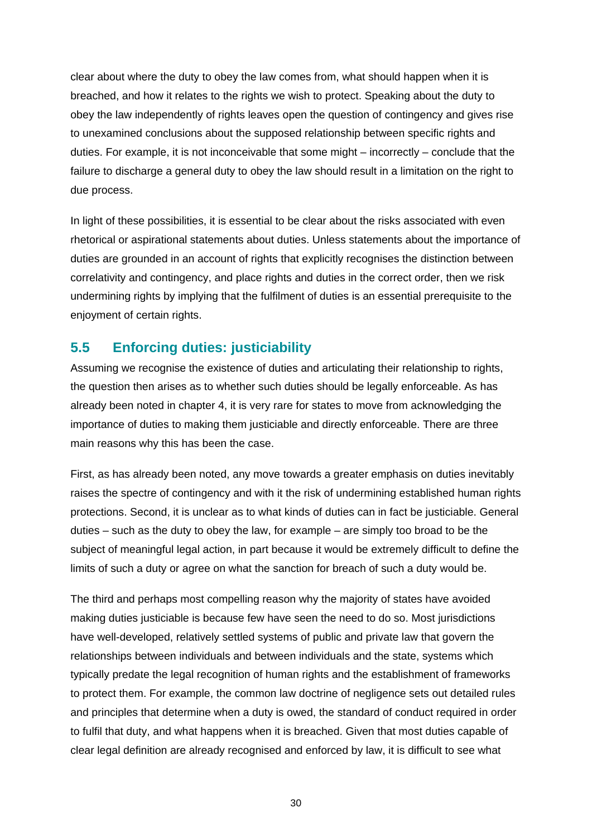clear about where the duty to obey the law comes from, what should happen when it is breached, and how it relates to the rights we wish to protect. Speaking about the duty to obey the law independently of rights leaves open the question of contingency and gives rise to unexamined conclusions about the supposed relationship between specific rights and duties. For example, it is not inconceivable that some might – incorrectly – conclude that the failure to discharge a general duty to obey the law should result in a limitation on the right to due process.

In light of these possibilities, it is essential to be clear about the risks associated with even rhetorical or aspirational statements about duties. Unless statements about the importance of duties are grounded in an account of rights that explicitly recognises the distinction between correlativity and contingency, and place rights and duties in the correct order, then we risk undermining rights by implying that the fulfilment of duties is an essential prerequisite to the enjoyment of certain rights.

### <span id="page-41-0"></span>**5.5 Enforcing duties: justiciability**

Assuming we recognise the existence of duties and articulating their relationship to rights, the question then arises as to whether such duties should be legally enforceable. As has already been noted in chapter 4, it is very rare for states to move from acknowledging the importance of duties to making them justiciable and directly enforceable. There are three main reasons why this has been the case.

First, as has already been noted, any move towards a greater emphasis on duties inevitably raises the spectre of contingency and with it the risk of undermining established human rights protections. Second, it is unclear as to what kinds of duties can in fact be justiciable. General duties – such as the duty to obey the law, for example – are simply too broad to be the subject of meaningful legal action, in part because it would be extremely difficult to define the limits of such a duty or agree on what the sanction for breach of such a duty would be.

The third and perhaps most compelling reason why the majority of states have avoided making duties justiciable is because few have seen the need to do so. Most jurisdictions have well-developed, relatively settled systems of public and private law that govern the relationships between individuals and between individuals and the state, systems which typically predate the legal recognition of human rights and the establishment of frameworks to protect them. For example, the common law doctrine of negligence sets out detailed rules and principles that determine when a duty is owed, the standard of conduct required in order to fulfil that duty, and what happens when it is breached. Given that most duties capable of clear legal definition are already recognised and enforced by law, it is difficult to see what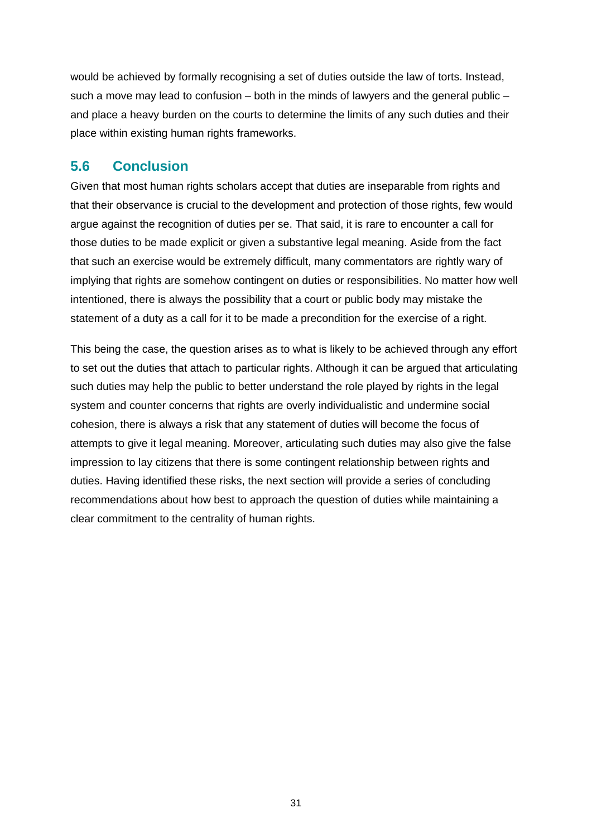would be achieved by formally recognising a set of duties outside the law of torts. Instead, such a move may lead to confusion  $-$  both in the minds of lawyers and the general public  $$ and place a heavy burden on the courts to determine the limits of any such duties and their place within existing human rights frameworks.

### <span id="page-42-0"></span>**5.6 Conclusion**

Given that most human rights scholars accept that duties are inseparable from rights and that their observance is crucial to the development and protection of those rights, few would argue against the recognition of duties per se. That said, it is rare to encounter a call for those duties to be made explicit or given a substantive legal meaning. Aside from the fact that such an exercise would be extremely difficult, many commentators are rightly wary of implying that rights are somehow contingent on duties or responsibilities. No matter how well intentioned, there is always the possibility that a court or public body may mistake the statement of a duty as a call for it to be made a precondition for the exercise of a right.

This being the case, the question arises as to what is likely to be achieved through any effort to set out the duties that attach to particular rights. Although it can be argued that articulating such duties may help the public to better understand the role played by rights in the legal system and counter concerns that rights are overly individualistic and undermine social cohesion, there is always a risk that any statement of duties will become the focus of attempts to give it legal meaning. Moreover, articulating such duties may also give the false impression to lay citizens that there is some contingent relationship between rights and duties. Having identified these risks, the next section will provide a series of concluding recommendations about how best to approach the question of duties while maintaining a clear commitment to the centrality of human rights.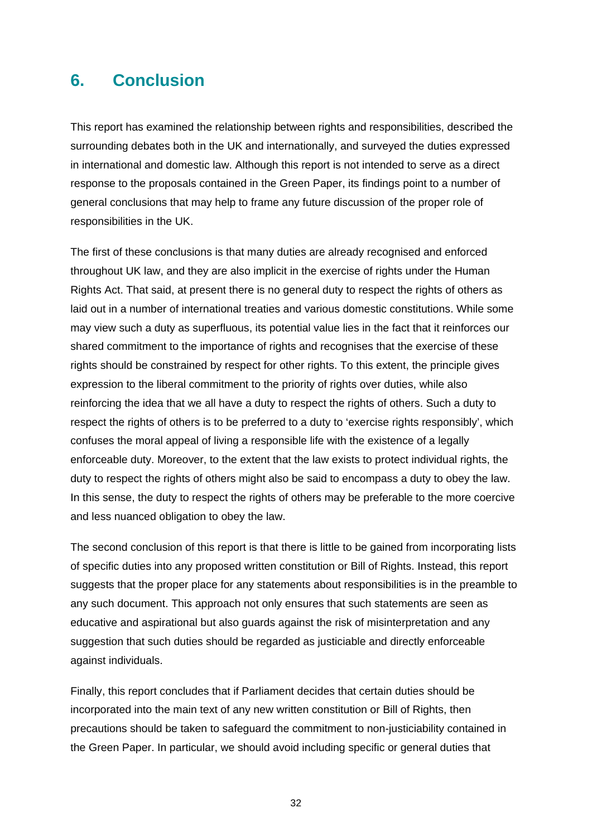## <span id="page-43-0"></span>**6. Conclusion**

This report has examined the relationship between rights and responsibilities, described the surrounding debates both in the UK and internationally, and surveyed the duties expressed in international and domestic law. Although this report is not intended to serve as a direct response to the proposals contained in the Green Paper, its findings point to a number of general conclusions that may help to frame any future discussion of the proper role of responsibilities in the UK.

The first of these conclusions is that many duties are already recognised and enforced throughout UK law, and they are also implicit in the exercise of rights under the Human Rights Act. That said, at present there is no general duty to respect the rights of others as laid out in a number of international treaties and various domestic constitutions. While some may view such a duty as superfluous, its potential value lies in the fact that it reinforces our shared commitment to the importance of rights and recognises that the exercise of these rights should be constrained by respect for other rights. To this extent, the principle gives expression to the liberal commitment to the priority of rights over duties, while also reinforcing the idea that we all have a duty to respect the rights of others. Such a duty to respect the rights of others is to be preferred to a duty to 'exercise rights responsibly', which confuses the moral appeal of living a responsible life with the existence of a legally enforceable duty. Moreover, to the extent that the law exists to protect individual rights, the duty to respect the rights of others might also be said to encompass a duty to obey the law. In this sense, the duty to respect the rights of others may be preferable to the more coercive and less nuanced obligation to obey the law.

The second conclusion of this report is that there is little to be gained from incorporating lists of specific duties into any proposed written constitution or Bill of Rights. Instead, this report suggests that the proper place for any statements about responsibilities is in the preamble to any such document. This approach not only ensures that such statements are seen as educative and aspirational but also guards against the risk of misinterpretation and any suggestion that such duties should be regarded as justiciable and directly enforceable against individuals.

Finally, this report concludes that if Parliament decides that certain duties should be incorporated into the main text of any new written constitution or Bill of Rights, then precautions should be taken to safeguard the commitment to non-justiciability contained in the Green Paper. In particular, we should avoid including specific or general duties that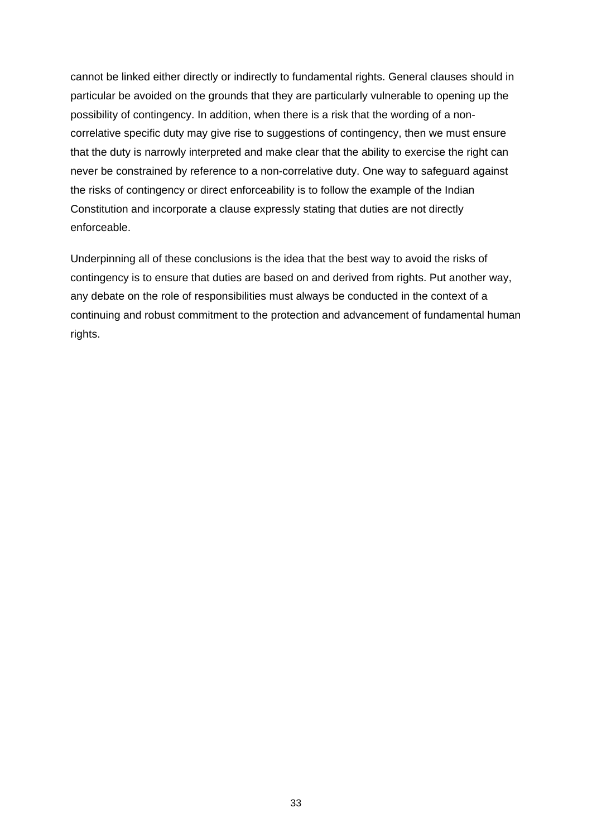cannot be linked either directly or indirectly to fundamental rights. General clauses should in particular be avoided on the grounds that they are particularly vulnerable to opening up the possibility of contingency. In addition, when there is a risk that the wording of a noncorrelative specific duty may give rise to suggestions of contingency, then we must ensure that the duty is narrowly interpreted and make clear that the ability to exercise the right can never be constrained by reference to a non-correlative duty. One way to safeguard against the risks of contingency or direct enforceability is to follow the example of the Indian Constitution and incorporate a clause expressly stating that duties are not directly enforceable.

Underpinning all of these conclusions is the idea that the best way to avoid the risks of contingency is to ensure that duties are based on and derived from rights. Put another way, any debate on the role of responsibilities must always be conducted in the context of a continuing and robust commitment to the protection and advancement of fundamental human rights.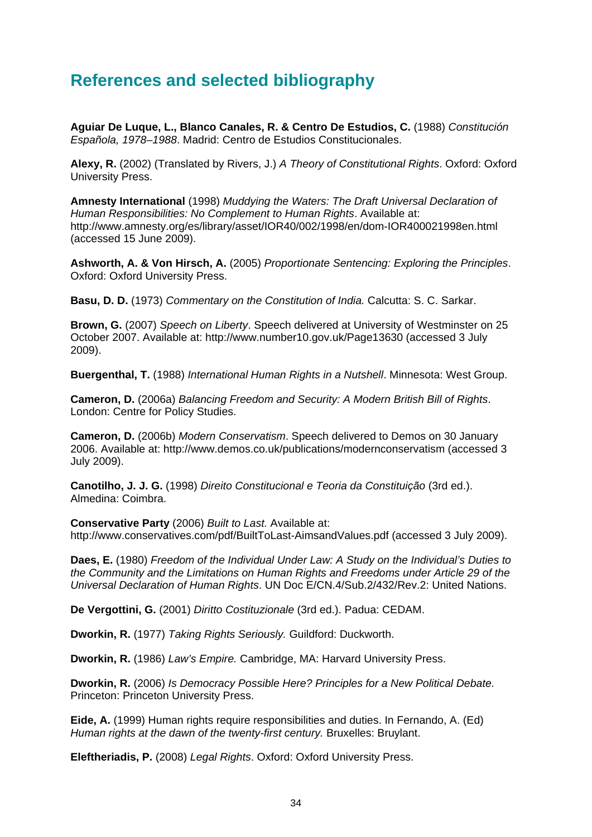## <span id="page-45-0"></span>**References and selected bibliography**

**Aguiar De Luque, L., Blanco Canales, R. & Centro De Estudios, C.** (1988) *Constitución Española, 1978–1988*. Madrid: Centro de Estudios Constitucionales.

**Alexy, R.** (2002) (Translated by Rivers, J.) *A Theory of Constitutional Rights*. Oxford: Oxford University Press.

**Amnesty International** (1998) *Muddying the Waters: The Draft Universal Declaration of Human Responsibilities: No Complement to Human Rights*. Available at: <http://www.amnesty.org/es/library/asset/IOR40/002/1998/en/dom-IOR400021998en.html> (accessed 15 June 2009).

**Ashworth, A. & Von Hirsch, A.** (2005) *Proportionate Sentencing: Exploring the Principles*. Oxford: Oxford University Press.

**Basu, D. D.** (1973) *Commentary on the Constitution of India.* Calcutta: S. C. Sarkar.

**Brown, G.** (2007) *Speech on Liberty*. Speech delivered at University of Westminster on 25 October 2007. Available at: <http://www.number10.gov.uk/Page13630> (accessed 3 July 2009).

**Buergenthal, T.** (1988) *International Human Rights in a Nutshell*. Minnesota: West Group.

**Cameron, D.** (2006a) *Balancing Freedom and Security: A Modern British Bill of Rights*. London: Centre for Policy Studies.

**Cameron, D.** (2006b) *Modern Conservatism*. Speech delivered to Demos on 30 January 2006. Available at:<http://www.demos.co.uk/publications/modernconservatism>(accessed 3 July 2009).

**Canotilho, J. J. G.** (1998) *Direito Constitucional e Teoria da Constituição* (3rd ed.). Almedina: Coimbra.

**Conservative Party** (2006) *Built to Last.* Available at: <http://www.conservatives.com/pdf/BuiltToLast-AimsandValues.pdf> (accessed 3 July 2009).

**Daes, E.** (1980) *Freedom of the Individual Under Law: A Study on the Individual's Duties to the Community and the Limitations on Human Rights and Freedoms under Article 29 of the Universal Declaration of Human Rights*. UN Doc E/CN.4/Sub.2/432/Rev.2: United Nations.

**De Vergottini, G.** (2001) *Diritto Costituzionale* (3rd ed.). Padua: CEDAM.

**Dworkin, R.** (1977) *Taking Rights Seriously.* Guildford: Duckworth.

**Dworkin, R.** (1986) *Law's Empire.* Cambridge, MA: Harvard University Press.

**Dworkin, R.** (2006) *Is Democracy Possible Here? Principles for a New Political Debate.* Princeton: Princeton University Press.

**Eide, A.** (1999) Human rights require responsibilities and duties. In Fernando, A. (Ed) *Human rights at the dawn of the twenty-first century.* Bruxelles: Bruylant.

**Eleftheriadis, P.** (2008) *Legal Rights*. Oxford: Oxford University Press.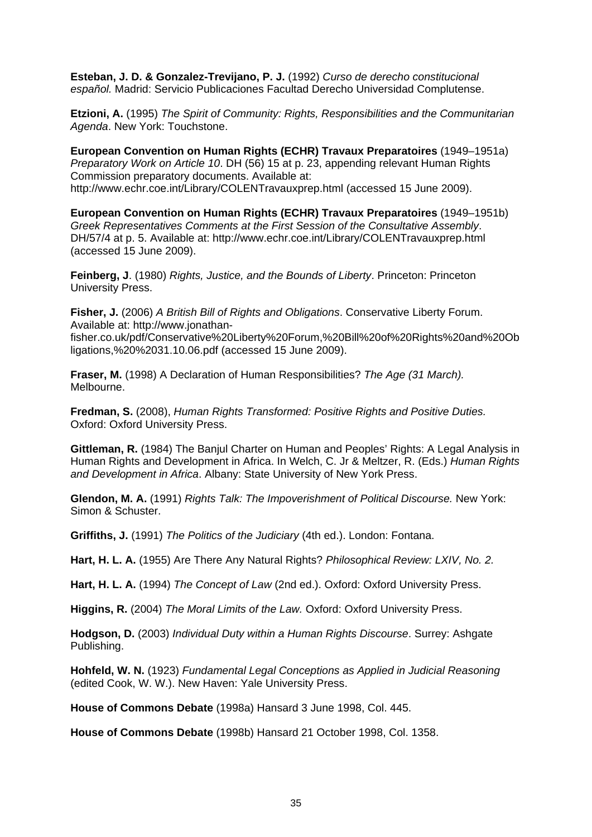**Esteban, J. D. & Gonzalez-Trevijano, P. J.** (1992) *Curso de derecho constitucional español.* Madrid: Servicio Publicaciones Facultad Derecho Universidad Complutense.

**Etzioni, A.** (1995) *The Spirit of Community: Rights, Responsibilities and the Communitarian Agenda*. New York: Touchstone.

**European Convention on Human Rights (ECHR) Travaux Preparatoires** (1949–1951a) *Preparatory Work on Article 10*. DH (56) 15 at p. 23, appending relevant Human Rights Commission preparatory documents. Available at: <http://www.echr.coe.int/Library/COLENTravauxprep.html> (accessed 15 June 2009).

**European Convention on Human Rights (ECHR) Travaux Preparatoires** (1949–1951b) *Greek Representatives Comments at the First Session of the Consultative Assembly*. DH/57/4 at p. 5. Available at:<http://www.echr.coe.int/Library/COLENTravauxprep.html> (accessed 15 June 2009).

**Feinberg, J**. (1980) *Rights, Justice, and the Bounds of Liberty*. Princeton: Princeton University Press.

**Fisher, J.** (2006) *A British Bill of Rights and Obligations*. Conservative Liberty Forum. Available at: [http://www.jonathan](http://www.jonathan-fisher.co.uk/pdf/Conservative%20Liberty%20Forum,%20Bill%20of%20Rights%20and%20Obligations,%20%2031.10.06.pdf)[fisher.co.uk/pdf/Conservative%20Liberty%20Forum,%20Bill%20of%20Rights%20and%20Ob](http://www.jonathan-fisher.co.uk/pdf/Conservative%20Liberty%20Forum,%20Bill%20of%20Rights%20and%20Obligations,%20%2031.10.06.pdf) [ligations,%20%2031.10.06.pdf](http://www.jonathan-fisher.co.uk/pdf/Conservative%20Liberty%20Forum,%20Bill%20of%20Rights%20and%20Obligations,%20%2031.10.06.pdf) (accessed 15 June 2009).

**Fraser, M.** (1998) A Declaration of Human Responsibilities? *The Age (31 March).* Melbourne.

**Fredman, S.** (2008), *Human Rights Transformed: Positive Rights and Positive Duties.* Oxford: Oxford University Press.

**Gittleman, R.** (1984) The Banjul Charter on Human and Peoples' Rights: A Legal Analysis in Human Rights and Development in Africa. In Welch, C. Jr & Meltzer, R. (Eds.) *Human Rights and Development in Africa*. Albany: State University of New York Press.

**Glendon, M. A.** (1991) *Rights Talk: The Impoverishment of Political Discourse.* New York: Simon & Schuster.

**Griffiths, J.** (1991) *The Politics of the Judiciary* (4th ed.). London: Fontana.

**Hart, H. L. A.** (1955) Are There Any Natural Rights? *Philosophical Review: LXIV, No. 2.*

**Hart, H. L. A.** (1994) *The Concept of Law* (2nd ed.). Oxford: Oxford University Press.

**Higgins, R.** (2004) *The Moral Limits of the Law.* Oxford: Oxford University Press.

**Hodgson, D.** (2003) *Individual Duty within a Human Rights Discourse*. Surrey: Ashgate Publishing.

**Hohfeld, W. N.** (1923) *Fundamental Legal Conceptions as Applied in Judicial Reasoning* (edited Cook, W. W.). New Haven: Yale University Press.

**House of Commons Debate** (1998a) Hansard 3 June 1998, Col. 445.

**House of Commons Debate** (1998b) Hansard 21 October 1998, Col. 1358.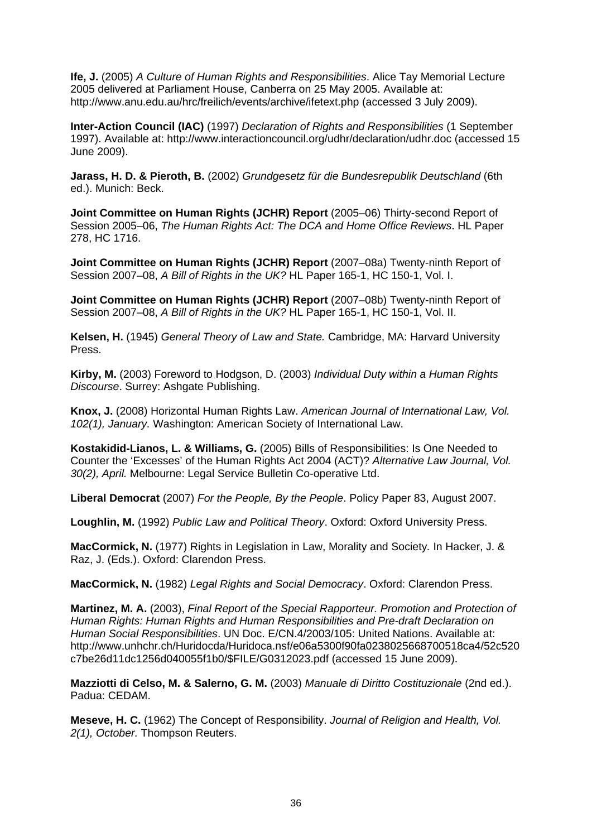**Ife, J.** (2005) *A Culture of Human Rights and Responsibilities*. Alice Tay Memorial Lecture 2005 delivered at Parliament House, Canberra on 25 May 2005. Available at: <http://www.anu.edu.au/hrc/freilich/events/archive/ifetext.php> (accessed 3 July 2009).

**Inter-Action Council (IAC)** (1997) *Declaration of Rights and Responsibilities* (1 September 1997). Available at:<http://www.interactioncouncil.org/udhr/declaration/udhr.doc> (accessed 15 June 2009).

**Jarass, H. D. & Pieroth, B.** (2002) *Grundgesetz für die Bundesrepublik Deutschland* (6th ed.). Munich: Beck.

**Joint Committee on Human Rights (JCHR) Report** (2005–06) Thirty-second Report of Session 2005–06, *The Human Rights Act: The DCA and Home Office Reviews*. HL Paper 278, HC 1716.

**Joint Committee on Human Rights (JCHR) Report** (2007–08a) Twenty-ninth Report of Session 2007–08, *A Bill of Rights in the UK?* HL Paper 165-1, HC 150-1, Vol. I.

**Joint Committee on Human Rights (JCHR) Report** (2007–08b) Twenty-ninth Report of Session 2007–08, *A Bill of Rights in the UK?* HL Paper 165-1, HC 150-1, Vol. II.

**Kelsen, H.** (1945) *General Theory of Law and State.* Cambridge, MA: Harvard University Press.

**Kirby, M.** (2003) Foreword to Hodgson, D. (2003) *Individual Duty within a Human Rights Discourse*. Surrey: Ashgate Publishing.

**Knox, J.** (2008) Horizontal Human Rights Law. *American Journal of International Law, Vol. 102(1), January.* Washington: American Society of International Law.

**Kostakidid-Lianos, L. & Williams, G.** (2005) Bills of Responsibilities: Is One Needed to Counter the 'Excesses' of the Human Rights Act 2004 (ACT)? *Alternative Law Journal, Vol. 30(2), April.* Melbourne: Legal Service Bulletin Co-operative Ltd.

**Liberal Democrat** (2007) *For the People, By the People*. Policy Paper 83, August 2007.

**Loughlin, M.** (1992) *Public Law and Political Theory*. Oxford: Oxford University Press.

**MacCormick, N.** (1977) Rights in Legislation in Law, Morality and Society*.* In Hacker, J. & Raz, J. (Eds.). Oxford: Clarendon Press.

**MacCormick, N.** (1982) *Legal Rights and Social Democracy*. Oxford: Clarendon Press.

**Martinez, M. A.** (2003), *Final Report of the Special Rapporteur. Promotion and Protection of Human Rights: Human Rights and Human Responsibilities and Pre-draft Declaration on Human Social Responsibilities*. UN Doc. E/CN.4/2003/105: United Nations. Available at: [http://www.unhchr.ch/Huridocda/Huridoca.nsf/e06a5300f90fa0238025668700518ca4/52c520](http://www.unhchr.ch/Huridocda/Huridoca.nsf/e06a5300f90fa0238025668700518ca4/52c520c7be26d11dc1256d040055f1b0/$FILE/G0312023.pdf) [c7be26d11dc1256d040055f1b0/\\$FILE/G0312023.pdf](http://www.unhchr.ch/Huridocda/Huridoca.nsf/e06a5300f90fa0238025668700518ca4/52c520c7be26d11dc1256d040055f1b0/$FILE/G0312023.pdf) (accessed 15 June 2009).

**Mazziotti di Celso, M. & Salerno, G. M.** (2003) *Manuale di Diritto Costituzionale* (2nd ed.). Padua: CEDAM.

**Meseve, H. C.** (1962) The Concept of Responsibility. *Journal of Religion and Health, Vol. 2(1), October.* Thompson Reuters.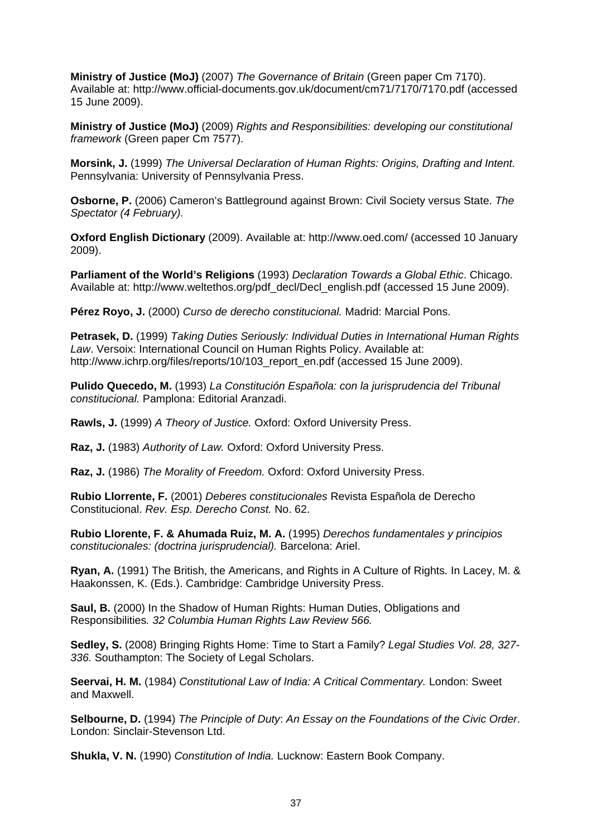**Ministry of Justice (MoJ)** (2007) *The Governance of Britain* (Green paper Cm 7170). Available at: <http://www.official-documents.gov.uk/document/cm71/7170/7170.pdf> (accessed 15 June 2009).

**Ministry of Justice (MoJ)** (2009) *Rights and Responsibilities: developing our constitutional framework* (Green paper Cm 7577).

**Morsink, J.** (1999) *The Universal Declaration of Human Rights: Origins, Drafting and Intent.* Pennsylvania: University of Pennsylvania Press.

**Osborne, P.** (2006) Cameron's Battleground against Brown: Civil Society versus State. *The Spectator (4 February).* 

**Oxford English Dictionary** (2009). Available at: <http://www.oed.com/> (accessed 10 January 2009).

**Parliament of the World's Religions** (1993) *Declaration Towards a Global Ethic*. Chicago. Available at: [http://www.weltethos.org/pdf\\_decl/Decl\\_english.pdf](http://www.weltethos.org/pdf_decl/Decl_english.pdf) (accessed 15 June 2009).

**Pérez Royo, J.** (2000) *Curso de derecho constitucional.* Madrid: Marcial Pons.

**Petrasek, D.** (1999) *Taking Duties Seriously: Individual Duties in International Human Rights Law*. Versoix: International Council on Human Rights Policy. Available at: [http://www.ichrp.org/files/reports/10/103\\_report\\_en.pdf](http://www.ichrp.org/files/reports/10/103_report_en.pdf) (accessed 15 June 2009).

**Pulido Quecedo, M.** (1993) *La Constitución Española: con la jurisprudencia del Tribunal constitucional.* Pamplona: Editorial Aranzadi.

**Rawls, J.** (1999) *A Theory of Justice.* Oxford: Oxford University Press.

**Raz, J.** (1983) *Authority of Law.* Oxford: Oxford University Press.

**Raz, J.** (1986) *The Morality of Freedom.* Oxford: Oxford University Press.

**Rubio Llorrente, F.** (2001) *Deberes constitucionales* Revista Española de Derecho Constitucional. *Rev. Esp. Derecho Const.* No. 62.

**Rubio Llorente, F. & Ahumada Ruiz, M. A.** (1995) *Derechos fundamentales y principios constitucionales: (doctrina jurisprudencial).* Barcelona: Ariel.

**Ryan, A.** (1991) The British, the Americans, and Rights in A Culture of Rights*.* In Lacey, M. & Haakonssen, K. (Eds.). Cambridge: Cambridge University Press.

**Saul, B.** (2000) In the Shadow of Human Rights: Human Duties, Obligations and Responsibilities*. 32 Columbia Human Rights Law Review 566.* 

**Sedley, S.** (2008) Bringing Rights Home: Time to Start a Family? *Legal Studies Vol. 28, 327- 336.* Southampton: The Society of Legal Scholars.

**Seervai, H. M.** (1984) *Constitutional Law of India: A Critical Commentary.* London: Sweet and Maxwell.

**Selbourne, D.** (1994) *The Principle of Duty*: *An Essay on the Foundations of the Civic Order*. London: Sinclair-Stevenson Ltd.

**Shukla, V. N.** (1990) *Constitution of India.* Lucknow: Eastern Book Company.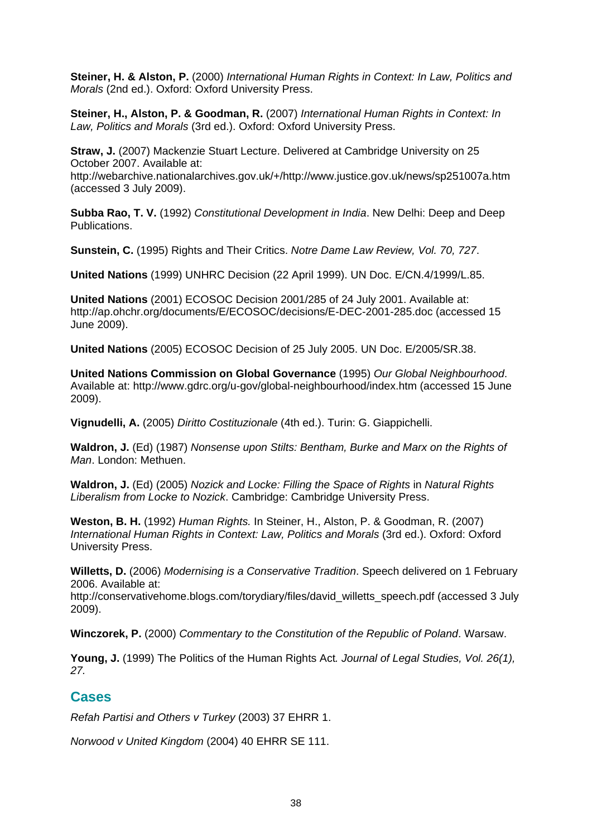**Steiner, H. & Alston, P.** (2000) *International Human Rights in Context: In Law, Politics and Morals* (2nd ed.). Oxford: Oxford University Press.

**Steiner, H., Alston, P. & Goodman, R.** (2007) *International Human Rights in Context: In Law, Politics and Morals* (3rd ed.). Oxford: Oxford University Press.

**Straw, J.** (2007) Mackenzie Stuart Lecture. Delivered at Cambridge University on 25 October 2007. Available at: <http://webarchive.nationalarchives.gov.uk/+/http://www.justice.gov.uk/news/sp251007a.htm> (accessed 3 July 2009).

**Subba Rao, T. V.** (1992) *Constitutional Development in India*. New Delhi: Deep and Deep Publications.

**Sunstein, C.** (1995) Rights and Their Critics. *Notre Dame Law Review, Vol. 70, 727*.

**United Nations** (1999) UNHRC Decision (22 April 1999). UN Doc. E/CN.4/1999/L.85.

**United Nations** (2001) ECOSOC Decision 2001/285 of 24 July 2001. Available at: <http://ap.ohchr.org/documents/E/ECOSOC/decisions/E-DEC-2001-285.doc> (accessed 15 June 2009).

**United Nations** (2005) ECOSOC Decision of 25 July 2005. UN Doc. E/2005/SR.38.

**United Nations Commission on Global Governance** (1995) *Our Global Neighbourhood*. Available at: <http://www.gdrc.org/u-gov/global-neighbourhood/index.htm> (accessed 15 June 2009).

**Vignudelli, A.** (2005) *Diritto Costituzionale* (4th ed.). Turin: G. Giappichelli.

**Waldron, J.** (Ed) (1987) *Nonsense upon Stilts: Bentham, Burke and Marx on the Rights of Man*. London: Methuen.

**Waldron, J.** (Ed) (2005) *Nozick and Locke: Filling the Space of Rights* in *Natural Rights Liberalism from Locke to Nozick*. Cambridge: Cambridge University Press.

**Weston, B. H.** (1992) *Human Rights.* In Steiner, H., Alston, P. & Goodman, R. (2007) *International Human Rights in Context: Law, Politics and Morals* (3rd ed.). Oxford: Oxford University Press.

**Willetts, D.** (2006) *Modernising is a Conservative Tradition*. Speech delivered on 1 February 2006. Available at:

http://conservativehome.blogs.com/torydiary/files/david\_willetts\_speech.pdf (accessed 3 July 2009).

**Winczorek, P.** (2000) *Commentary to the Constitution of the Republic of Poland*. Warsaw.

**Young, J.** (1999) The Politics of the Human Rights Act*. Journal of Legal Studies, Vol. 26(1), 27.* 

#### **Cases**

*Refah Partisi and Others v Turkey* (2003) 37 EHRR 1.

*Norwood v United Kingdom* (2004) 40 EHRR SE 111.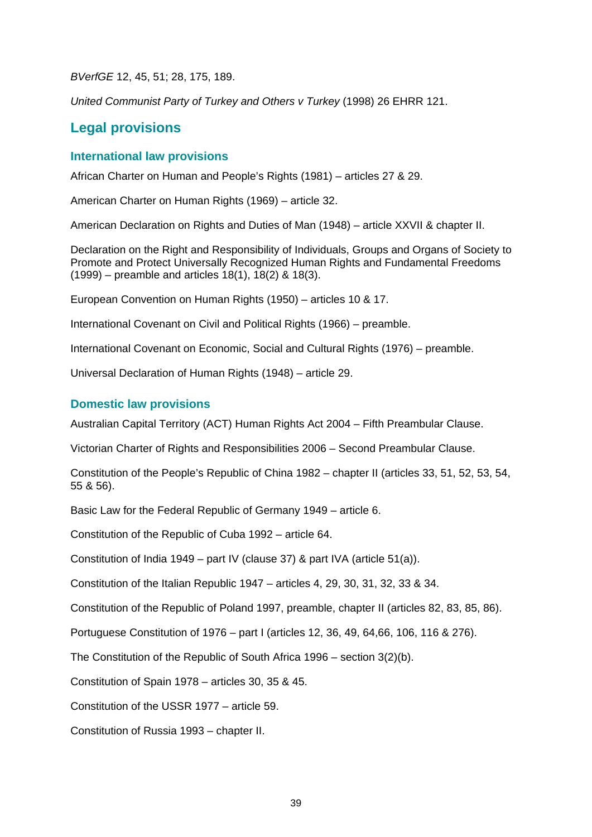*BVerfGE* 12, 45, 51; 28, 175, 189.

*United Communist Party of Turkey and Others v Turkey* (1998) 26 EHRR 121.

### **Legal provisions**

#### **International law provisions**

African Charter on Human and People's Rights (1981) – articles 27 & 29.

American Charter on Human Rights (1969) – article 32.

American Declaration on Rights and Duties of Man (1948) – article XXVII & chapter II.

Declaration on the Right and Responsibility of Individuals, Groups and Organs of Society to Promote and Protect Universally Recognized Human Rights and Fundamental Freedoms (1999) – preamble and articles 18(1), 18(2) & 18(3).

European Convention on Human Rights (1950) – articles 10 & 17.

International Covenant on Civil and Political Rights (1966) – preamble.

International Covenant on Economic, Social and Cultural Rights (1976) – preamble.

Universal Declaration of Human Rights (1948) – article 29.

#### **Domestic law provisions**

Australian Capital Territory (ACT) Human Rights Act 2004 – Fifth Preambular Clause.

Victorian Charter of Rights and Responsibilities 2006 – Second Preambular Clause.

Constitution of the People's Republic of China 1982 – chapter II (articles 33, 51, 52, 53, 54, 55 & 56).

Basic Law for the Federal Republic of Germany 1949 – article 6.

Constitution of the Republic of Cuba 1992 – article 64.

Constitution of India 1949 – part IV (clause 37) & part IVA (article 51(a)).

Constitution of the Italian Republic 1947 – articles 4, 29, 30, 31, 32, 33 & 34.

Constitution of the Republic of Poland 1997, preamble, chapter II (articles 82, 83, 85, 86).

Portuguese Constitution of 1976 – part I (articles 12, 36, 49, 64,66, 106, 116 & 276).

The Constitution of the Republic of South Africa 1996 – section 3(2)(b).

Constitution of Spain 1978 – articles 30, 35 & 45.

Constitution of the USSR 1977 – article 59.

Constitution of Russia 1993 – chapter II.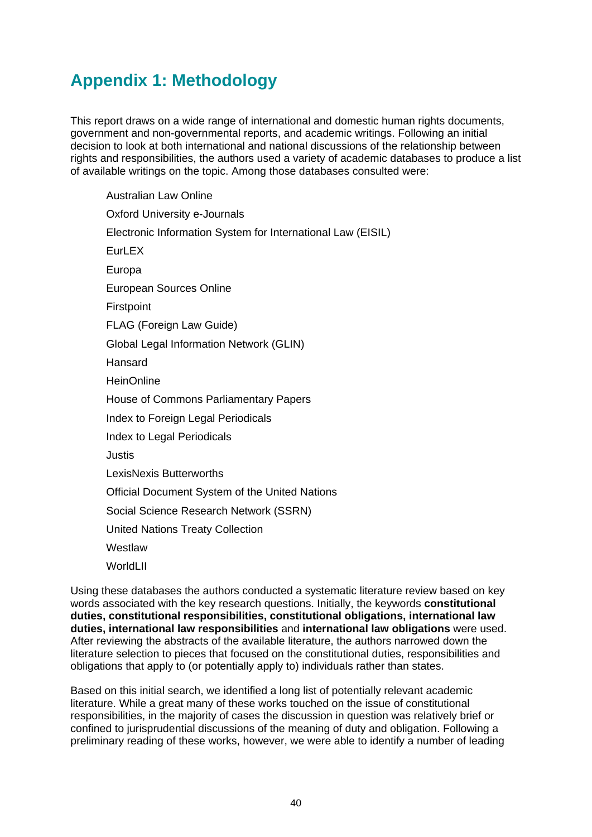## <span id="page-51-0"></span>**Appendix 1: Methodology**

This report draws on a wide range of international and domestic human rights documents, government and non-governmental reports, and academic writings. Following an initial decision to look at both international and national discussions of the relationship between rights and responsibilities, the authors used a variety of academic databases to produce a list of available writings on the topic. Among those databases consulted were:

| <b>Australian Law Online</b>                                |
|-------------------------------------------------------------|
| <b>Oxford University e-Journals</b>                         |
| Electronic Information System for International Law (EISIL) |
| <b>EurLEX</b>                                               |
| Europa                                                      |
| <b>European Sources Online</b>                              |
| Firstpoint                                                  |
| <b>FLAG (Foreign Law Guide)</b>                             |
| Global Legal Information Network (GLIN)                     |
| Hansard                                                     |
| <b>HeinOnline</b>                                           |
| House of Commons Parliamentary Papers                       |
| Index to Foreign Legal Periodicals                          |
| Index to Legal Periodicals                                  |
| Justis                                                      |
| LexisNexis Butterworths                                     |
| Official Document System of the United Nations              |
| Social Science Research Network (SSRN)                      |
| <b>United Nations Treaty Collection</b>                     |
| Westlaw                                                     |
| WorldLII                                                    |
|                                                             |

Using these databases the authors conducted a systematic literature review based on key words associated with the key research questions. Initially, the keywords **constitutional duties, constitutional responsibilities, constitutional obligations, international law duties, international law responsibilities** and **international law obligations** were used. After reviewing the abstracts of the available literature, the authors narrowed down the literature selection to pieces that focused on the constitutional duties, responsibilities and obligations that apply to (or potentially apply to) individuals rather than states.

Based on this initial search, we identified a long list of potentially relevant academic literature. While a great many of these works touched on the issue of constitutional responsibilities, in the majority of cases the discussion in question was relatively brief or confined to jurisprudential discussions of the meaning of duty and obligation. Following a preliminary reading of these works, however, we were able to identify a number of leading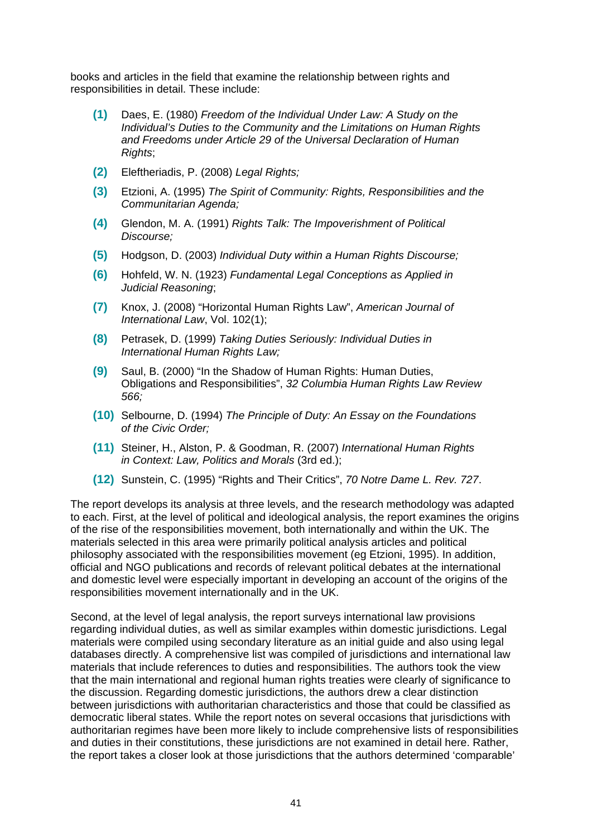books and articles in the field that examine the relationship between rights and responsibilities in detail. These include:

- **(1)** Daes, E. (1980) *Freedom of the Individual Under Law: A Study on the Individual's Duties to the Community and the Limitations on Human Rights and Freedoms under Article 29 of the Universal Declaration of Human Rights*;
- **(2)** Eleftheriadis, P. (2008) *Legal Rights;*
- **(3)** Etzioni, A. (1995) *The Spirit of Community: Rights, Responsibilities and the Communitarian Agenda;*
- **(4)** Glendon, M. A. (1991) *Rights Talk: The Impoverishment of Political Discourse;*
- **(5)** Hodgson, D. (2003) *Individual Duty within a Human Rights Discourse;*
- **(6)** Hohfeld, W. N. (1923) *Fundamental Legal Conceptions as Applied in Judicial Reasoning*;
- **(7)** Knox, J. (2008) "Horizontal Human Rights Law", *American Journal of International Law*, Vol. 102(1);
- **(8)** Petrasek, D. (1999) *Taking Duties Seriously: Individual Duties in International Human Rights Law;*
- **(9)** Saul, B. (2000) "In the Shadow of Human Rights: Human Duties, Obligations and Responsibilities", *32 Columbia Human Rights Law Review 566;*
- **(10)** Selbourne, D. (1994) *The Principle of Duty: An Essay on the Foundations of the Civic Order;*
- **(11)** Steiner, H., Alston, P. & Goodman, R. (2007) *International Human Rights in Context: Law, Politics and Morals* (3rd ed.);
- **(12)** Sunstein, C. (1995) "Rights and Their Critics", *70 Notre Dame L. Rev. 727*.

The report develops its analysis at three levels, and the research methodology was adapted to each. First, at the level of political and ideological analysis, the report examines the origins of the rise of the responsibilities movement, both internationally and within the UK. The materials selected in this area were primarily political analysis articles and political philosophy associated with the responsibilities movement (eg Etzioni, 1995). In addition, official and NGO publications and records of relevant political debates at the international and domestic level were especially important in developing an account of the origins of the responsibilities movement internationally and in the UK.

Second, at the level of legal analysis, the report surveys international law provisions regarding individual duties, as well as similar examples within domestic jurisdictions. Legal materials were compiled using secondary literature as an initial guide and also using legal databases directly. A comprehensive list was compiled of jurisdictions and international law materials that include references to duties and responsibilities. The authors took the view that the main international and regional human rights treaties were clearly of significance to the discussion. Regarding domestic jurisdictions, the authors drew a clear distinction between jurisdictions with authoritarian characteristics and those that could be classified as democratic liberal states. While the report notes on several occasions that jurisdictions with authoritarian regimes have been more likely to include comprehensive lists of responsibilities and duties in their constitutions, these jurisdictions are not examined in detail here. Rather, the report takes a closer look at those jurisdictions that the authors determined 'comparable'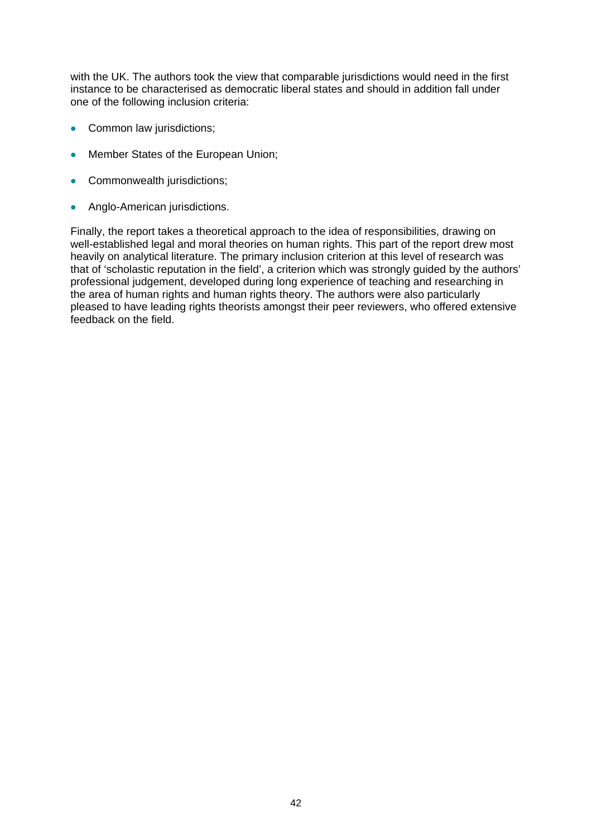with the UK. The authors took the view that comparable jurisdictions would need in the first instance to be characterised as democratic liberal states and should in addition fall under one of the following inclusion criteria:

- Common law jurisdictions;
- Member States of the European Union;
- Commonwealth jurisdictions;
- **•** Anglo-American jurisdictions.

Finally, the report takes a theoretical approach to the idea of responsibilities, drawing on well-established legal and moral theories on human rights. This part of the report drew most heavily on analytical literature. The primary inclusion criterion at this level of research was that of 'scholastic reputation in the field', a criterion which was strongly guided by the authors' professional judgement, developed during long experience of teaching and researching in the area of human rights and human rights theory. The authors were also particularly pleased to have leading rights theorists amongst their peer reviewers, who offered extensive feedback on the field.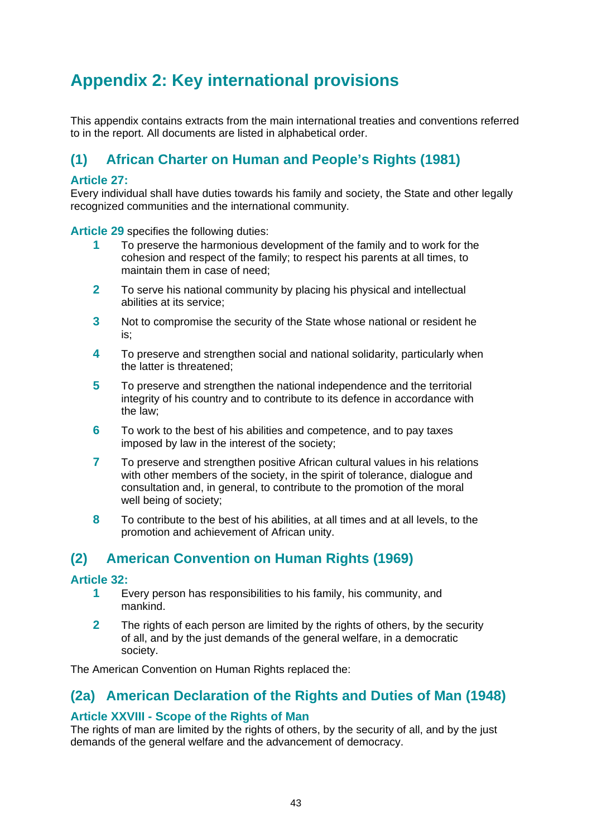## <span id="page-54-0"></span>**Appendix 2: Key international provisions**

This appendix contains extracts from the main international treaties and conventions referred to in the report. All documents are listed in alphabetical order.

### **(1) African Charter on Human and People's Rights (1981)**

#### **Article 27:**

Every individual shall have duties towards his family and society, the State and other legally recognized communities and the international community.

**Article 29** specifies the following duties:

- **1** To preserve the harmonious development of the family and to work for the cohesion and respect of the family; to respect his parents at all times, to maintain them in case of need;
- **2** To serve his national community by placing his physical and intellectual abilities at its service;
- **3** Not to compromise the security of the State whose national or resident he is;
- **4** To preserve and strengthen social and national solidarity, particularly when the latter is threatened;
- **5** To preserve and strengthen the national independence and the territorial integrity of his country and to contribute to its defence in accordance with the law;
- **6** To work to the best of his abilities and competence, and to pay taxes imposed by law in the interest of the society;
- **7** To preserve and strengthen positive African cultural values in his relations with other members of the society, in the spirit of tolerance, dialogue and consultation and, in general, to contribute to the promotion of the moral well being of society;
- **8** To contribute to the best of his abilities, at all times and at all levels, to the promotion and achievement of African unity.

### **(2) American Convention on Human Rights (1969)**

#### **Article 32:**

- **1** Every person has responsibilities to his family, his community, and mankind.
- **2** The rights of each person are limited by the rights of others, by the security of all, and by the just demands of the general welfare, in a democratic society.

The American Convention on Human Rights replaced the:

### **(2a) American Declaration of the Rights and Duties of Man (1948)**

#### **Article XXVIII - Scope of the Rights of Man**

The rights of man are limited by the rights of others, by the security of all, and by the just demands of the general welfare and the advancement of democracy.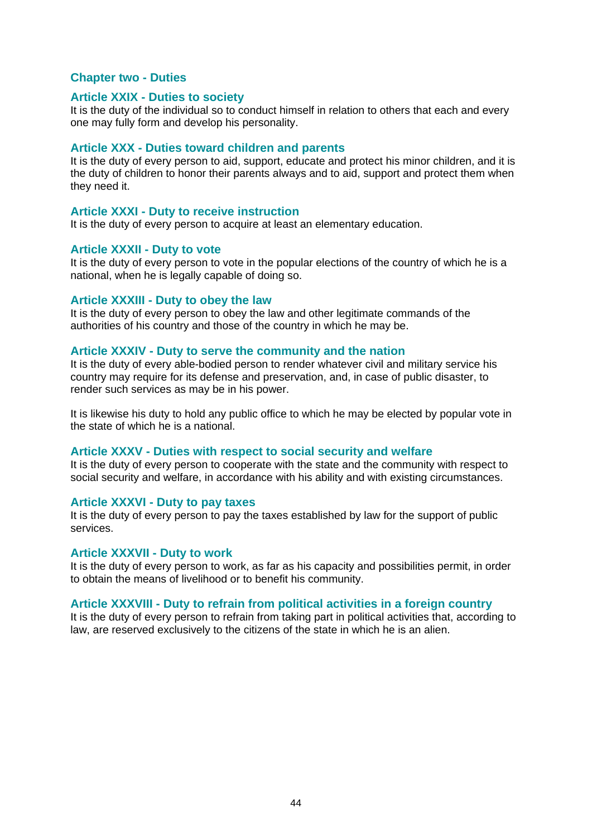#### **Chapter two - Duties**

#### **Article XXIX - Duties to society**

It is the duty of the individual so to conduct himself in relation to others that each and every one may fully form and develop his personality.

#### **Article XXX - Duties toward children and parents**

It is the duty of every person to aid, support, educate and protect his minor children, and it is the duty of children to honor their parents always and to aid, support and protect them when they need it.

#### **Article XXXI - Duty to receive instruction**

It is the duty of every person to acquire at least an elementary education.

#### **Article XXXII - Duty to vote**

It is the duty of every person to vote in the popular elections of the country of which he is a national, when he is legally capable of doing so.

#### **Article XXXIII - Duty to obey the law**

It is the duty of every person to obey the law and other legitimate commands of the authorities of his country and those of the country in which he may be.

#### **Article XXXIV - Duty to serve the community and the nation**

It is the duty of every able-bodied person to render whatever civil and military service his country may require for its defense and preservation, and, in case of public disaster, to render such services as may be in his power.

It is likewise his duty to hold any public office to which he may be elected by popular vote in the state of which he is a national.

#### **Article XXXV - Duties with respect to social security and welfare**

It is the duty of every person to cooperate with the state and the community with respect to social security and welfare, in accordance with his ability and with existing circumstances.

#### **Article XXXVI - Duty to pay taxes**

It is the duty of every person to pay the taxes established by law for the support of public services.

#### **Article XXXVII - Duty to work**

It is the duty of every person to work, as far as his capacity and possibilities permit, in order to obtain the means of livelihood or to benefit his community.

#### **Article XXXVIII - Duty to refrain from political activities in a foreign country**

It is the duty of every person to refrain from taking part in political activities that, according to law, are reserved exclusively to the citizens of the state in which he is an alien.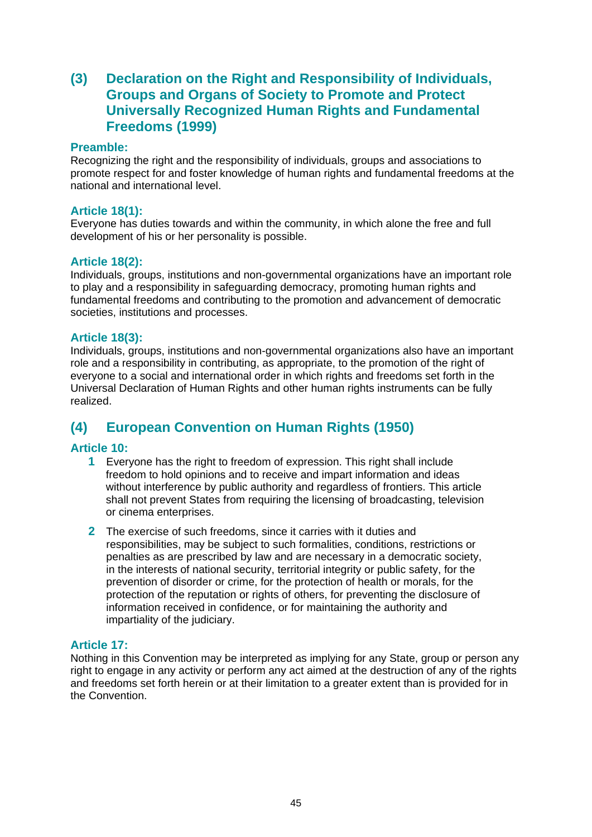### **(3) Declaration on the Right and Responsibility of Individuals, Groups and Organs of Society to Promote and Protect Universally Recognized Human Rights and Fundamental Freedoms (1999)**

#### **Preamble:**

Recognizing the right and the responsibility of individuals, groups and associations to promote respect for and foster knowledge of human rights and fundamental freedoms at the national and international level.

#### **Article 18(1):**

Everyone has duties towards and within the community, in which alone the free and full development of his or her personality is possible.

#### **Article 18(2):**

Individuals, groups, institutions and non-governmental organizations have an important role to play and a responsibility in safeguarding democracy, promoting human rights and fundamental freedoms and contributing to the promotion and advancement of democratic societies, institutions and processes.

#### **Article 18(3):**

Individuals, groups, institutions and non-governmental organizations also have an important role and a responsibility in contributing, as appropriate, to the promotion of the right of everyone to a social and international order in which rights and freedoms set forth in the Universal Declaration of Human Rights and other human rights instruments can be fully realized.

### **(4) European Convention on Human Rights (1950)**

#### **Article 10:**

- **1** Everyone has the right to freedom of expression. This right shall include freedom to hold opinions and to receive and impart information and ideas without interference by public authority and regardless of frontiers. This article shall not prevent States from requiring the licensing of broadcasting, television or cinema enterprises.
- **2** The exercise of such freedoms, since it carries with it duties and responsibilities, may be subject to such formalities, conditions, restrictions or penalties as are prescribed by law and are necessary in a democratic society, in the interests of national security, territorial integrity or public safety, for the prevention of disorder or crime, for the protection of health or morals, for the protection of the reputation or rights of others, for preventing the disclosure of information received in confidence, or for maintaining the authority and impartiality of the judiciary.

#### **Article 17:**

Nothing in this Convention may be interpreted as implying for any State, group or person any right to engage in any activity or perform any act aimed at the destruction of any of the rights and freedoms set forth herein or at their limitation to a greater extent than is provided for in the Convention.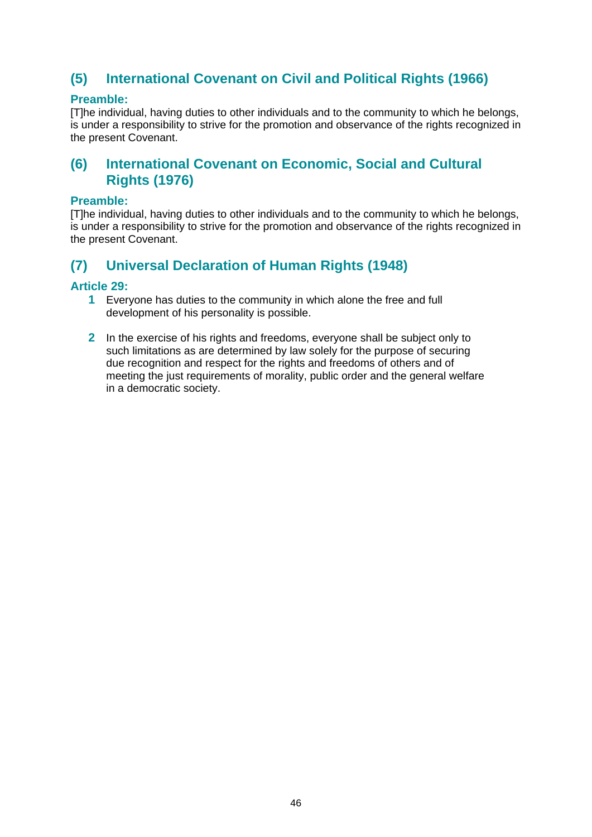## **(5) International Covenant on Civil and Political Rights (1966)**

#### **Preamble:**

[T]he individual, having duties to other individuals and to the community to which he belongs, is under a responsibility to strive for the promotion and observance of the rights recognized in the present Covenant.

### **(6) International Covenant on Economic, Social and Cultural Rights (1976)**

#### **Preamble:**

[T]he individual, having duties to other individuals and to the community to which he belongs, is under a responsibility to strive for the promotion and observance of the rights recognized in the present Covenant.

### **(7) Universal Declaration of Human Rights (1948)**

#### **Article 29:**

- **1** Everyone has duties to the community in which alone the free and full development of his personality is possible.
- **2** In the exercise of his rights and freedoms, everyone shall be subject only to such limitations as are determined by law solely for the purpose of securing due recognition and respect for the rights and freedoms of others and of meeting the just requirements of morality, public order and the general welfare in a democratic society.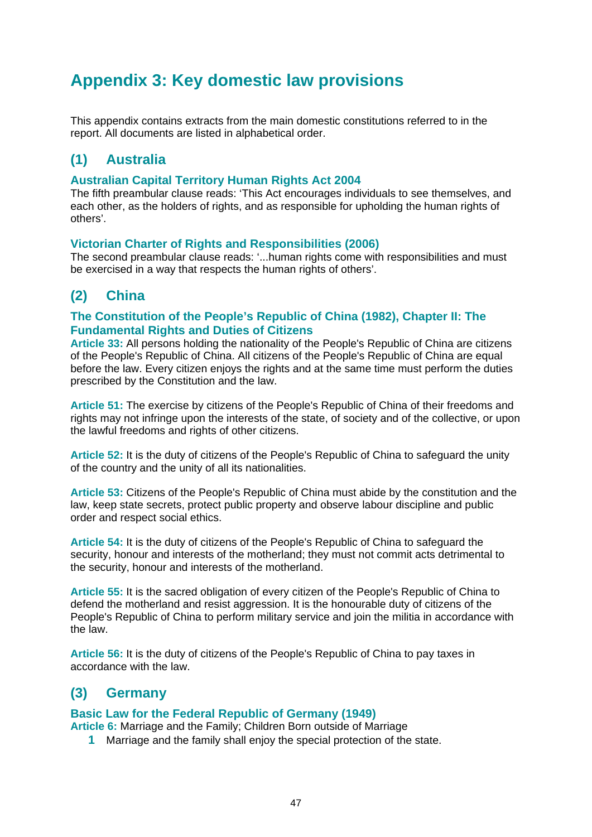## <span id="page-58-0"></span>**Appendix 3: Key domestic law provisions**

This appendix contains extracts from the main domestic constitutions referred to in the report. All documents are listed in alphabetical order.

### **(1) Australia**

#### **Australian Capital Territory Human Rights Act 2004**

The fifth preambular clause reads: 'This Act encourages individuals to see themselves, and each other, as the holders of rights, and as responsible for upholding the human rights of others'.

#### **Victorian Charter of Rights and Responsibilities (2006)**

The second preambular clause reads: '...human rights come with responsibilities and must be exercised in a way that respects the human rights of others'.

### **(2) China**

#### **The Constitution of the People's Republic of China (1982), Chapter II: The Fundamental Rights and Duties of Citizens**

**Article 33:** All persons holding the nationality of the People's Republic of China are citizens of the People's Republic of China. All citizens of the People's Republic of China are equal before the law. Every citizen enjoys the rights and at the same time must perform the duties prescribed by the Constitution and the law.

**Article 51:** The exercise by citizens of the People's Republic of China of their freedoms and rights may not infringe upon the interests of the state, of society and of the collective, or upon the lawful freedoms and rights of other citizens.

**Article 52:** It is the duty of citizens of the People's Republic of China to safeguard the unity of the country and the unity of all its nationalities.

**Article 53:** Citizens of the People's Republic of China must abide by the constitution and the law, keep state secrets, protect public property and observe labour discipline and public order and respect social ethics.

**Article 54:** It is the duty of citizens of the People's Republic of China to safeguard the security, honour and interests of the motherland; they must not commit acts detrimental to the security, honour and interests of the motherland.

**Article 55:** It is the sacred obligation of every citizen of the People's Republic of China to defend the motherland and resist aggression. It is the honourable duty of citizens of the People's Republic of China to perform military service and join the militia in accordance with the law.

**Article 56:** It is the duty of citizens of the People's Republic of China to pay taxes in accordance with the law.

### **(3) Germany**

#### **Basic Law for the Federal Republic of Germany (1949)**

**Article 6:** Marriage and the Family; Children Born outside of Marriage

**1** Marriage and the family shall enjoy the special protection of the state.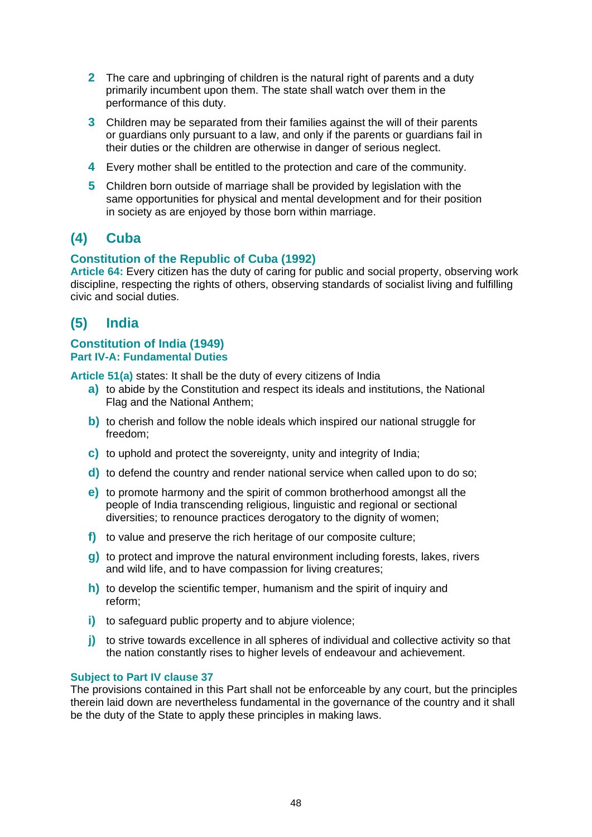- **2** The care and upbringing of children is the natural right of parents and a duty primarily incumbent upon them. The state shall watch over them in the performance of this duty.
- **3** Children may be separated from their families against the will of their parents or guardians only pursuant to a law, and only if the parents or guardians fail in their duties or the children are otherwise in danger of serious neglect.
- **4** Every mother shall be entitled to the protection and care of the community.
- **5** Children born outside of marriage shall be provided by legislation with the same opportunities for physical and mental development and for their position in society as are enjoyed by those born within marriage.

### **(4) Cuba**

### **Constitution of the Republic of Cuba (1992)**

**Article 64:** Every citizen has the duty of caring for public and social property, observing work discipline, respecting the rights of others, observing standards of socialist living and fulfilling civic and social duties.

### **(5) India**

#### **Constitution of India (1949) Part IV-A: Fundamental Duties**

**Article 51(a)** states: It shall be the duty of every citizens of India

- **a)** to abide by the Constitution and respect its ideals and institutions, the National Flag and the National Anthem;
- **b**) to cherish and follow the noble ideals which inspired our national struggle for freedom;
- **c)** to uphold and protect the sovereignty, unity and integrity of India;
- **d)** to defend the country and render national service when called upon to do so;
- **e)** to promote harmony and the spirit of common brotherhood amongst all the people of India transcending religious, linguistic and regional or sectional diversities; to renounce practices derogatory to the dignity of women;
- **f)** to value and preserve the rich heritage of our composite culture;
- **g)** to protect and improve the natural environment including forests, lakes, rivers and wild life, and to have compassion for living creatures;
- **h)** to develop the scientific temper, humanism and the spirit of inquiry and reform;
- **i)** to safeguard public property and to abjure violence;
- **j)** to strive towards excellence in all spheres of individual and collective activity so that the nation constantly rises to higher levels of endeavour and achievement.

#### **Subject to Part IV clause 37**

The provisions contained in this Part shall not be enforceable by any court, but the principles therein laid down are nevertheless fundamental in the governance of the country and it shall be the duty of the State to apply these principles in making laws.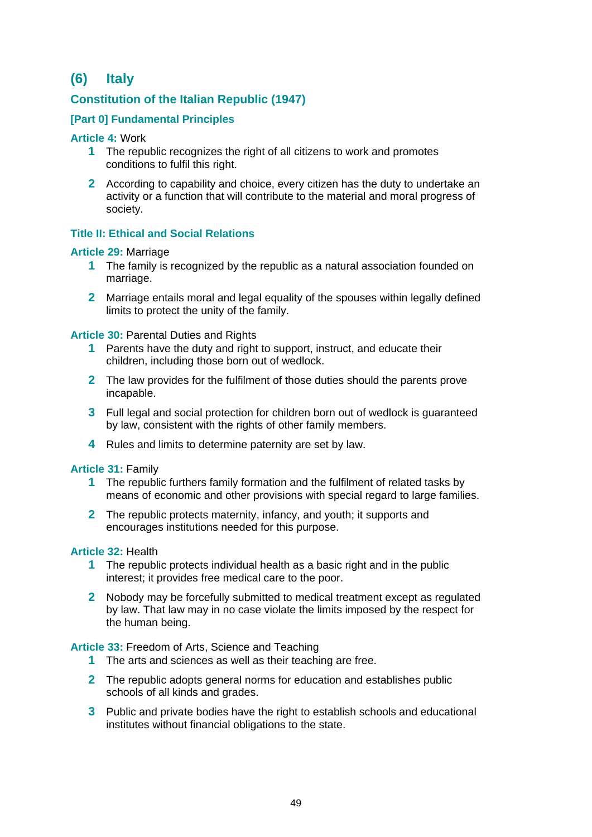### **(6) Italy**

### **Constitution of the Italian Republic (1947)**

#### **[Part 0] Fundamental Principles**

#### **Article 4:** Work

- **1** The republic recognizes the right of all citizens to work and promotes conditions to fulfil this right.
- **2** According to capability and choice, every citizen has the duty to undertake an activity or a function that will contribute to the material and moral progress of society.

#### **Title II: Ethical and Social Relations**

#### **Article 29:** Marriage

- **1** The family is recognized by the republic as a natural association founded on marriage.
- **2** Marriage entails moral and legal equality of the spouses within legally defined limits to protect the unity of the family.

#### **Article 30:** Parental Duties and Rights

- **1** Parents have the duty and right to support, instruct, and educate their children, including those born out of wedlock.
- **2** The law provides for the fulfilment of those duties should the parents prove incapable.
- **3** Full legal and social protection for children born out of wedlock is guaranteed by law, consistent with the rights of other family members.
- **4** Rules and limits to determine paternity are set by law.

#### **Article 31:** Family

- **1** The republic furthers family formation and the fulfilment of related tasks by means of economic and other provisions with special regard to large families.
- **2** The republic protects maternity, infancy, and youth; it supports and encourages institutions needed for this purpose.

#### **Article 32:** Health

- **1** The republic protects individual health as a basic right and in the public interest; it provides free medical care to the poor.
- **2** Nobody may be forcefully submitted to medical treatment except as regulated by law. That law may in no case violate the limits imposed by the respect for the human being.

#### **Article 33:** Freedom of Arts, Science and Teaching

- **1** The arts and sciences as well as their teaching are free.
- **2** The republic adopts general norms for education and establishes public schools of all kinds and grades.
- **3** Public and private bodies have the right to establish schools and educational institutes without financial obligations to the state.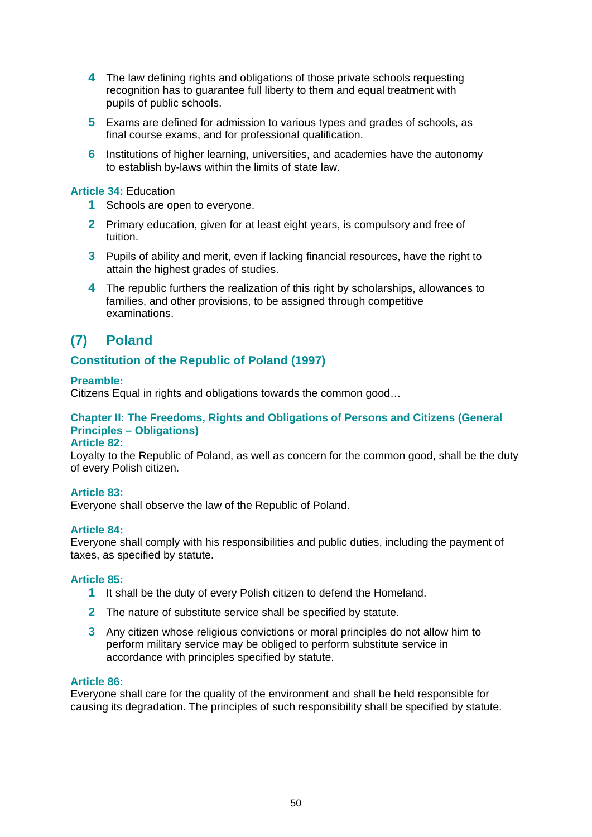- **4** The law defining rights and obligations of those private schools requesting recognition has to guarantee full liberty to them and equal treatment with pupils of public schools.
- **5** Exams are defined for admission to various types and grades of schools, as final course exams, and for professional qualification.
- **6** Institutions of higher learning, universities, and academies have the autonomy to establish by-laws within the limits of state law.

#### **Article 34:** Education

- **1** Schools are open to everyone.
- **2** Primary education, given for at least eight years, is compulsory and free of tuition.
- **3** Pupils of ability and merit, even if lacking financial resources, have the right to attain the highest grades of studies.
- **4** The republic furthers the realization of this right by scholarships, allowances to families, and other provisions, to be assigned through competitive examinations.

### **(7) Poland**

#### **Constitution of the Republic of Poland (1997)**

#### **Preamble:**

Citizens Equal in rights and obligations towards the common good…

### **Chapter II: The Freedoms, Rights and Obligations of Persons and Citizens (General Principles – Obligations)**

#### **Article 82:**

Loyalty to the Republic of Poland, as well as concern for the common good, shall be the duty of every Polish citizen.

#### **Article 83:**

Everyone shall observe the law of the Republic of Poland.

#### **Article 84:**

Everyone shall comply with his responsibilities and public duties, including the payment of taxes, as specified by statute.

#### **Article 85:**

- **1** It shall be the duty of every Polish citizen to defend the Homeland.
- **2** The nature of substitute service shall be specified by statute.
- **3** Any citizen whose religious convictions or moral principles do not allow him to perform military service may be obliged to perform substitute service in accordance with principles specified by statute.

#### **Article 86:**

Everyone shall care for the quality of the environment and shall be held responsible for causing its degradation. The principles of such responsibility shall be specified by statute.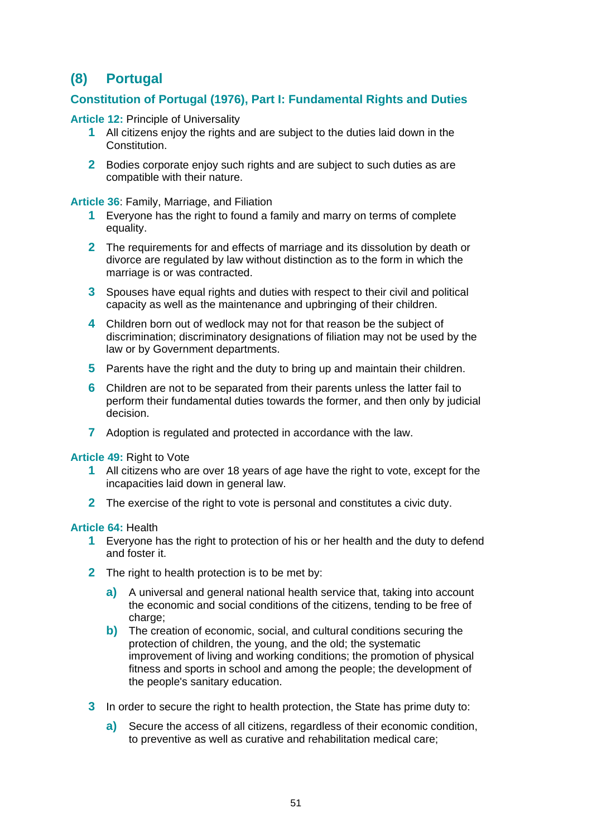### **(8) Portugal**

### **Constitution of Portugal (1976), Part I: Fundamental Rights and Duties**

**Article 12:** Principle of Universality

- **1** All citizens enjoy the rights and are subject to the duties laid down in the Constitution.
- **2** Bodies corporate enjoy such rights and are subject to such duties as are compatible with their nature.

**Article 36**: Family, Marriage, and Filiation

- **1** Everyone has the right to found a family and marry on terms of complete equality.
- **2** The requirements for and effects of marriage and its dissolution by death or divorce are regulated by law without distinction as to the form in which the marriage is or was contracted.
- **3** Spouses have equal rights and duties with respect to their civil and political capacity as well as the maintenance and upbringing of their children.
- **4** Children born out of wedlock may not for that reason be the subject of discrimination; discriminatory designations of filiation may not be used by the law or by Government departments.
- **5** Parents have the right and the duty to bring up and maintain their children.
- **6** Children are not to be separated from their parents unless the latter fail to perform their fundamental duties towards the former, and then only by judicial decision.
- **7** Adoption is regulated and protected in accordance with the law.

**Article 49:** Right to Vote

- **1** All citizens who are over 18 years of age have the right to vote, except for the incapacities laid down in general law.
- **2** The exercise of the right to vote is personal and constitutes a civic duty.

**Article 64:** Health

- **1** Everyone has the right to protection of his or her health and the duty to defend and foster it.
- **2** The right to health protection is to be met by:
	- **a)** A universal and general national health service that, taking into account the economic and social conditions of the citizens, tending to be free of charge;
	- **b)** The creation of economic, social, and cultural conditions securing the protection of children, the young, and the old; the systematic improvement of living and working conditions; the promotion of physical fitness and sports in school and among the people; the development of the people's sanitary education.
- **3** In order to secure the right to health protection, the State has prime duty to:
	- **a)** Secure the access of all citizens, regardless of their economic condition, to preventive as well as curative and rehabilitation medical care;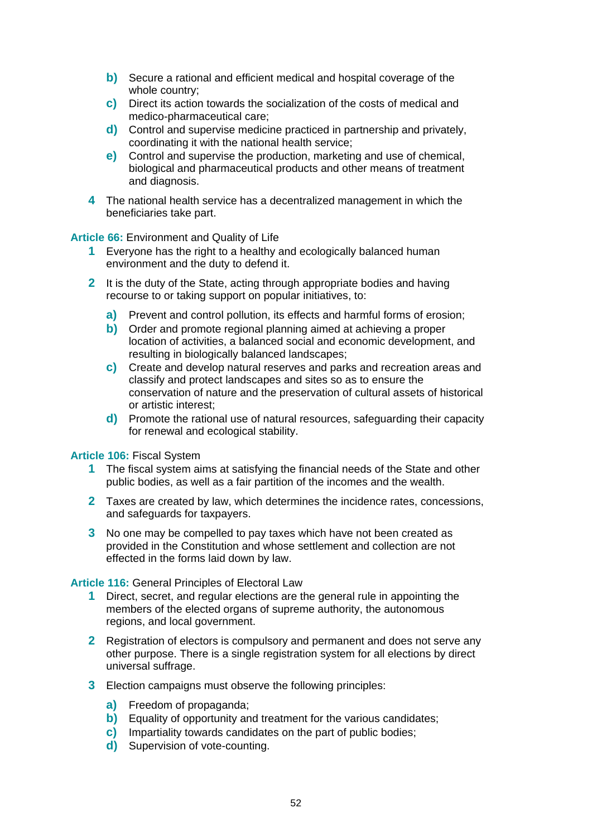- **b)** Secure a rational and efficient medical and hospital coverage of the whole country;
- **c)** Direct its action towards the socialization of the costs of medical and medico-pharmaceutical care;
- **d)** Control and supervise medicine practiced in partnership and privately, coordinating it with the national health service;
- **e)** Control and supervise the production, marketing and use of chemical, biological and pharmaceutical products and other means of treatment and diagnosis.
- **4** The national health service has a decentralized management in which the beneficiaries take part.

**Article 66:** Environment and Quality of Life

- **1** Everyone has the right to a healthy and ecologically balanced human environment and the duty to defend it.
- **2** It is the duty of the State, acting through appropriate bodies and having recourse to or taking support on popular initiatives, to:
	- **a)** Prevent and control pollution, its effects and harmful forms of erosion;
	- **b)** Order and promote regional planning aimed at achieving a proper location of activities, a balanced social and economic development, and resulting in biologically balanced landscapes;
	- **c)** Create and develop natural reserves and parks and recreation areas and classify and protect landscapes and sites so as to ensure the conservation of nature and the preservation of cultural assets of historical or artistic interest;
	- **d)** Promote the rational use of natural resources, safeguarding their capacity for renewal and ecological stability.

**Article 106:** Fiscal System

- **1** The fiscal system aims at satisfying the financial needs of the State and other public bodies, as well as a fair partition of the incomes and the wealth.
- **2** Taxes are created by law, which determines the incidence rates, concessions, and safeguards for taxpayers.
- **3** No one may be compelled to pay taxes which have not been created as provided in the Constitution and whose settlement and collection are not effected in the forms laid down by law.

**Article 116:** General Principles of Electoral Law

- **1** Direct, secret, and regular elections are the general rule in appointing the members of the elected organs of supreme authority, the autonomous regions, and local government.
- **2** Registration of electors is compulsory and permanent and does not serve any other purpose. There is a single registration system for all elections by direct universal suffrage.
- **3** Election campaigns must observe the following principles:
	- **a)** Freedom of propaganda;
	- **b)** Equality of opportunity and treatment for the various candidates:
	- **c)** Impartiality towards candidates on the part of public bodies;
	- **d)** Supervision of vote-counting.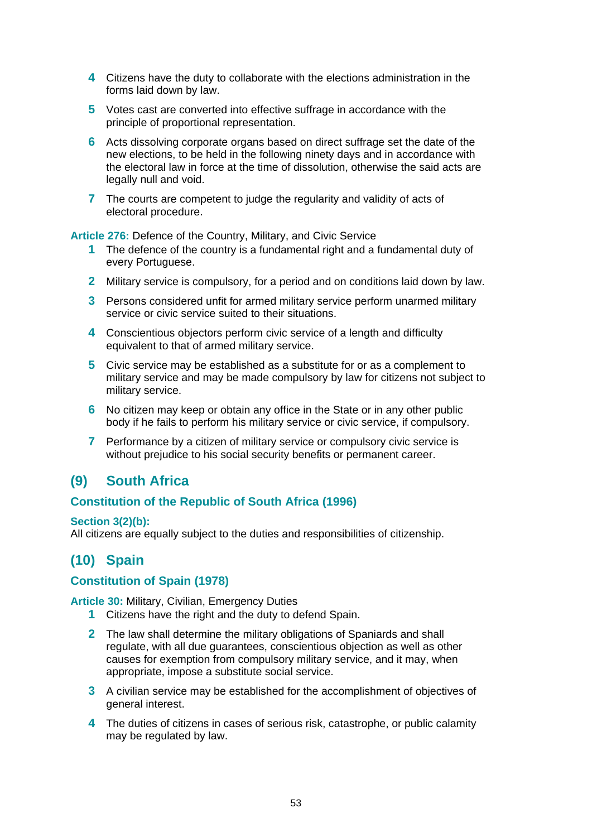- **4** Citizens have the duty to collaborate with the elections administration in the forms laid down by law.
- **5** Votes cast are converted into effective suffrage in accordance with the principle of proportional representation.
- **6** Acts dissolving corporate organs based on direct suffrage set the date of the new elections, to be held in the following ninety days and in accordance with the electoral law in force at the time of dissolution, otherwise the said acts are legally null and void.
- **7** The courts are competent to judge the regularity and validity of acts of electoral procedure.

**Article 276:** Defence of the Country, Military, and Civic Service

- **1** The defence of the country is a fundamental right and a fundamental duty of every Portuguese.
- **2** Military service is compulsory, for a period and on conditions laid down by law.
- **3** Persons considered unfit for armed military service perform unarmed military service or civic service suited to their situations.
- **4** Conscientious objectors perform civic service of a length and difficulty equivalent to that of armed military service.
- **5** Civic service may be established as a substitute for or as a complement to military service and may be made compulsory by law for citizens not subject to military service.
- **6** No citizen may keep or obtain any office in the State or in any other public body if he fails to perform his military service or civic service, if compulsory.
- **7** Performance by a citizen of military service or compulsory civic service is without prejudice to his social security benefits or permanent career.

### **(9) South Africa**

### **Constitution of the Republic of South Africa (1996)**

#### **Section 3(2)(b):**

All citizens are equally subject to the duties and responsibilities of citizenship.

### **(10) Spain**

#### **Constitution of Spain (1978)**

**Article 30:** Military, Civilian, Emergency Duties

- **1** Citizens have the right and the duty to defend Spain.
- **2** The law shall determine the military obligations of Spaniards and shall regulate, with all due guarantees, conscientious objection as well as other causes for exemption from compulsory military service, and it may, when appropriate, impose a substitute social service.
- **3** A civilian service may be established for the accomplishment of objectives of general interest.
- **4** The duties of citizens in cases of serious risk, catastrophe, or public calamity may be regulated by law.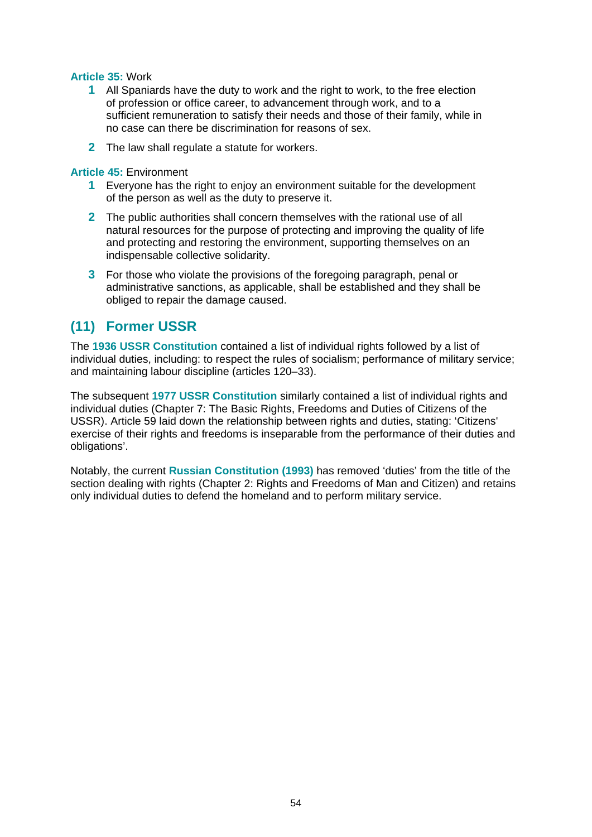#### **Article 35:** Work

- **1** All Spaniards have the duty to work and the right to work, to the free election of profession or office career, to advancement through work, and to a sufficient remuneration to satisfy their needs and those of their family, while in no case can there be discrimination for reasons of sex.
- **2** The law shall regulate a statute for workers.

**Article 45:** Environment

- **1** Everyone has the right to enjoy an environment suitable for the development of the person as well as the duty to preserve it.
- **2** The public authorities shall concern themselves with the rational use of all natural resources for the purpose of protecting and improving the quality of life and protecting and restoring the environment, supporting themselves on an indispensable collective solidarity.
- **3** For those who violate the provisions of the foregoing paragraph, penal or administrative sanctions, as applicable, shall be established and they shall be obliged to repair the damage caused.

### **(11) Former USSR**

The **1936 USSR Constitution** contained a list of individual rights followed by a list of individual duties, including: to respect the rules of socialism; performance of military service; and maintaining labour discipline (articles 120–33).

The subsequent **1977 USSR Constitution** similarly contained a list of individual rights and individual duties (Chapter 7: The Basic Rights, Freedoms and Duties of Citizens of the USSR). Article 59 laid down the relationship between rights and duties, stating: 'Citizens' exercise of their rights and freedoms is inseparable from the performance of their duties and obligations'.

Notably, the current **Russian Constitution (1993)** has removed 'duties' from the title of the section dealing with rights (Chapter 2: Rights and Freedoms of Man and Citizen) and retains only individual duties to defend the homeland and to perform military service.